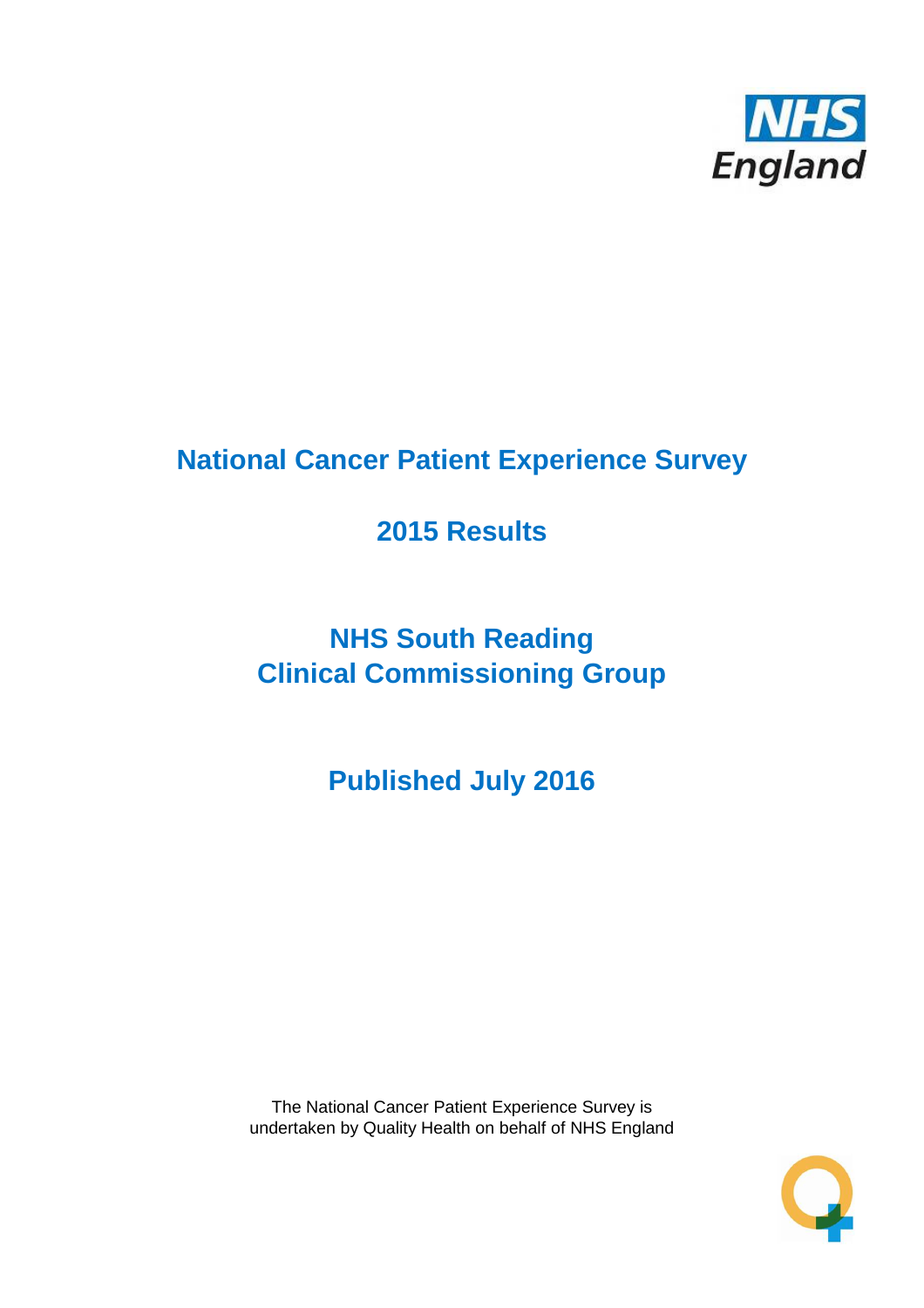

# **National Cancer Patient Experience Survey**

# **2015 Results**

# **NHS South Reading Clinical Commissioning Group**

**Published July 2016**

The National Cancer Patient Experience Survey is undertaken by Quality Health on behalf of NHS England

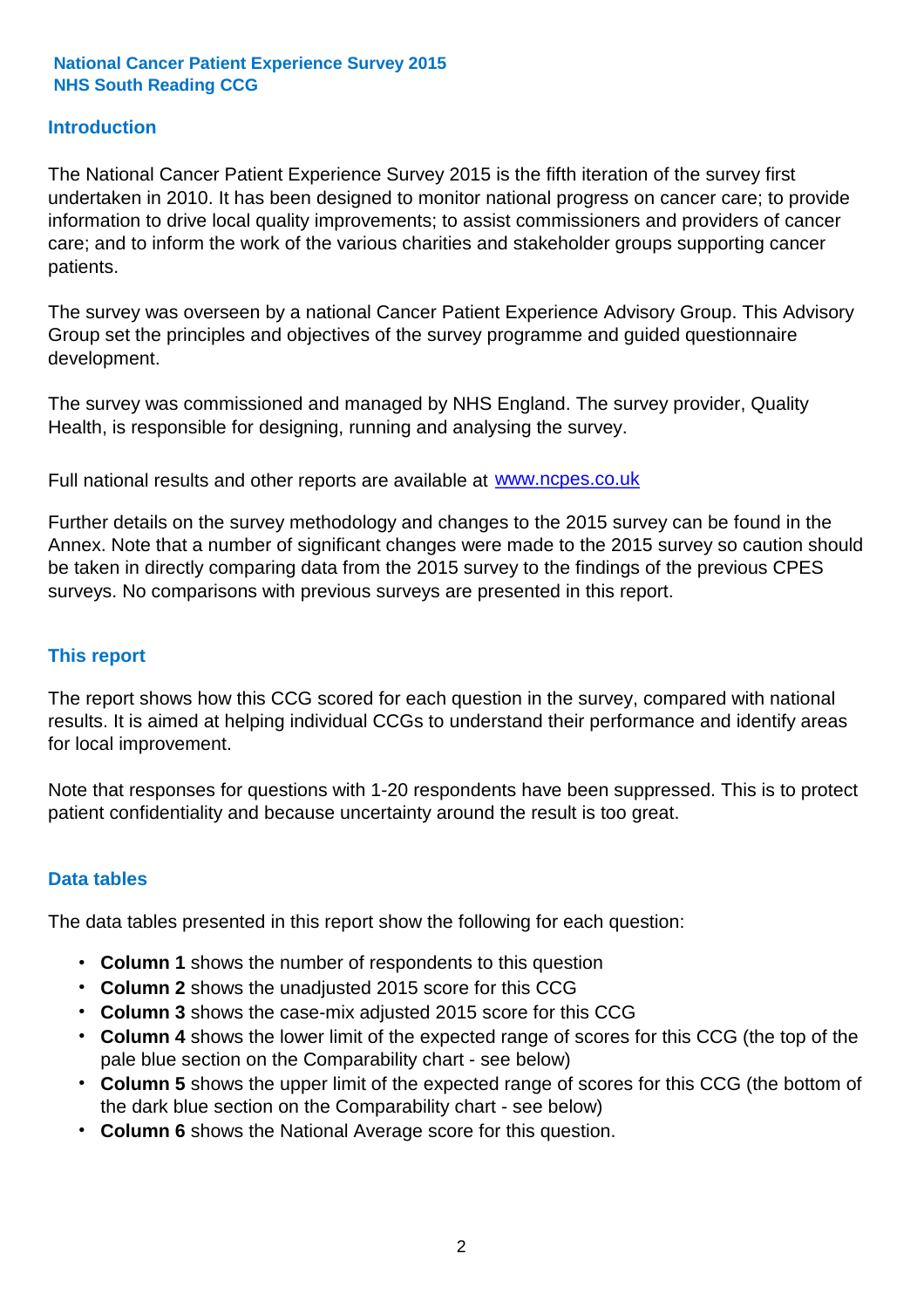#### **Introduction**

The National Cancer Patient Experience Survey 2015 is the fifth iteration of the survey first undertaken in 2010. It has been designed to monitor national progress on cancer care; to provide information to drive local quality improvements; to assist commissioners and providers of cancer care; and to inform the work of the various charities and stakeholder groups supporting cancer patients.

The survey was overseen by a national Cancer Patient Experience Advisory Group. This Advisory Group set the principles and objectives of the survey programme and guided questionnaire development.

The survey was commissioned and managed by NHS England. The survey provider, Quality Health, is responsible for designing, running and analysing the survey.

Full national results and other reports are available at www.ncpes.co.uk

Further details on the survey methodology and changes to the 2015 survey can be found in the Annex. Note that a number of significant changes were made to the 2015 survey so caution should be taken in directly comparing data from the 2015 survey to the findings of the previous CPES surveys. No comparisons with previous surveys are presented in this report.

#### **This report**

The report shows how this CCG scored for each question in the survey, compared with national results. It is aimed at helping individual CCGs to understand their performance and identify areas for local improvement.

Note that responses for questions with 1-20 respondents have been suppressed. This is to protect patient confidentiality and because uncertainty around the result is too great.

#### **Data tables**

The data tables presented in this report show the following for each question:

- **Column 1** shows the number of respondents to this question
- **Column 2** shows the unadjusted 2015 score for this CCG
- **Column 3** shows the case-mix adjusted 2015 score for this CCG
- **Column 4** shows the lower limit of the expected range of scores for this CCG (the top of the pale blue section on the Comparability chart - see below)
- **Column 5** shows the upper limit of the expected range of scores for this CCG (the bottom of the dark blue section on the Comparability chart - see below)
- **Column 6** shows the National Average score for this question.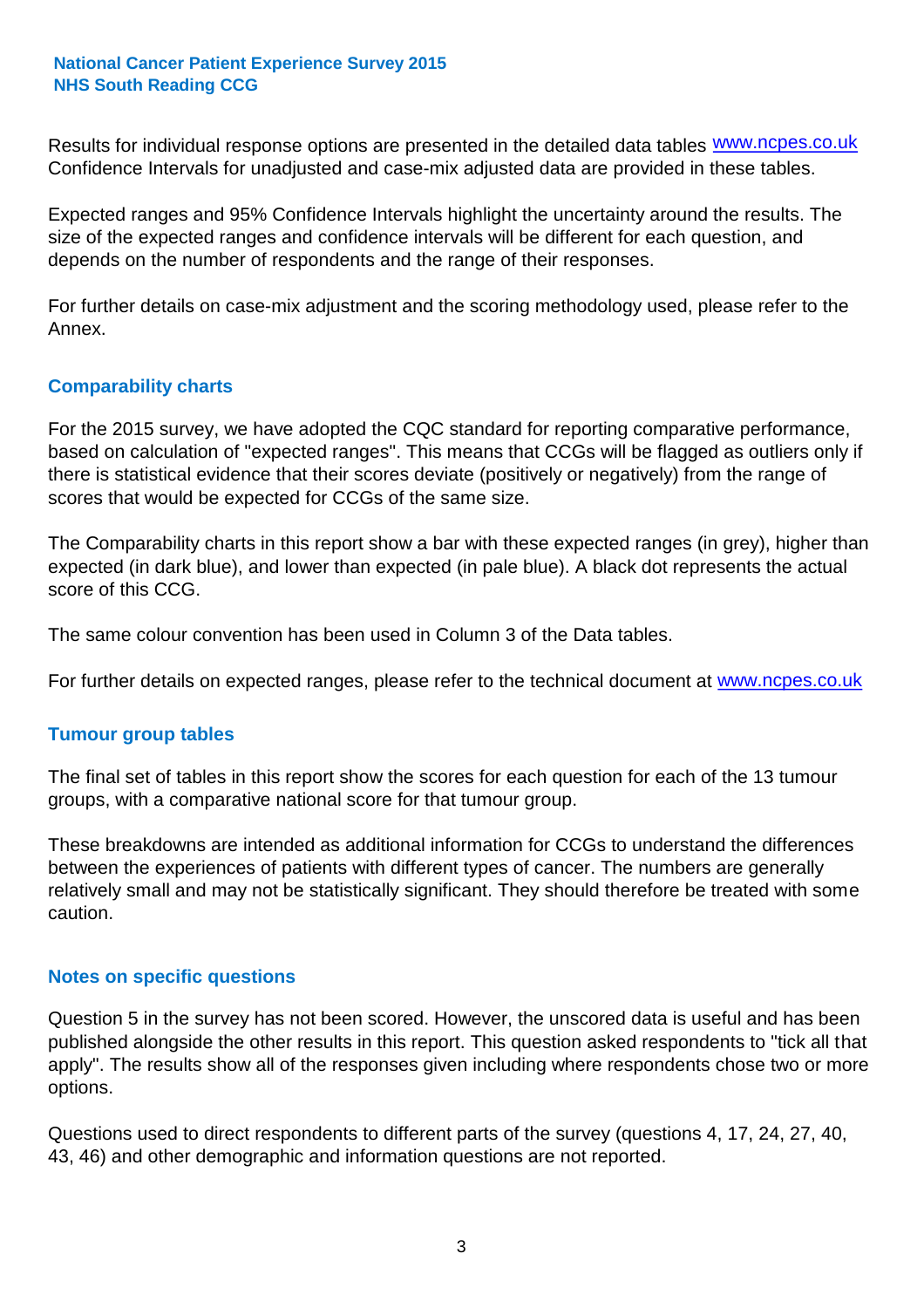Results for individual response options are presented in the detailed data tables **WWW.ncpes.co.uk** Confidence Intervals for unadjusted and case-mix adjusted data are provided in these tables.

Expected ranges and 95% Confidence Intervals highlight the uncertainty around the results. The size of the expected ranges and confidence intervals will be different for each question, and depends on the number of respondents and the range of their responses.

For further details on case-mix adjustment and the scoring methodology used, please refer to the Annex.

#### **Comparability charts**

For the 2015 survey, we have adopted the CQC standard for reporting comparative performance, based on calculation of "expected ranges". This means that CCGs will be flagged as outliers only if there is statistical evidence that their scores deviate (positively or negatively) from the range of scores that would be expected for CCGs of the same size.

The Comparability charts in this report show a bar with these expected ranges (in grey), higher than expected (in dark blue), and lower than expected (in pale blue). A black dot represents the actual score of this CCG.

The same colour convention has been used in Column 3 of the Data tables.

For further details on expected ranges, please refer to the technical document at **www.ncpes.co.uk** 

#### **Tumour group tables**

The final set of tables in this report show the scores for each question for each of the 13 tumour groups, with a comparative national score for that tumour group.

These breakdowns are intended as additional information for CCGs to understand the differences between the experiences of patients with different types of cancer. The numbers are generally relatively small and may not be statistically significant. They should therefore be treated with some caution.

#### **Notes on specific questions**

Question 5 in the survey has not been scored. However, the unscored data is useful and has been published alongside the other results in this report. This question asked respondents to "tick all that apply". The results show all of the responses given including where respondents chose two or more options.

Questions used to direct respondents to different parts of the survey (questions 4, 17, 24, 27, 40, 43, 46) and other demographic and information questions are not reported.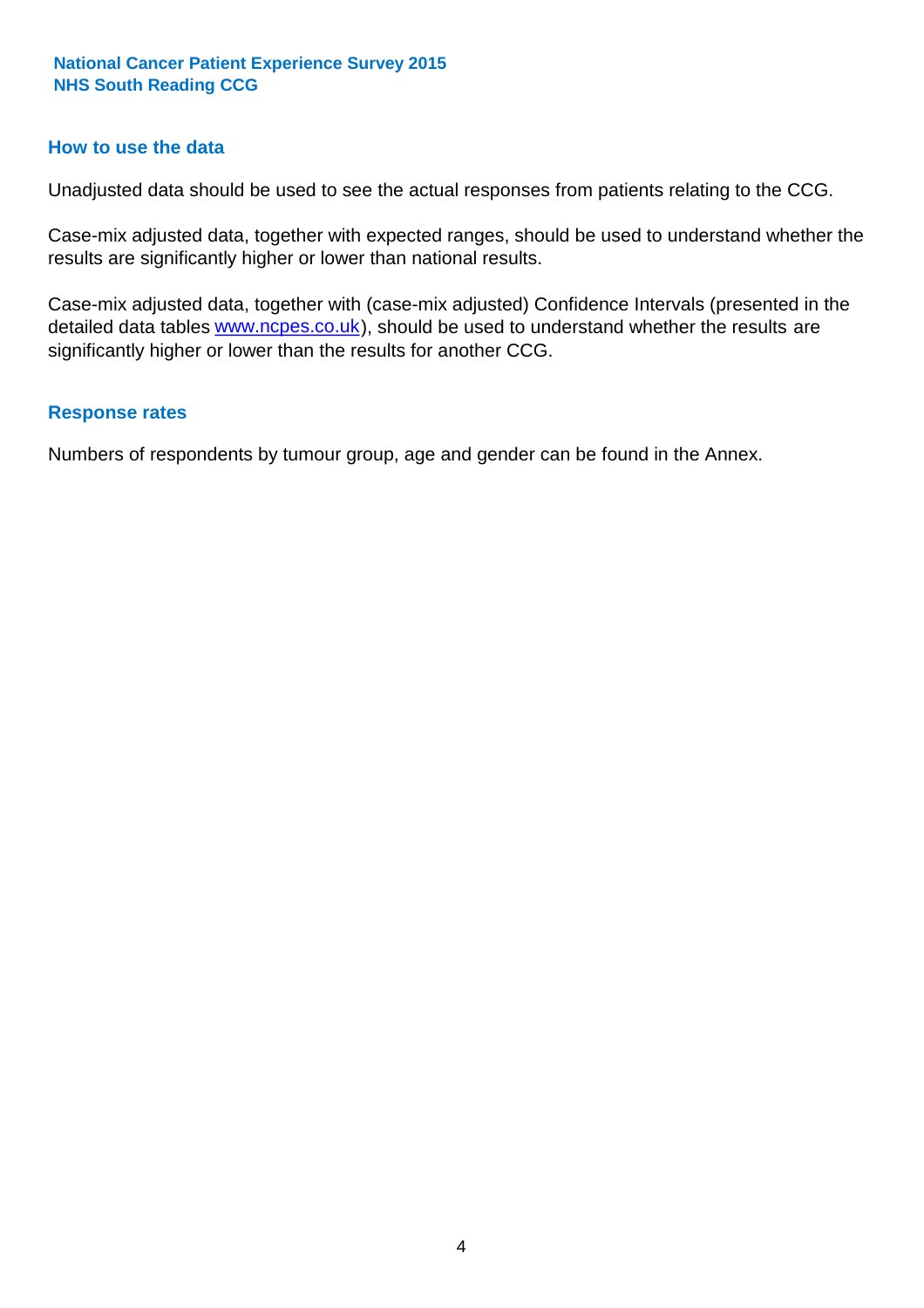#### **How to use the data**

Unadjusted data should be used to see the actual responses from patients relating to the CCG.

Case-mix adjusted data, together with expected ranges, should be used to understand whether the results are significantly higher or lower than national results.

Case-mix adjusted data, together with (case-mix adjusted) Confidence Intervals (presented in the detailed data tables **www.ncpes.co.uk**), should be used to understand whether the results are significantly higher or lower than the results for another CCG.

#### **Response rates**

Numbers of respondents by tumour group, age and gender can be found in the Annex.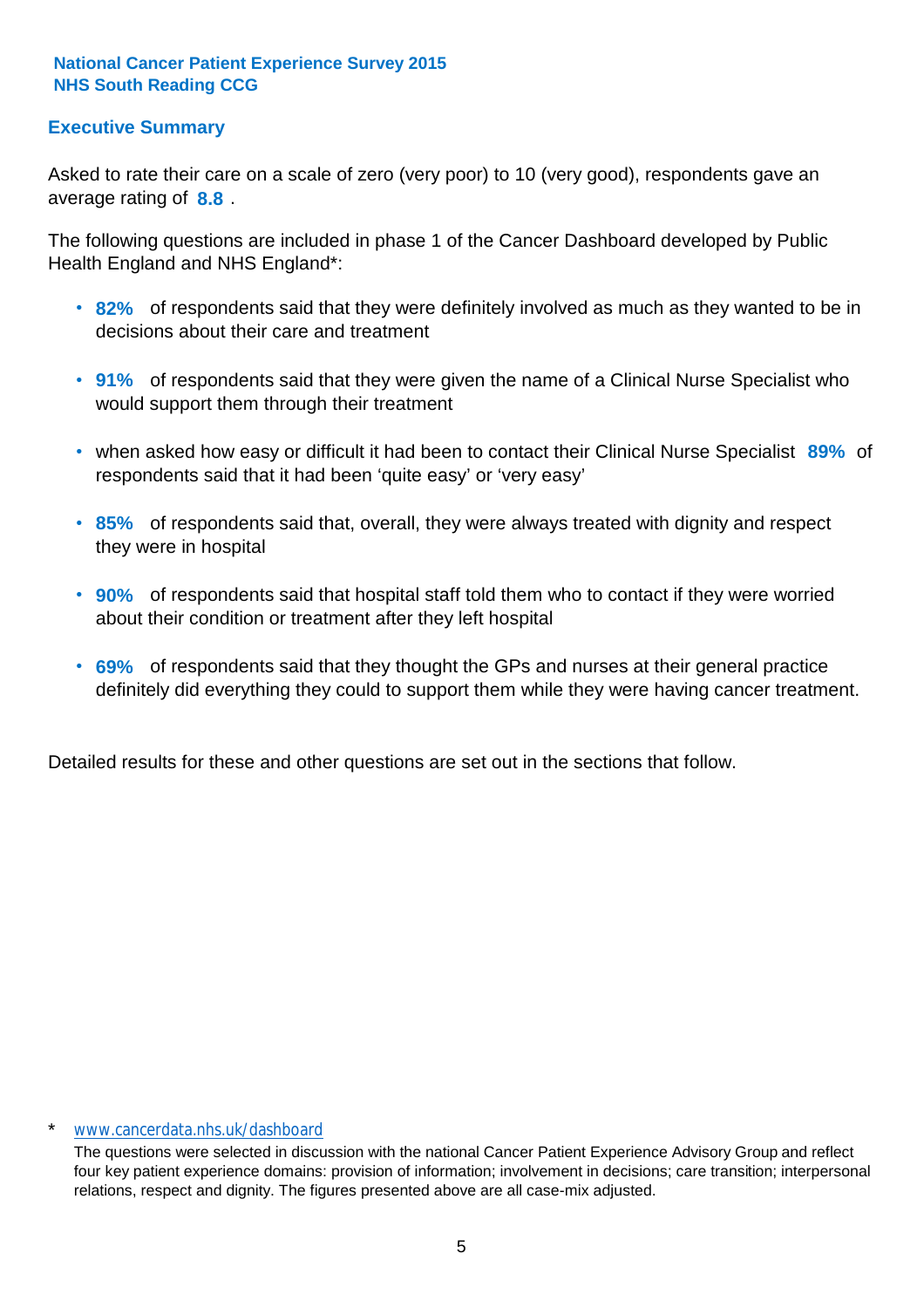#### **Executive Summary**

average rating of **8.8**. Asked to rate their care on a scale of zero (very poor) to 10 (very good), respondents gave an

The following questions are included in phase 1 of the Cancer Dashboard developed by Public Health England and NHS England\*:

- **82%** of respondents said that they were definitely involved as much as they wanted to be in decisions about their care and treatment
- **91%** of respondents said that they were given the name of a Clinical Nurse Specialist who would support them through their treatment
- when asked how easy or difficult it had been to contact their Clinical Nurse Specialist 89% of respondents said that it had been 'quite easy' or 'very easy'
- **85%** of respondents said that, overall, they were always treated with dignity and respect they were in hospital
- **90%** of respondents said that hospital staff told them who to contact if they were worried about their condition or treatment after they left hospital
- **69%** of respondents said that they thought the GPs and nurses at their general practice definitely did everything they could to support them while they were having cancer treatment.

Detailed results for these and other questions are set out in the sections that follow.

#### \* www.cancerdata.nhs.uk/dashboard

The questions were selected in discussion with the national Cancer Patient Experience Advisory Group and reflect four key patient experience domains: provision of information; involvement in decisions; care transition; interpersonal relations, respect and dignity. The figures presented above are all case-mix adjusted.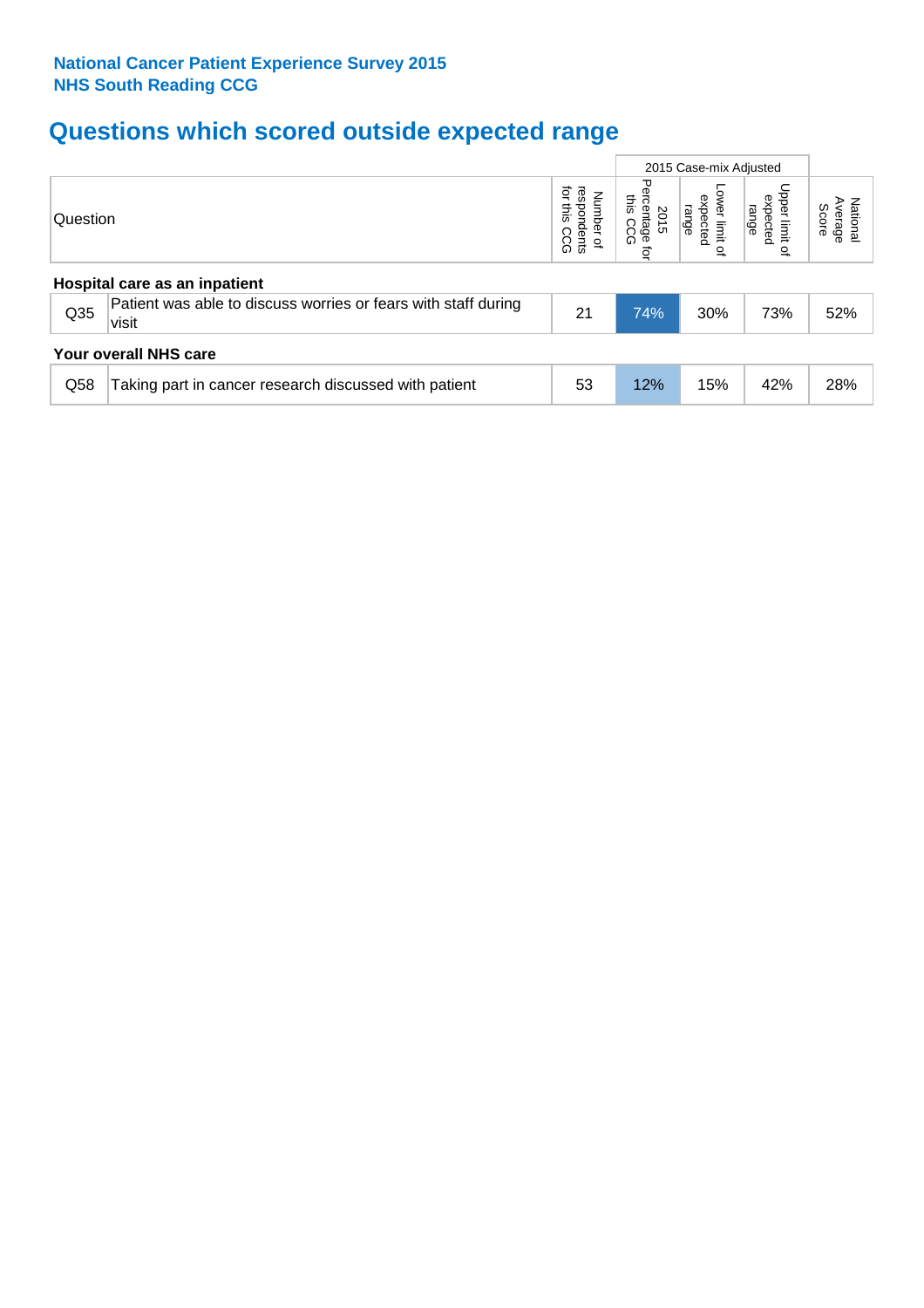## **Questions which scored outside expected range**

|                               |                                                                         |                                              |                                                         |                                                        | 2015 Case-mix Adjusted                |                              |  |  |  |
|-------------------------------|-------------------------------------------------------------------------|----------------------------------------------|---------------------------------------------------------|--------------------------------------------------------|---------------------------------------|------------------------------|--|--|--|
| Question                      |                                                                         | ğ<br>respondents<br>Number of<br>this<br>CCG | Perc<br>inis<br>sentage<br>2015<br>CC<br>۵<br>$\vec{q}$ | ower limit<br>expected<br>range<br>$\overline{\sigma}$ | Upper limit<br>expected<br>range<br>으 | Average<br>National<br>Score |  |  |  |
| Hospital care as an inpatient |                                                                         |                                              |                                                         |                                                        |                                       |                              |  |  |  |
| Q <sub>35</sub>               | Patient was able to discuss worries or fears with staff during<br>visit | 21                                           | 74%                                                     | 30%                                                    | 73%                                   | 52%                          |  |  |  |
|                               | Your overall NHS care                                                   |                                              |                                                         |                                                        |                                       |                              |  |  |  |
| Q58                           | Taking part in cancer research discussed with patient                   | 53                                           | 12%                                                     | 15%                                                    | 42%                                   | 28%                          |  |  |  |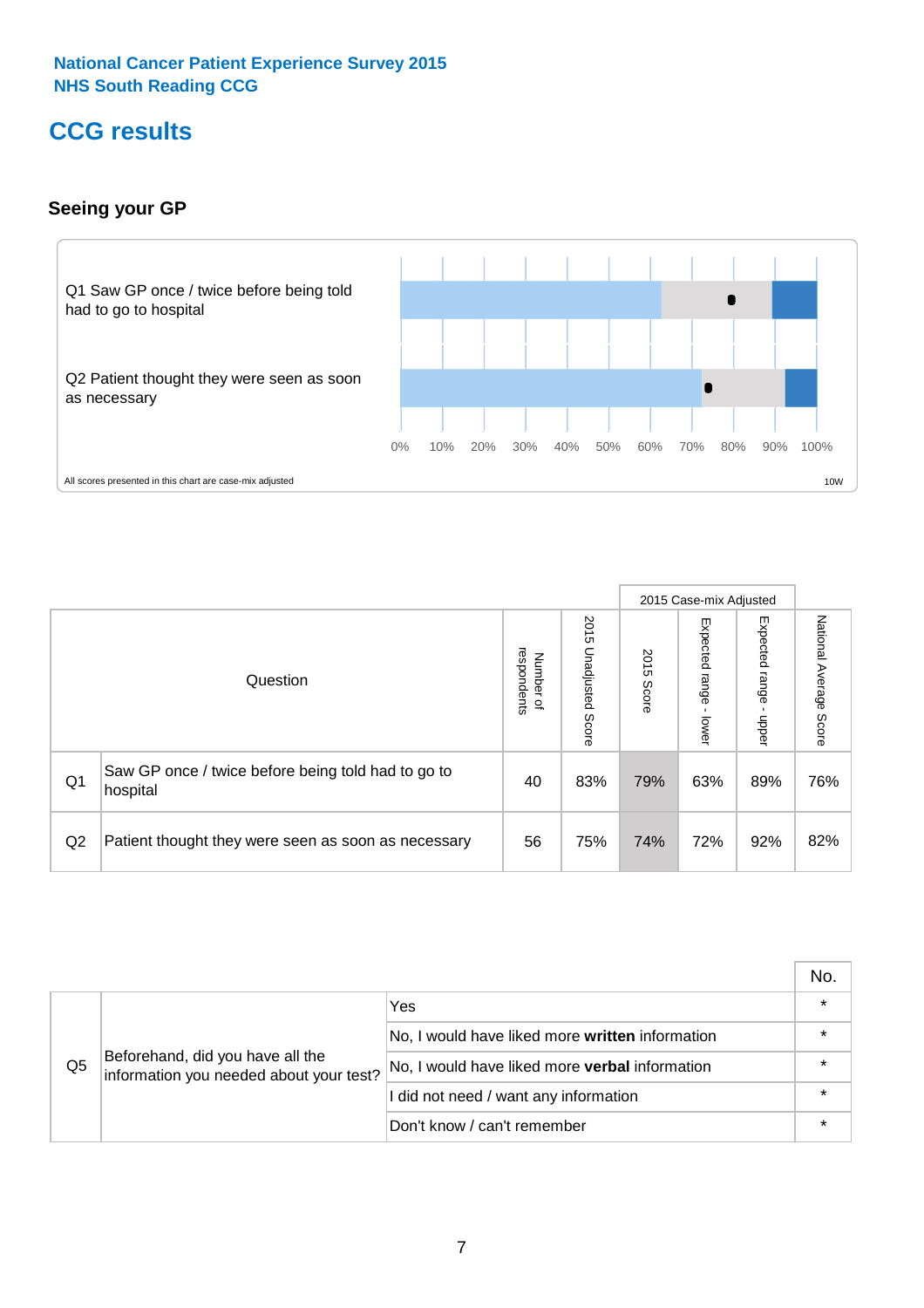### **CCG results**

#### **Seeing your GP**



|    |                                                                |                                         |                          |               | 2015 Case-mix Adjusted     |                            |                        |
|----|----------------------------------------------------------------|-----------------------------------------|--------------------------|---------------|----------------------------|----------------------------|------------------------|
|    | Question                                                       | respondents<br>Number<br>$\overline{a}$ | 2015 Unadjusted<br>Score | 2015<br>Score | Expected<br>range<br>lower | Expected<br>range<br>nbber | National Average Score |
| Q1 | Saw GP once / twice before being told had to go to<br>hospital | 40                                      | 83%                      | 79%           | 63%                        | 89%                        | 76%                    |
| Q2 | Patient thought they were seen as soon as necessary            | 56                                      | 75%                      | 74%           | 72%                        | 92%                        | 82%                    |

|    |                                                                             |                                                 | No.     |
|----|-----------------------------------------------------------------------------|-------------------------------------------------|---------|
|    | Beforehand, did you have all the<br>information you needed about your test? | Yes                                             | $\star$ |
|    |                                                                             | No, I would have liked more written information | $\star$ |
| Q5 |                                                                             | No, I would have liked more verbal information  | $\star$ |
|    |                                                                             | I did not need / want any information           | $\star$ |
|    |                                                                             | Don't know / can't remember                     | $\star$ |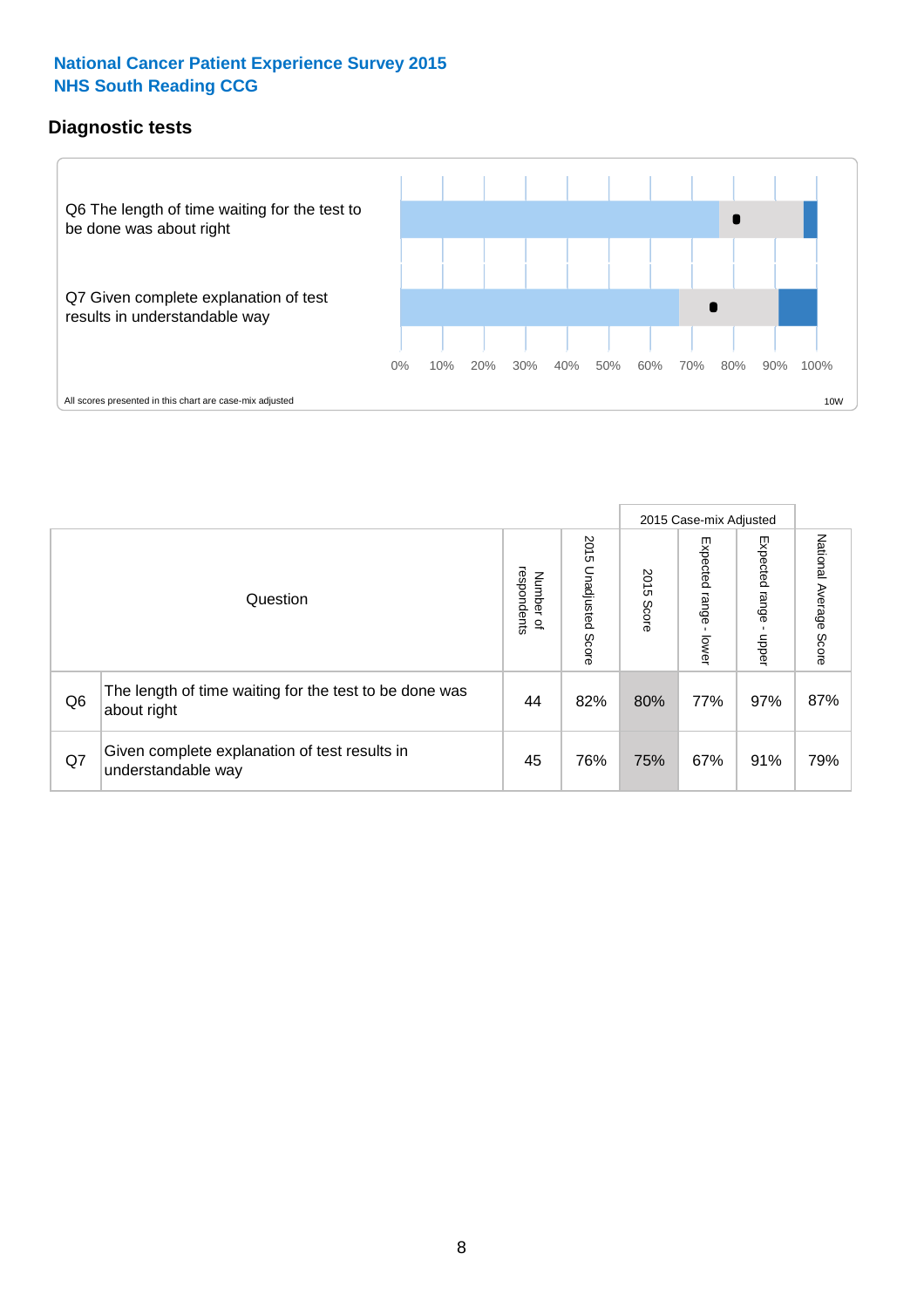#### **Diagnostic tests**



|                |                                                                       |                                       |                             |               | 2015 Case-mix Adjusted  |                         |                           |
|----------------|-----------------------------------------------------------------------|---------------------------------------|-----------------------------|---------------|-------------------------|-------------------------|---------------------------|
|                | Question                                                              | respondents<br>Number<br>$\mathbf{Q}$ | 2015<br>Unadjusted<br>Score | 2015<br>Score | Expected range<br>lower | Expected range<br>nbber | National Average<br>Score |
| Q <sub>6</sub> | The length of time waiting for the test to be done was<br>about right | 44                                    | 82%                         | 80%           | 77%                     | 97%                     | 87%                       |
| Q7             | Given complete explanation of test results in<br>understandable way   | 45                                    | 76%                         | 75%           | 67%                     | 91%                     | 79%                       |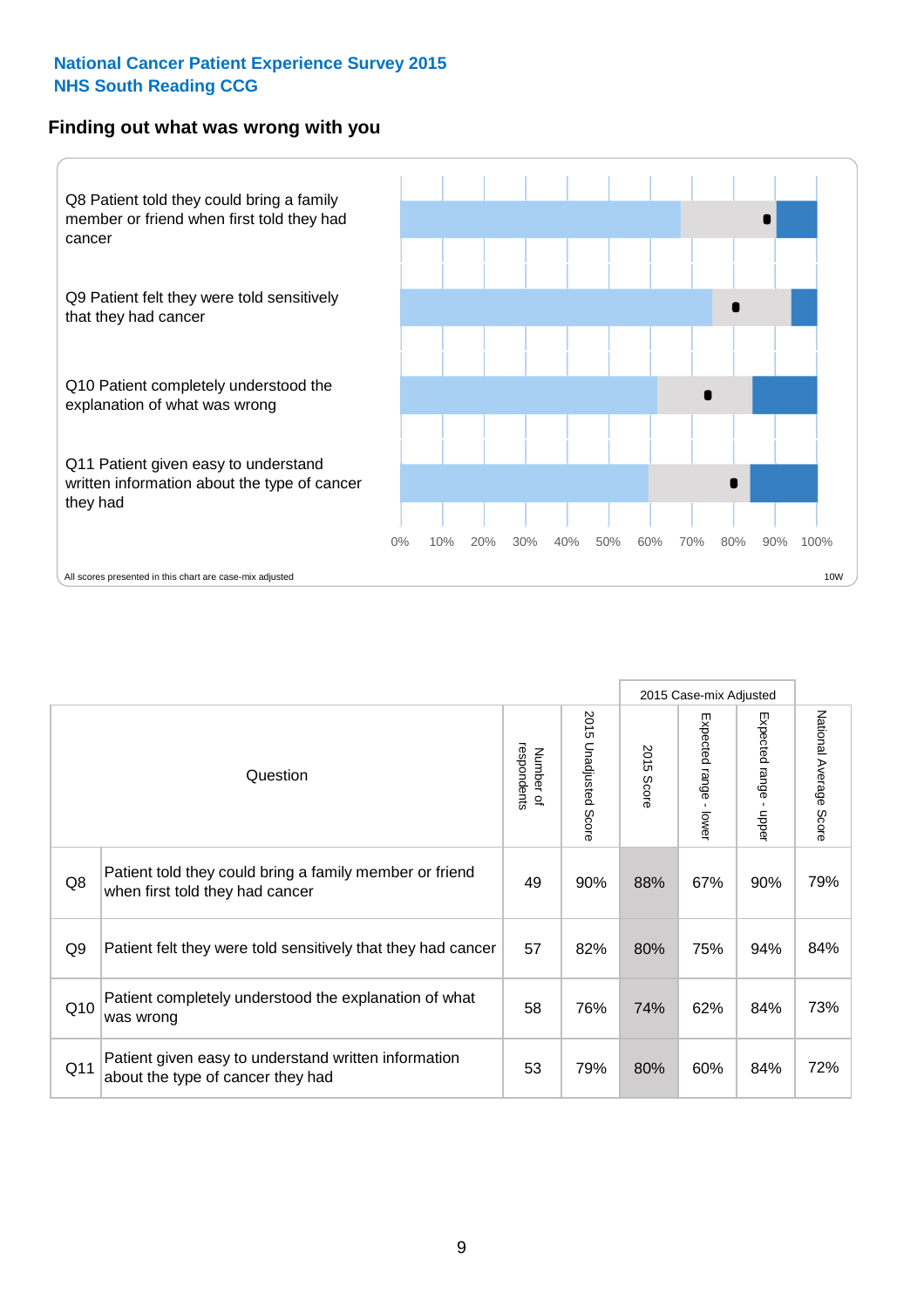#### **Finding out what was wrong with you**



|                |                                                                                            |                          |                       |               | 2015 Case-mix Adjusted                  |                           |                        |
|----------------|--------------------------------------------------------------------------------------------|--------------------------|-----------------------|---------------|-----------------------------------------|---------------------------|------------------------|
|                | Question                                                                                   | respondents<br>Number of | 2015 Unadjusted Score | 2015<br>Score | Expected range<br>$\mathbf{I}$<br>lower | Expected range -<br>hbber | National Average Score |
| Q8             | Patient told they could bring a family member or friend<br>when first told they had cancer | 49                       | 90%                   | 88%           | 67%                                     | 90%                       | 79%                    |
| Q <sub>9</sub> | Patient felt they were told sensitively that they had cancer                               | 57                       | 82%                   | 80%           | 75%                                     | 94%                       | 84%                    |
| Q10            | Patient completely understood the explanation of what<br>was wrong                         | 58                       | 76%                   | 74%           | 62%                                     | 84%                       | 73%                    |
| Q11            | Patient given easy to understand written information<br>about the type of cancer they had  | 53                       | 79%                   | 80%           | 60%                                     | 84%                       | 72%                    |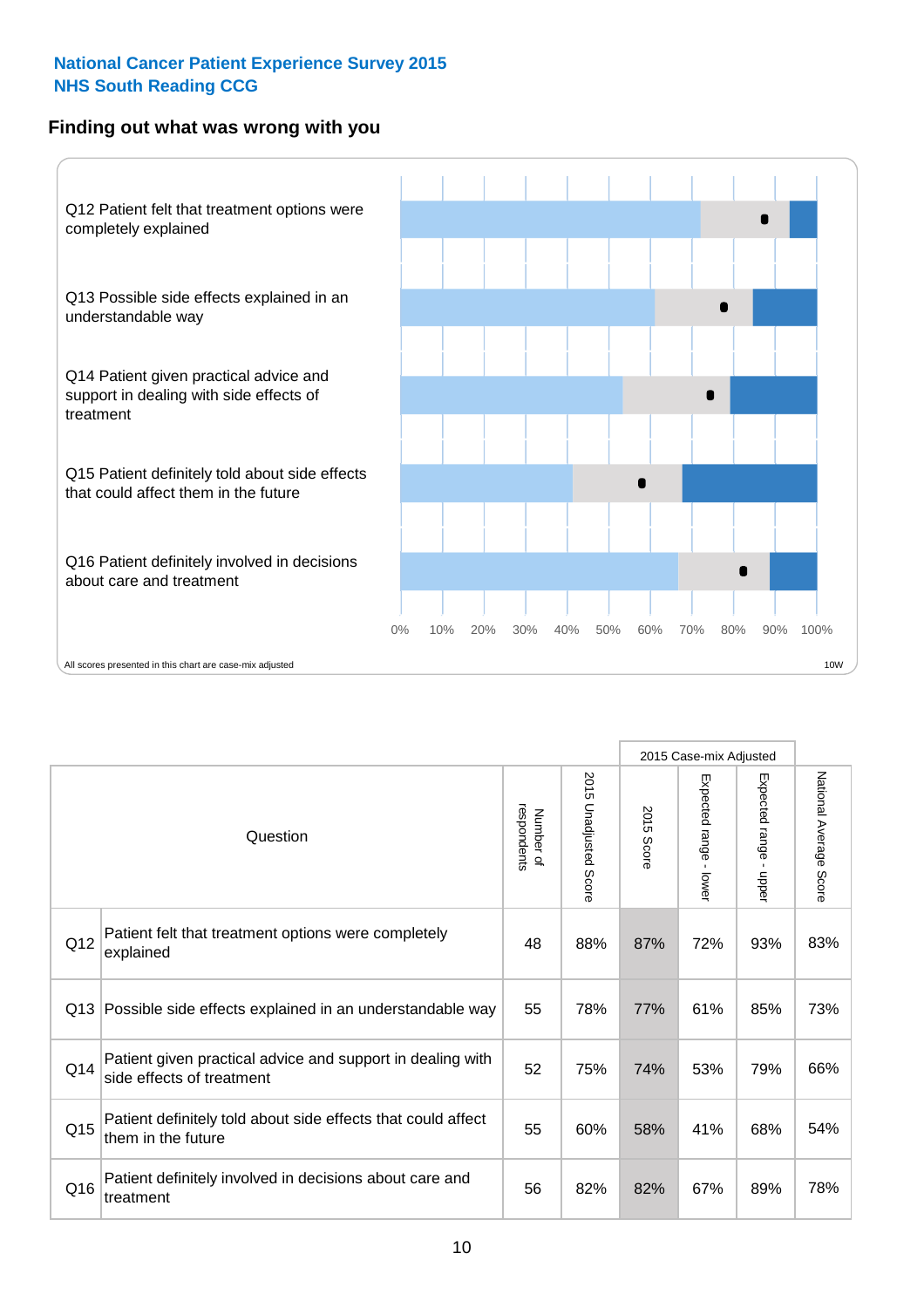#### **Finding out what was wrong with you**



|          |                                                                                         |                          |                       |            | 2015 Case-mix Adjusted                  |                           |                        |
|----------|-----------------------------------------------------------------------------------------|--------------------------|-----------------------|------------|-----------------------------------------|---------------------------|------------------------|
| Question |                                                                                         | respondents<br>Number of | 2015 Unadjusted Score | 2015 Score | Expected range<br>$\mathbf{r}$<br>lower | Expected range -<br>nbber | National Average Score |
| Q12      | Patient felt that treatment options were completely<br>explained                        | 48                       | 88%                   | 87%        | 72%                                     | 93%                       | 83%                    |
| Q13      | Possible side effects explained in an understandable way                                | 55                       | 78%                   | 77%        | 61%                                     | 85%                       | 73%                    |
| Q14      | Patient given practical advice and support in dealing with<br>side effects of treatment | 52                       | 75%                   | 74%        | 53%                                     | 79%                       | 66%                    |
| Q15      | Patient definitely told about side effects that could affect<br>them in the future      | 55                       | 60%                   | 58%        | 41%                                     | 68%                       | 54%                    |
| Q16      | Patient definitely involved in decisions about care and<br>treatment                    | 56                       | 82%                   | 82%        | 67%                                     | 89%                       | 78%                    |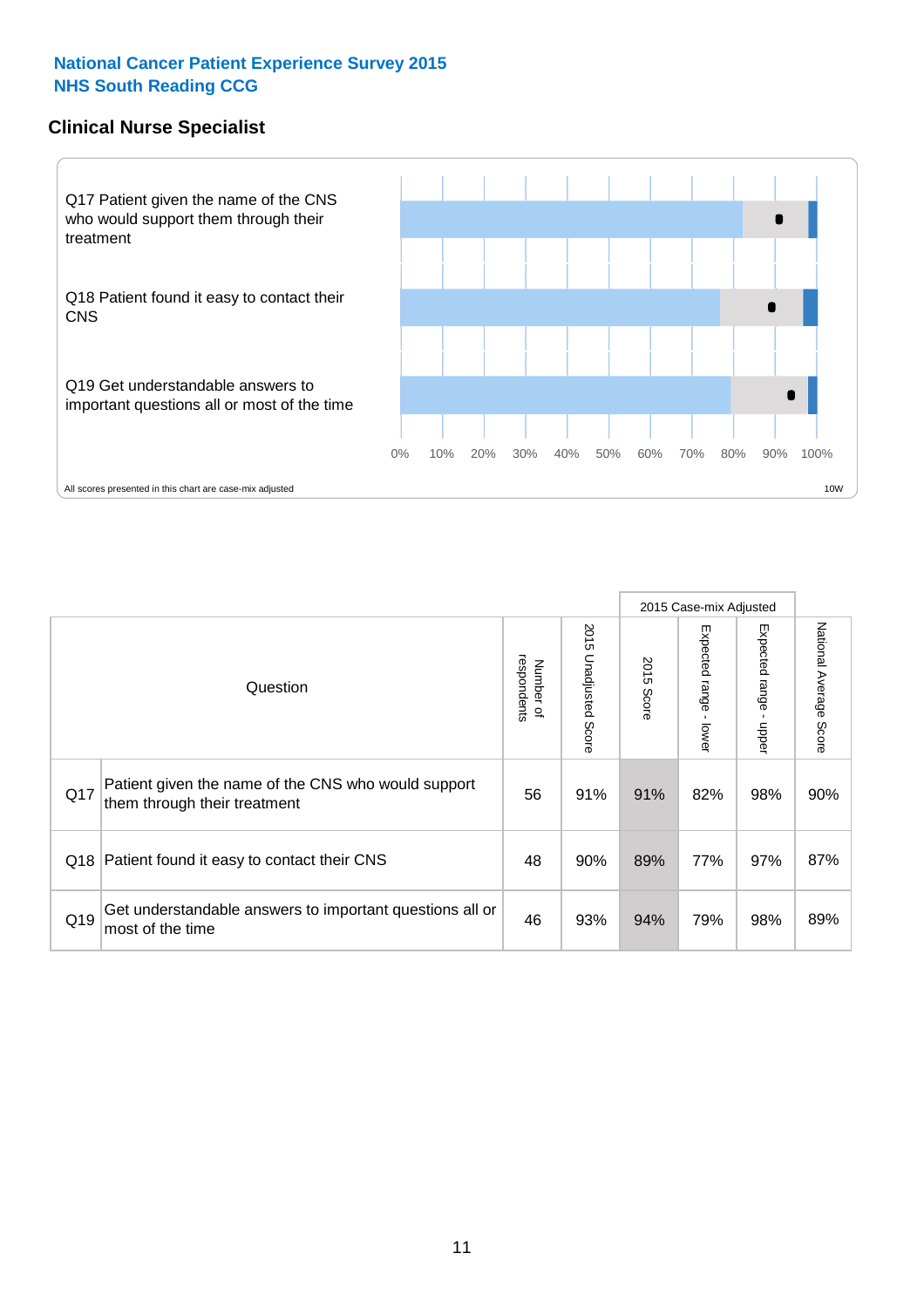#### **Clinical Nurse Specialist**



|     |                                                                                     |                          |                       | 2015 Case-mix Adjusted |                         |                         |                                  |
|-----|-------------------------------------------------------------------------------------|--------------------------|-----------------------|------------------------|-------------------------|-------------------------|----------------------------------|
|     | Question                                                                            | respondents<br>Number of | 2015 Unadjusted Score | 2015<br>Score          | Expected range<br>lower | Expected range<br>nbber | National Average<br><b>Score</b> |
| Q17 | Patient given the name of the CNS who would support<br>them through their treatment | 56                       | 91%                   | 91%                    | 82%                     | 98%                     | 90%                              |
| Q18 | Patient found it easy to contact their CNS                                          | 48                       | 90%                   | 89%                    | 77%                     | 97%                     | 87%                              |
| Q19 | Get understandable answers to important questions all or<br>most of the time        | 46                       | 93%                   | 94%                    | 79%                     | 98%                     | 89%                              |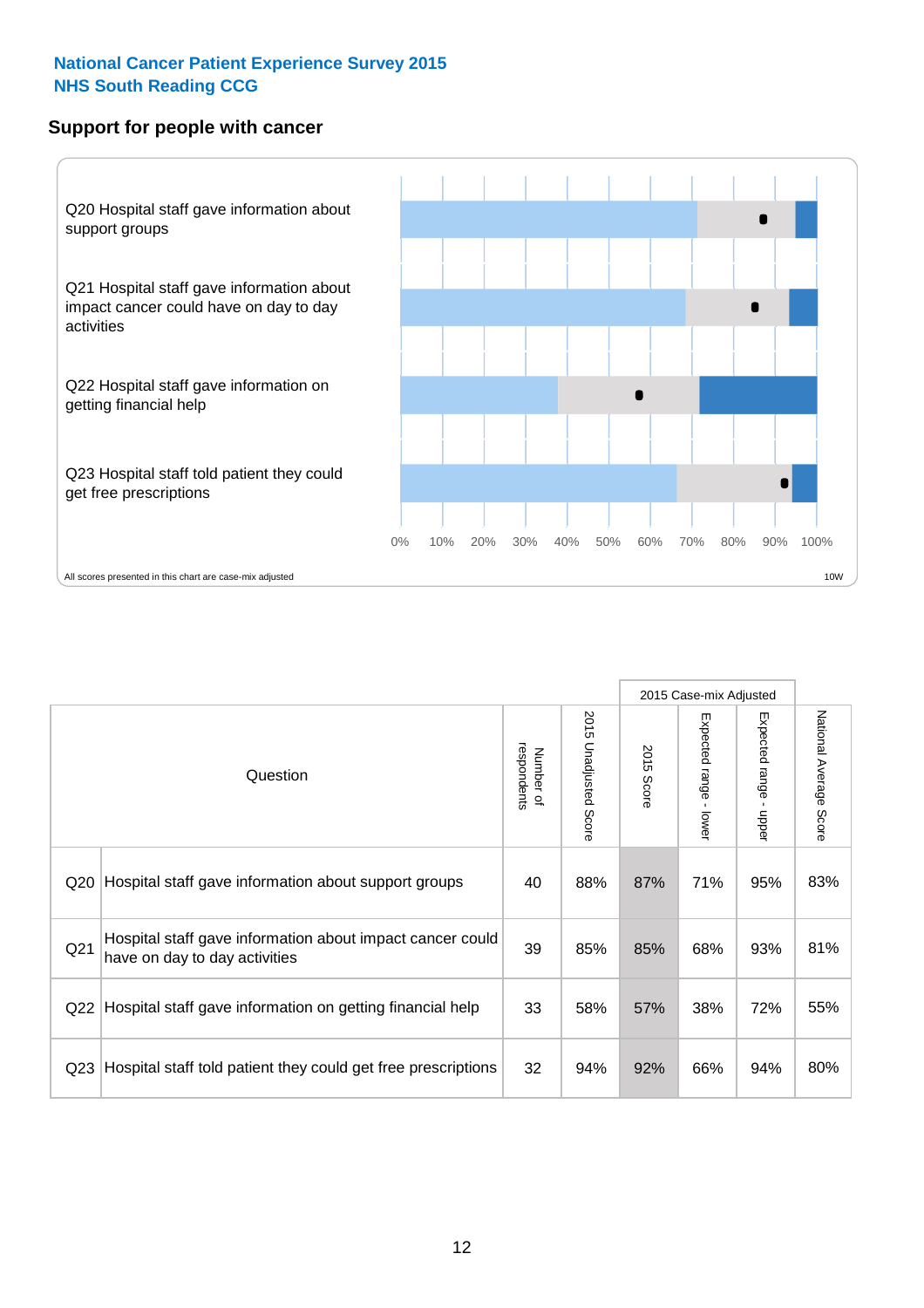#### **Support for people with cancer**



|                 |                                                                                            |                          |                                 |               | 2015 Case-mix Adjusted  |                                           |                        |
|-----------------|--------------------------------------------------------------------------------------------|--------------------------|---------------------------------|---------------|-------------------------|-------------------------------------------|------------------------|
|                 | Question                                                                                   | respondents<br>Number of | 2015<br><b>Unadjusted Score</b> | 2015<br>Score | Expected range<br>lower | Expected range<br>$\blacksquare$<br>nbber | National Average Score |
| Q <sub>20</sub> | Hospital staff gave information about support groups                                       | 40                       | 88%                             | 87%           | 71%                     | 95%                                       | 83%                    |
| Q <sub>21</sub> | Hospital staff gave information about impact cancer could<br>have on day to day activities | 39                       | 85%                             | 85%           | 68%                     | 93%                                       | 81%                    |
| Q <sub>22</sub> | Hospital staff gave information on getting financial help                                  | 33                       | 58%                             | 57%           | 38%                     | 72%                                       | 55%                    |
| Q <sub>23</sub> | Hospital staff told patient they could get free prescriptions                              | 32                       | 94%                             | 92%           | 66%                     | 94%                                       | 80%                    |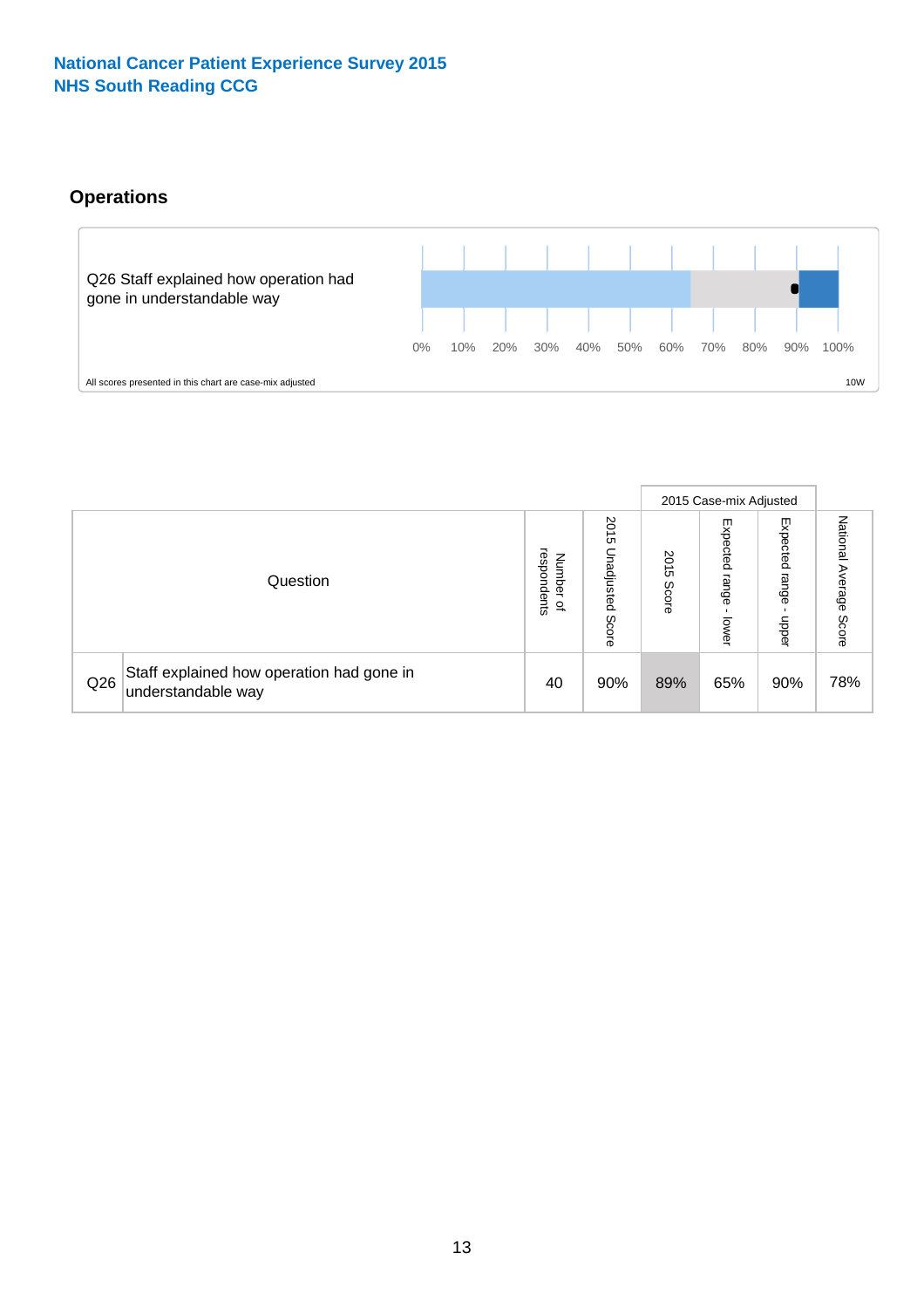#### **Operations**



|     |                                                                 |                                              |                             |                   | 2015 Case-mix Adjusted     |                            |                              |
|-----|-----------------------------------------------------------------|----------------------------------------------|-----------------------------|-------------------|----------------------------|----------------------------|------------------------------|
|     | Question                                                        | respondents<br>Number<br>$\overline{\sigma}$ | 2015<br>Unadjusted<br>Score | 201<br>c<br>Score | Expected<br>range<br>lower | Expected<br>range<br>doper | National<br>Average<br>Score |
| Q26 | Staff explained how operation had gone in<br>understandable way | 40                                           | 90%                         | 89%               | 65%                        | 90%                        | 78%                          |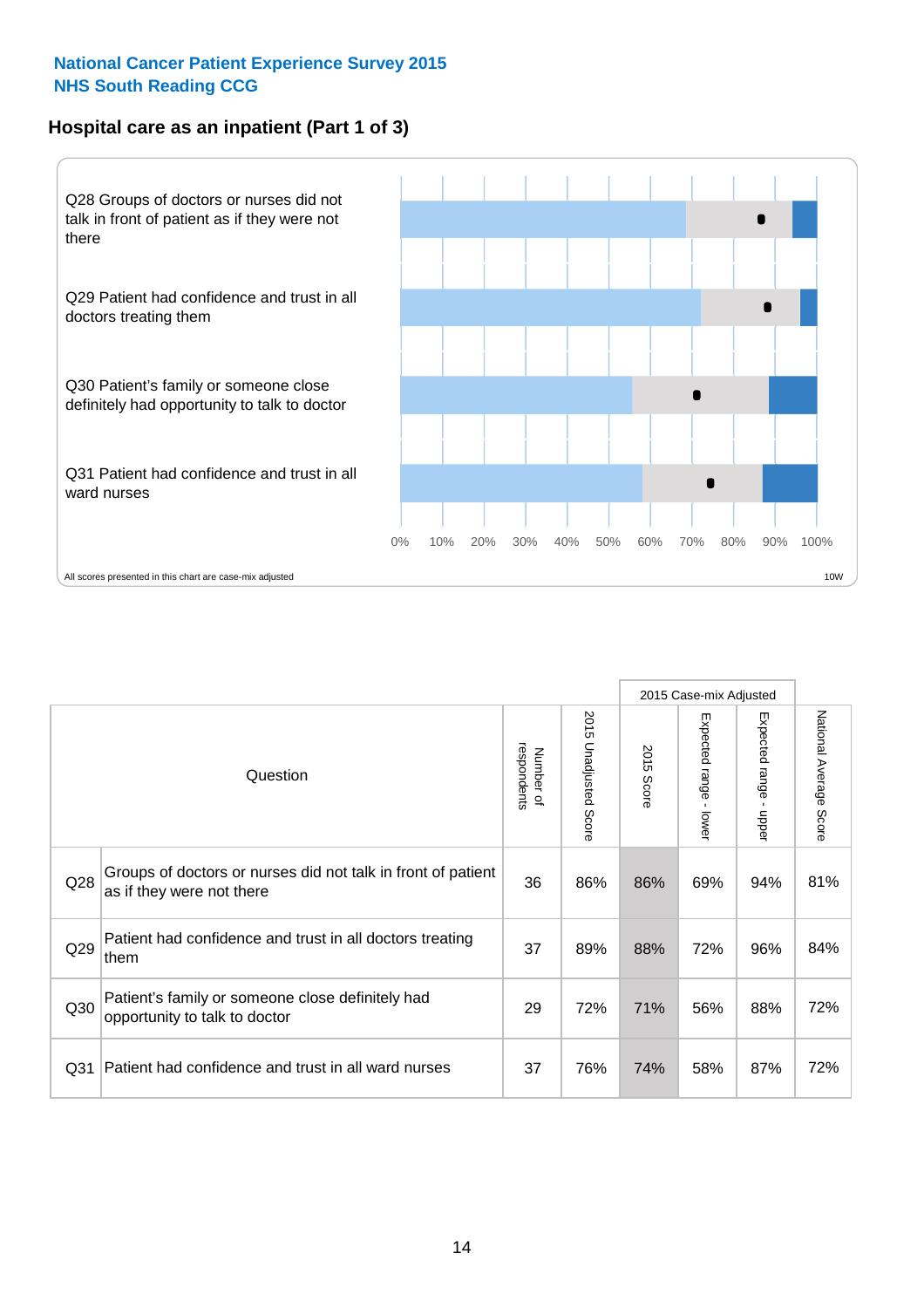#### **Hospital care as an inpatient (Part 1 of 3)**



All scores presented in this chart are case-mix adjusted  $\blacksquare$  and  $\blacksquare$  and  $\blacksquare$  and  $\blacksquare$  and  $\blacksquare$  10W

|                 |                                                                                           |                          |                       |               | 2015 Case-mix Adjusted                  |                                           |                        |
|-----------------|-------------------------------------------------------------------------------------------|--------------------------|-----------------------|---------------|-----------------------------------------|-------------------------------------------|------------------------|
|                 | Question                                                                                  | respondents<br>Number of | 2015 Unadjusted Score | 2015<br>Score | Expected range<br>$\mathbf{r}$<br>lower | Expected range<br>$\blacksquare$<br>nbber | National Average Score |
| Q28             | Groups of doctors or nurses did not talk in front of patient<br>as if they were not there | 36                       | 86%                   | 86%           | 69%                                     | 94%                                       | 81%                    |
| Q29             | Patient had confidence and trust in all doctors treating<br>them                          | 37                       | 89%                   | 88%           | 72%                                     | 96%                                       | 84%                    |
| Q30             | Patient's family or someone close definitely had<br>opportunity to talk to doctor         | 29                       | 72%                   | 71%           | 56%                                     | 88%                                       | 72%                    |
| Q <sub>31</sub> | Patient had confidence and trust in all ward nurses                                       | 37                       | 76%                   | 74%           | 58%                                     | 87%                                       | 72%                    |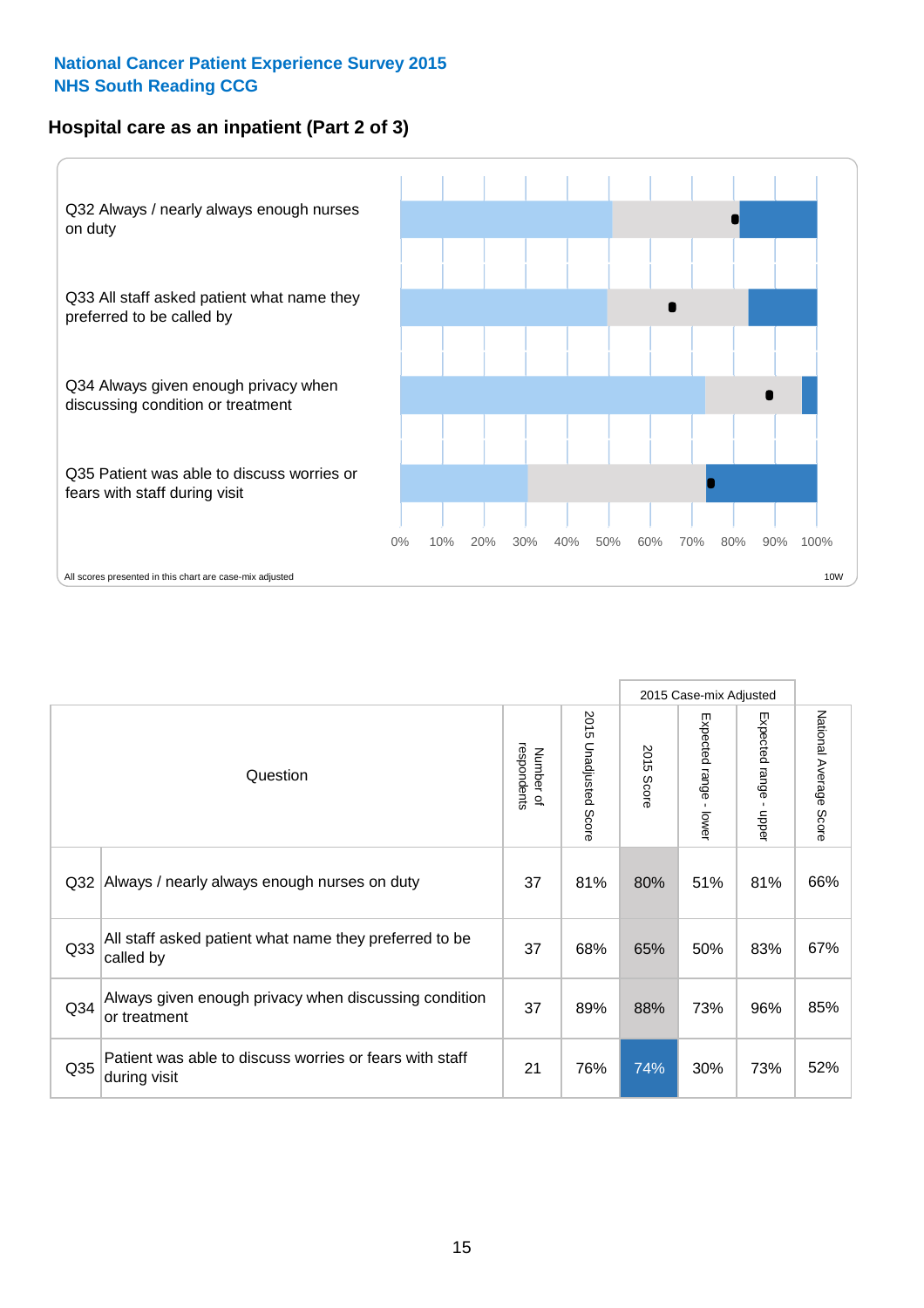#### **Hospital care as an inpatient (Part 2 of 3)**



|                 |                                                                         |                          |                          |               | 2015 Case-mix Adjusted                  |                                           |                        |
|-----------------|-------------------------------------------------------------------------|--------------------------|--------------------------|---------------|-----------------------------------------|-------------------------------------------|------------------------|
|                 | Question                                                                | respondents<br>Number of | 2015<br>Unadjusted Score | 2015<br>Score | Expected range<br>$\mathbf{r}$<br>lower | Expected range<br>$\blacksquare$<br>nbber | National Average Score |
| Q <sub>32</sub> | Always / nearly always enough nurses on duty                            | 37                       | 81%                      | 80%           | 51%                                     | 81%                                       | 66%                    |
| Q <sub>33</sub> | All staff asked patient what name they preferred to be<br>called by     | 37                       | 68%                      | 65%           | 50%                                     | 83%                                       | 67%                    |
| Q <sub>34</sub> | Always given enough privacy when discussing condition<br>or treatment   | 37                       | 89%                      | 88%           | 73%                                     | 96%                                       | 85%                    |
| Q35             | Patient was able to discuss worries or fears with staff<br>during visit | 21                       | 76%                      | 74%           | 30%                                     | 73%                                       | 52%                    |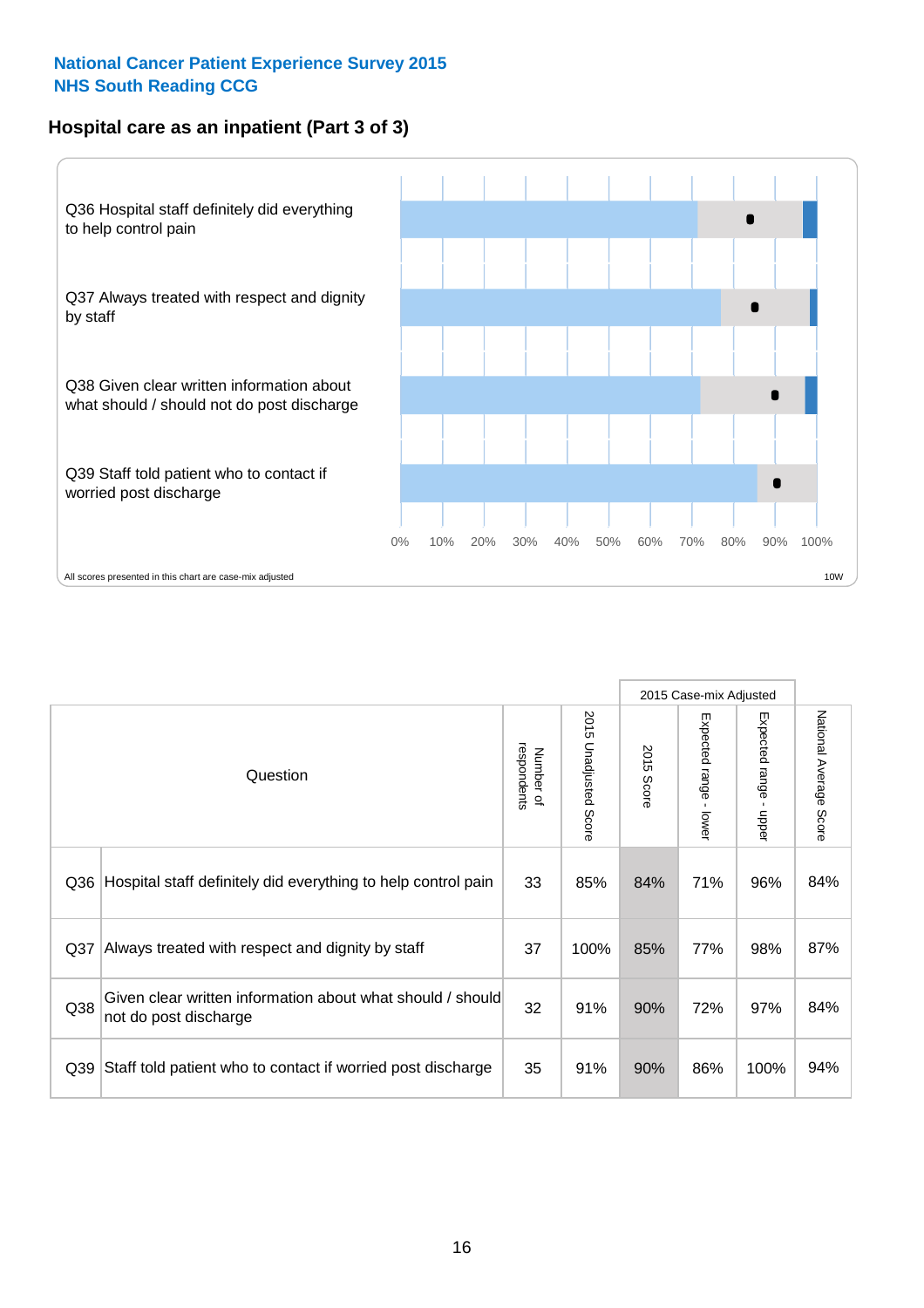#### **Hospital care as an inpatient (Part 3 of 3)**



|                 |                                                                                     |                          |                                 |               | 2015 Case-mix Adjusted                    |                                           |                        |
|-----------------|-------------------------------------------------------------------------------------|--------------------------|---------------------------------|---------------|-------------------------------------------|-------------------------------------------|------------------------|
|                 | Question                                                                            | respondents<br>Number of | 2015<br><b>Unadjusted Score</b> | 2015<br>Score | Expected range<br>$\blacksquare$<br>lower | Expected range<br>$\blacksquare$<br>nbber | National Average Score |
| Q36             | Hospital staff definitely did everything to help control pain                       | 33                       | 85%                             | 84%           | 71%                                       | 96%                                       | 84%                    |
| Q <sub>37</sub> | Always treated with respect and dignity by staff                                    | 37                       | 100%                            | 85%           | 77%                                       | 98%                                       | 87%                    |
| Q38             | Given clear written information about what should / should<br>not do post discharge | 32                       | 91%                             | 90%           | 72%                                       | 97%                                       | 84%                    |
| Q39             | Staff told patient who to contact if worried post discharge                         | 35                       | 91%                             | 90%           | 86%                                       | 100%                                      | 94%                    |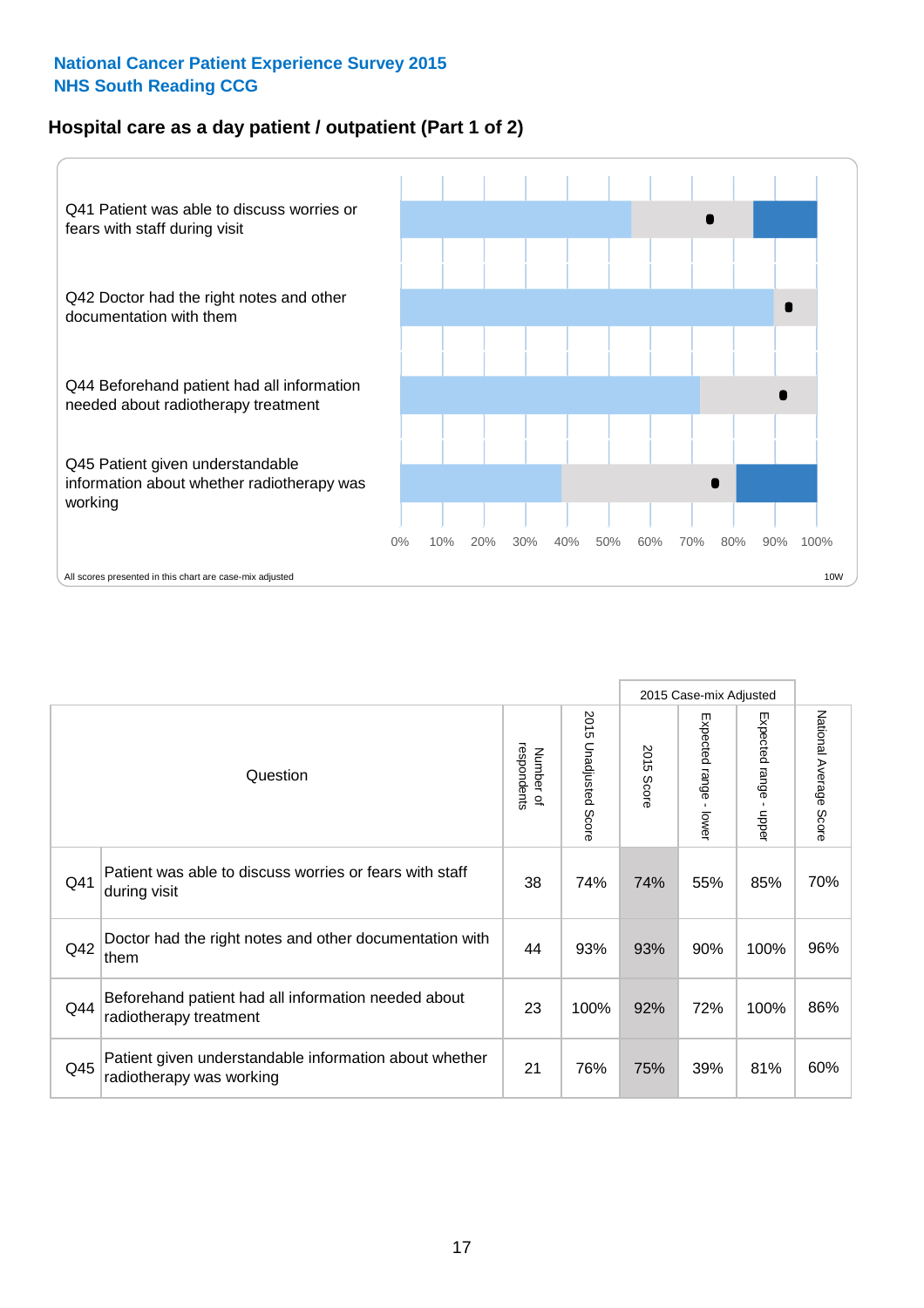#### **Hospital care as a day patient / outpatient (Part 1 of 2)**



|     |                                                                                    |                          |                                 | 2015 Case-mix Adjusted |                                         |                                         |                        |
|-----|------------------------------------------------------------------------------------|--------------------------|---------------------------------|------------------------|-----------------------------------------|-----------------------------------------|------------------------|
|     | Question                                                                           | respondents<br>Number of | 2015<br><b>Unadjusted Score</b> | 2015<br><b>Score</b>   | Expected range<br>$\mathbf{r}$<br>lower | Expected range<br>$\mathbf{I}$<br>nbber | National Average Score |
| Q41 | Patient was able to discuss worries or fears with staff<br>during visit            | 38                       | 74%                             | 74%                    | 55%                                     | 85%                                     | 70%                    |
| Q42 | Doctor had the right notes and other documentation with<br>them                    | 44                       | 93%                             | 93%                    | 90%                                     | 100%                                    | 96%                    |
| Q44 | Beforehand patient had all information needed about<br>radiotherapy treatment      | 23                       | 100%                            | 92%                    | 72%                                     | 100%                                    | 86%                    |
| Q45 | Patient given understandable information about whether<br>radiotherapy was working | 21                       | 76%                             | 75%                    | 39%                                     | 81%                                     | 60%                    |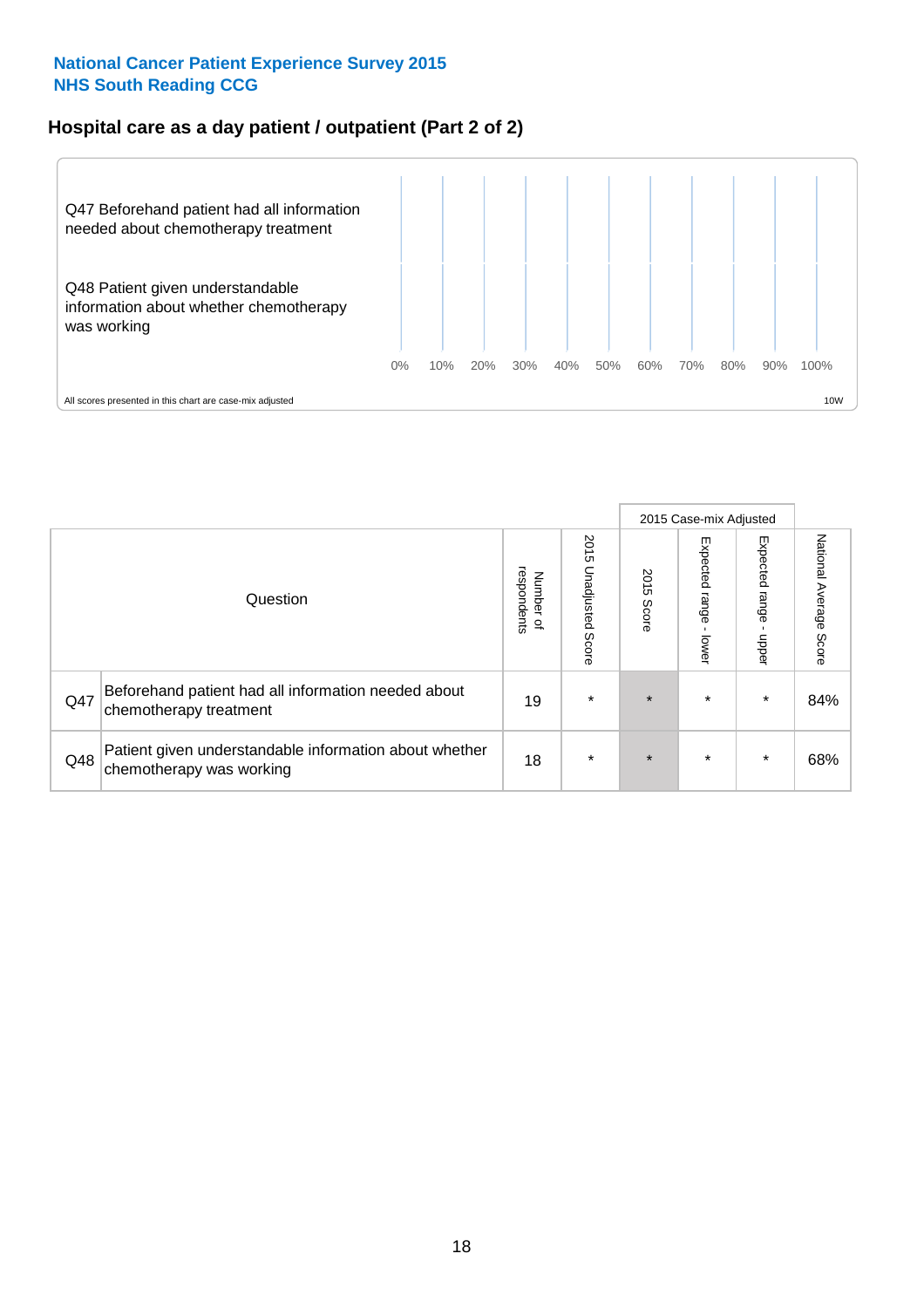#### **Hospital care as a day patient / outpatient (Part 2 of 2)**



|     |                                                                                    |                                         |                          | 2015 Case-mix Adjusted |                            |                         |                        |
|-----|------------------------------------------------------------------------------------|-----------------------------------------|--------------------------|------------------------|----------------------------|-------------------------|------------------------|
|     | Question                                                                           | respondents<br>Number<br>$\overline{a}$ | 2015<br>Unadjusted Score | 2015<br>Score          | Expected<br>range<br>lower | Expected range<br>nbper | National Average Score |
| Q47 | Beforehand patient had all information needed about<br>chemotherapy treatment      | 19                                      | $\star$                  | $\star$                | $\star$                    | $\star$                 | 84%                    |
| Q48 | Patient given understandable information about whether<br>chemotherapy was working | 18                                      | $\star$                  | $\star$                | $\star$                    | $\star$                 | 68%                    |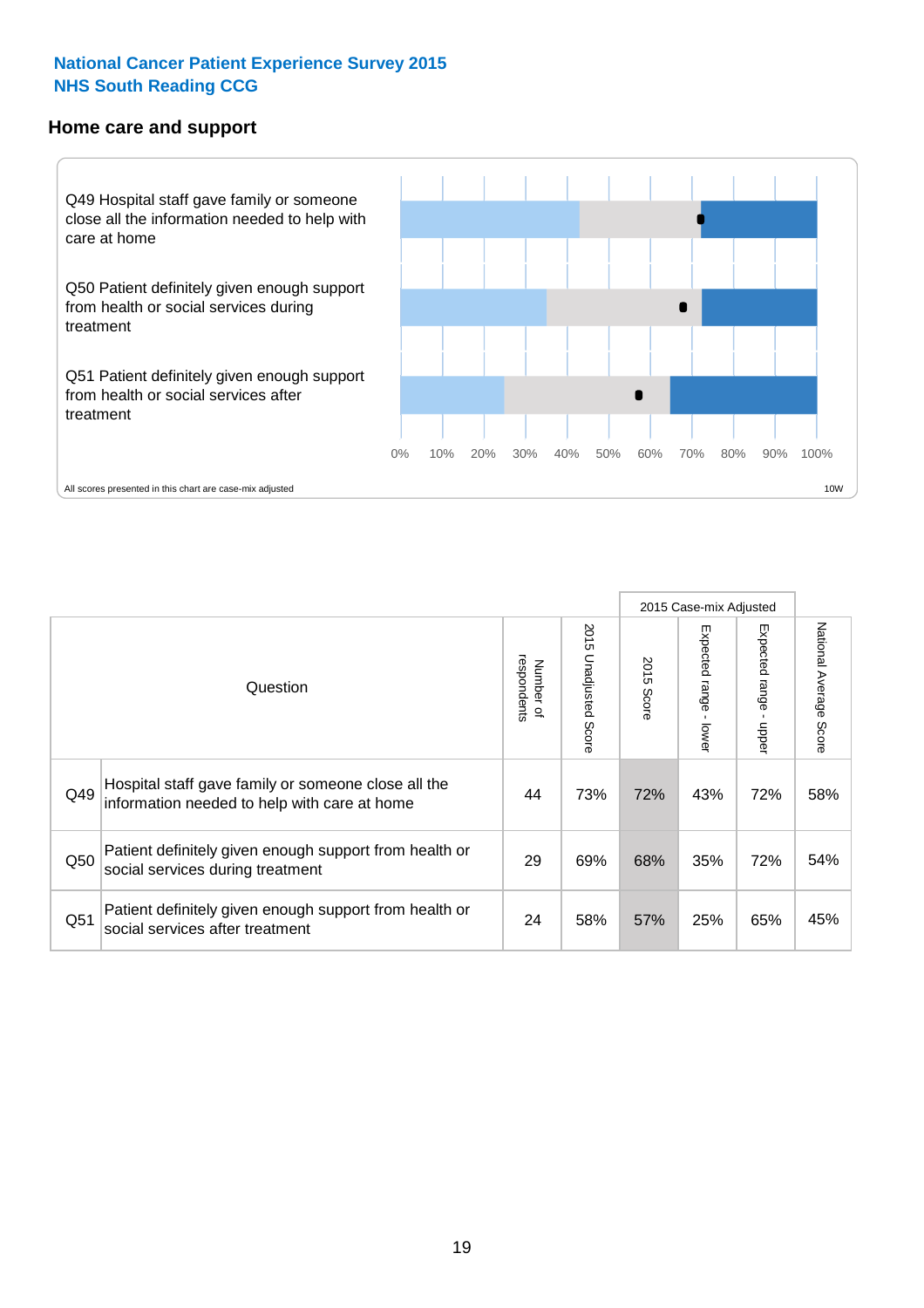#### **Home care and support**



All scores presented in this chart are case-mix adjusted

|                 |                                                                                                     |                          |                          | 2015 Case-mix Adjusted |                         |                         |                        |
|-----------------|-----------------------------------------------------------------------------------------------------|--------------------------|--------------------------|------------------------|-------------------------|-------------------------|------------------------|
|                 | Question                                                                                            | respondents<br>Number of | 2015<br>Unadjusted Score | 2015<br>Score          | Expected range<br>lower | Expected range<br>nbber | National Average Score |
| Q49             | Hospital staff gave family or someone close all the<br>information needed to help with care at home | 44                       | 73%                      | 72%                    | 43%                     | 72%                     | 58%                    |
| Q50             | Patient definitely given enough support from health or<br>social services during treatment          | 29                       | 69%                      | 68%                    | 35%                     | 72%                     | 54%                    |
| Q <sub>51</sub> | Patient definitely given enough support from health or<br>social services after treatment           | 24                       | 58%                      | 57%                    | 25%                     | 65%                     | 45%                    |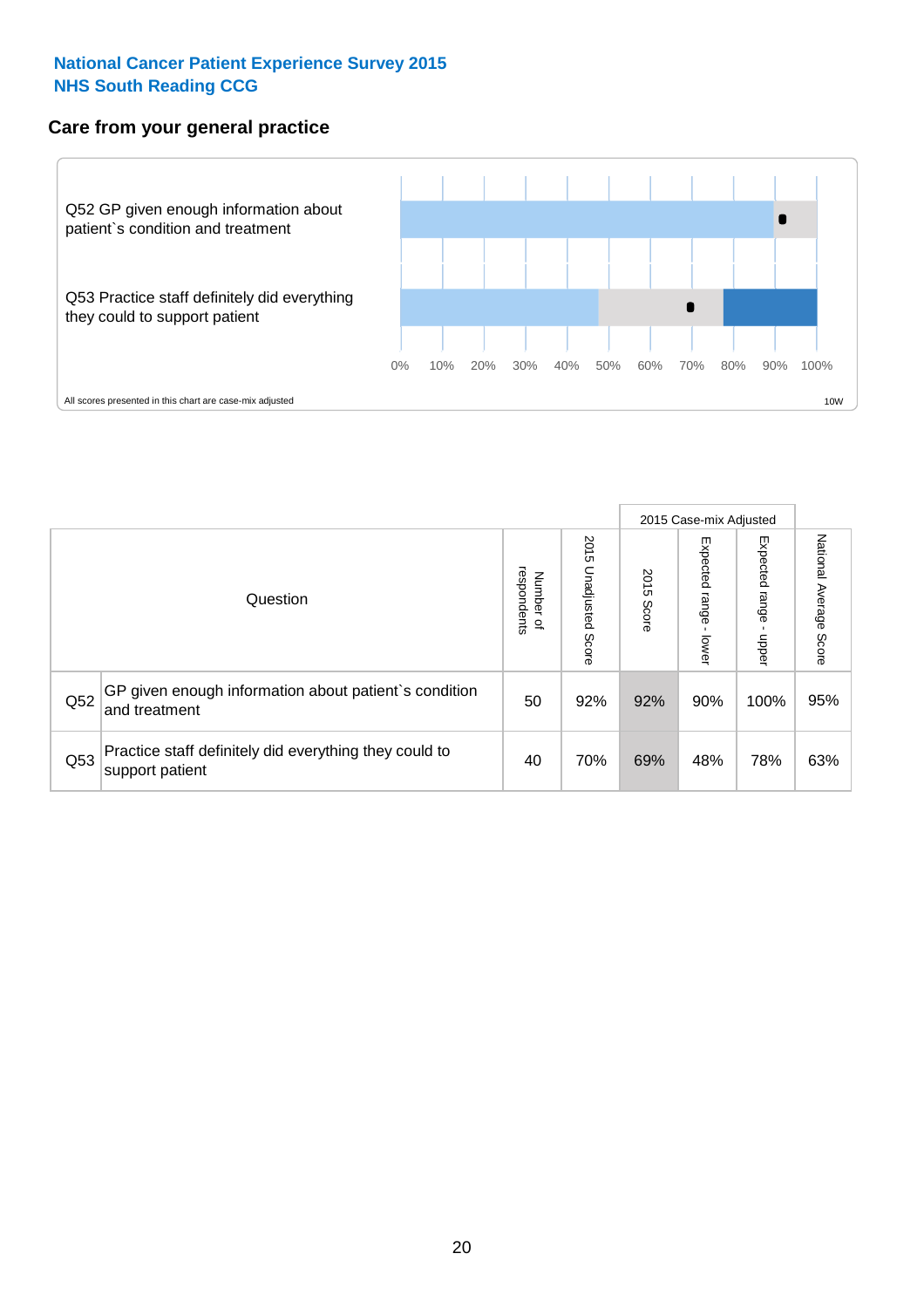#### **Care from your general practice**



|     |                                                                           |                                              |                             | 2015 Case-mix Adjusted |                              |                         |                           |
|-----|---------------------------------------------------------------------------|----------------------------------------------|-----------------------------|------------------------|------------------------------|-------------------------|---------------------------|
|     | Question                                                                  | respondents<br>Number<br>$\overline{\sigma}$ | 2015<br>Unadjusted<br>Score | 2015<br>Score          | Expected<br>I range<br>lower | Expected range<br>doper | National Average<br>Score |
| Q52 | GP given enough information about patient's condition<br>and treatment    | 50                                           | 92%                         | 92%                    | 90%                          | 100%                    | 95%                       |
| Q53 | Practice staff definitely did everything they could to<br>support patient | 40                                           | 70%                         | 69%                    | 48%                          | 78%                     | 63%                       |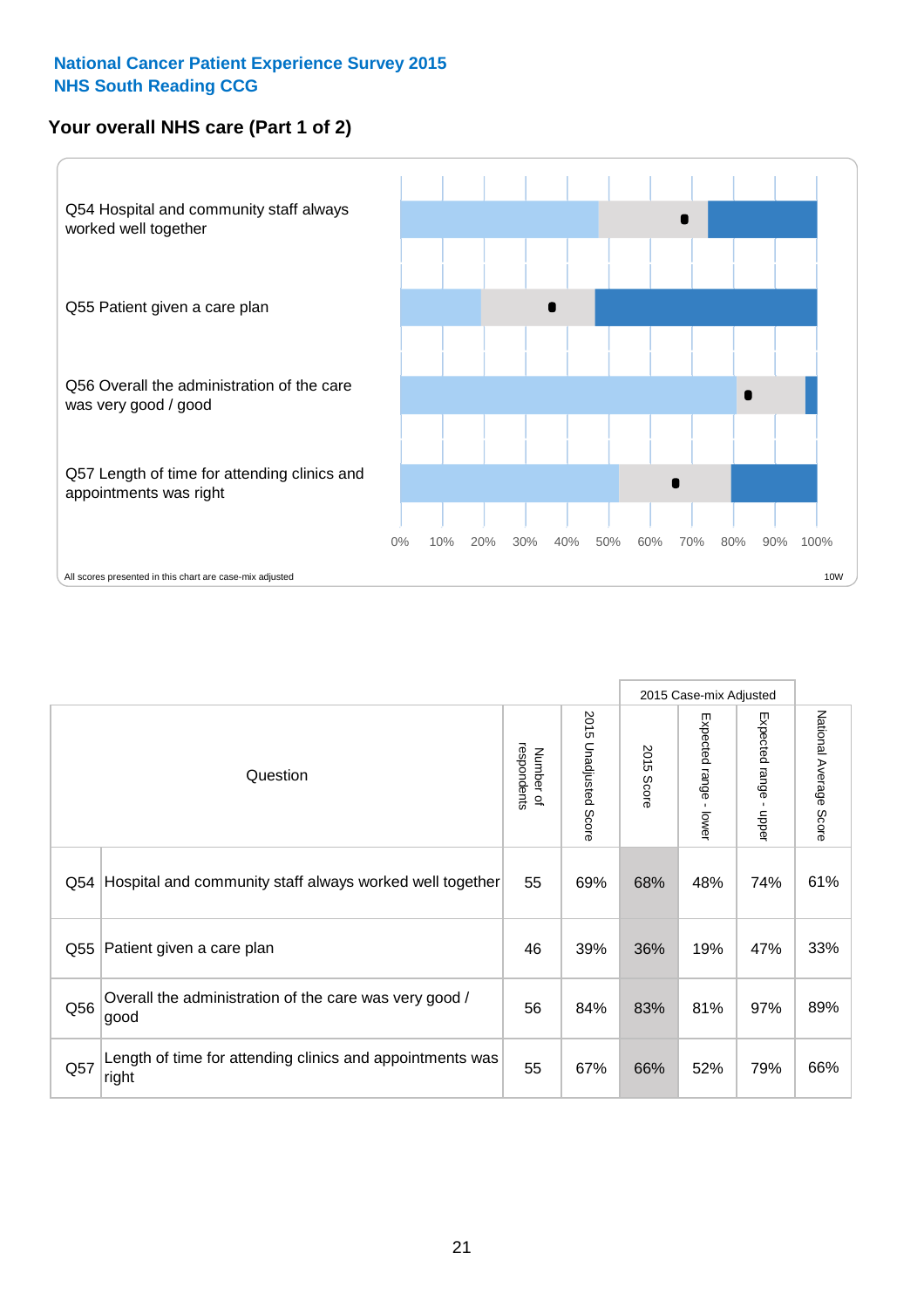#### **Your overall NHS care (Part 1 of 2)**



|     |                                                                    |                          |                          | 2015 Case-mix Adjusted |                         |                                           |                        |
|-----|--------------------------------------------------------------------|--------------------------|--------------------------|------------------------|-------------------------|-------------------------------------------|------------------------|
|     | Question                                                           | respondents<br>Number of | 2015<br>Unadjusted Score | 2015<br><b>Score</b>   | Expected range<br>lower | Expected range<br>$\blacksquare$<br>nbber | National Average Score |
| Q54 | Hospital and community staff always worked well together           | 55                       | 69%                      | 68%                    | 48%                     | 74%                                       | 61%                    |
| Q55 | Patient given a care plan                                          | 46                       | 39%                      | 36%                    | 19%                     | 47%                                       | 33%                    |
| Q56 | Overall the administration of the care was very good /<br>good     | 56                       | 84%                      | 83%                    | 81%                     | 97%                                       | 89%                    |
| Q57 | Length of time for attending clinics and appointments was<br>right | 55                       | 67%                      | 66%                    | 52%                     | 79%                                       | 66%                    |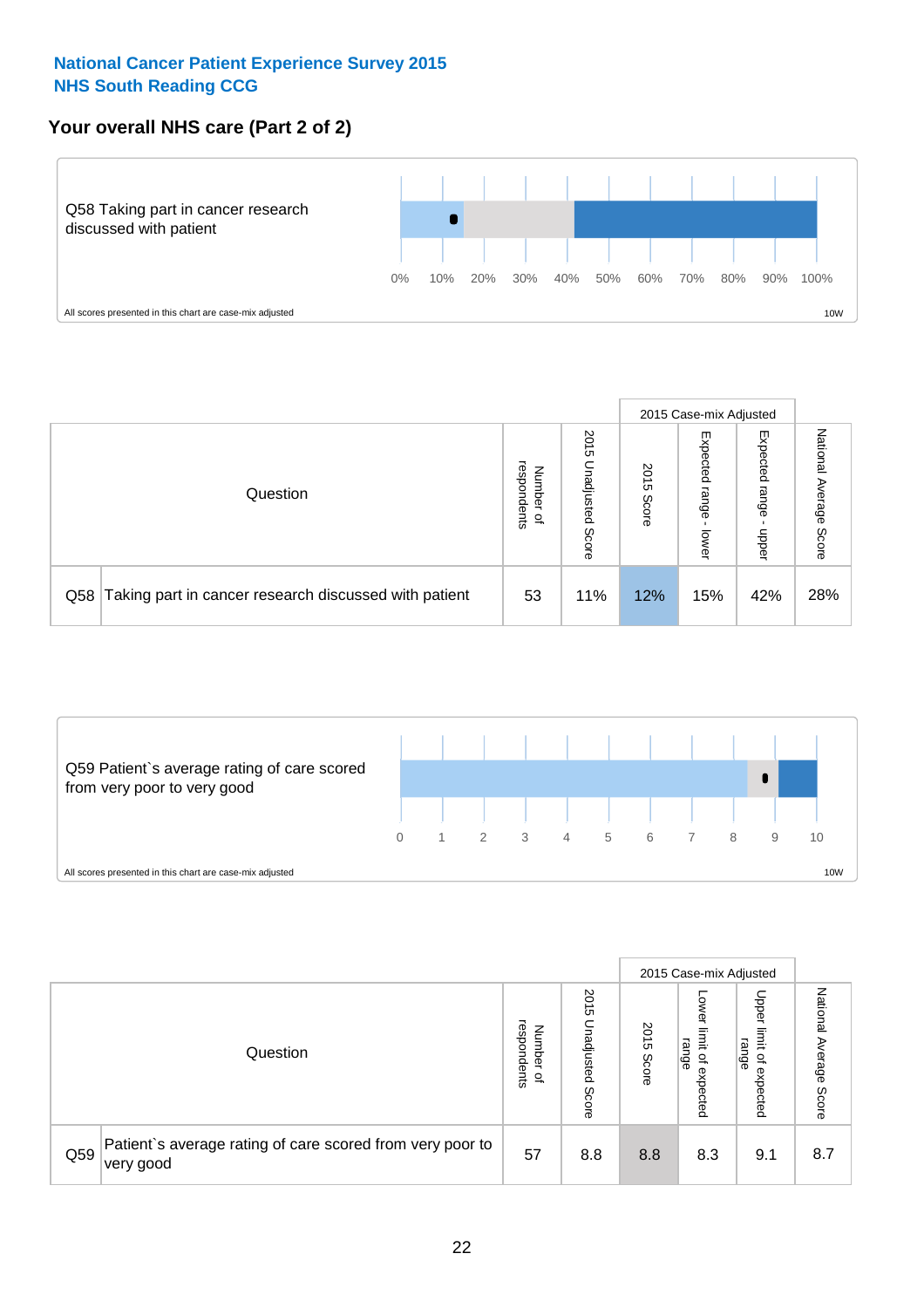#### **Your overall NHS care (Part 2 of 2)**



|     |                                                       |                                              |                             |               |                            | 2015 Case-mix Adjusted     |                        |
|-----|-------------------------------------------------------|----------------------------------------------|-----------------------------|---------------|----------------------------|----------------------------|------------------------|
|     | Question                                              | respondents<br>Number<br>$\overline{\sigma}$ | 2015<br>Jnadjusted<br>Score | 2015<br>Score | Expected<br>range<br>lower | Expected<br>range<br>nbber | National Average Score |
| Q58 | Taking part in cancer research discussed with patient | 53                                           | 11%                         | 12%           | 15%                        | 42%                        | 28%                    |



|     |                                                                        |                                              |                             |               | 2015 Case-mix Adjusted                  |                                                                 |                              |
|-----|------------------------------------------------------------------------|----------------------------------------------|-----------------------------|---------------|-----------------------------------------|-----------------------------------------------------------------|------------------------------|
|     | Question                                                               | respondents<br>Number<br>$\overline{\sigma}$ | 2015<br>Jnadjusted<br>Score | 2015<br>Score | OWer<br>limit<br>range<br>٩<br>expected | Upper<br>limit<br>range<br>$\overline{\mathcal{C}}$<br>expected | National<br>Average<br>Score |
| Q59 | Patient's average rating of care scored from very poor to<br>very good | 57                                           | 8.8                         | 8.8           | 8.3                                     | 9.1                                                             | 8.7                          |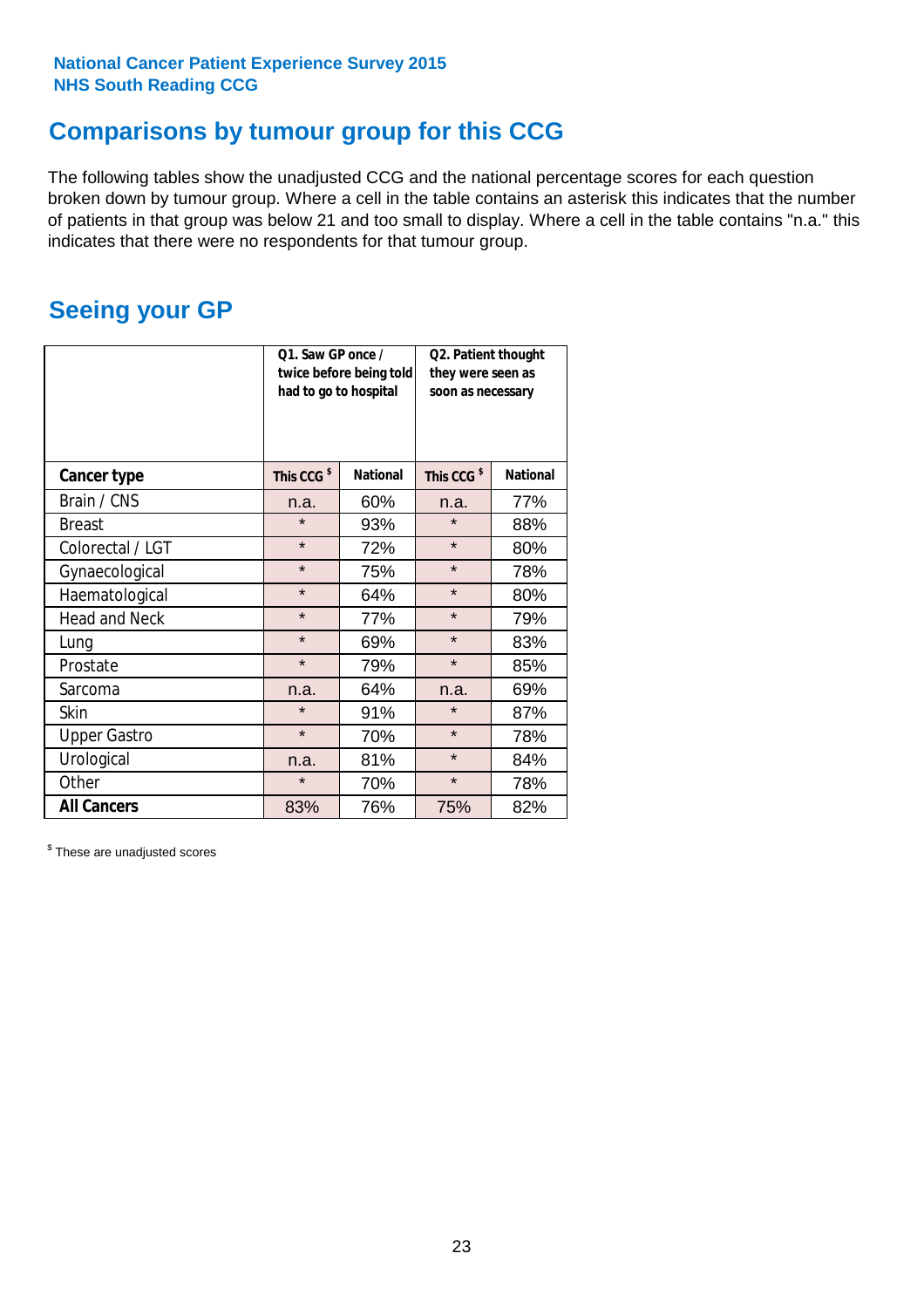### **Comparisons by tumour group for this CCG**

The following tables show the unadjusted CCG and the national percentage scores for each question broken down by tumour group. Where a cell in the table contains an asterisk this indicates that the number of patients in that group was below 21 and too small to display. Where a cell in the table contains "n.a." this indicates that there were no respondents for that tumour group.

### **Seeing your GP**

|                      | Q1. Saw GP once /<br>had to go to hospital | twice before being told | Q2. Patient thought<br>they were seen as<br>soon as necessary |                 |  |
|----------------------|--------------------------------------------|-------------------------|---------------------------------------------------------------|-----------------|--|
| <b>Cancer type</b>   | This CCG <sup>\$</sup>                     | <b>National</b>         | This CCG <sup>\$</sup>                                        | <b>National</b> |  |
| Brain / CNS          | n.a.                                       | 60%                     | n.a.                                                          | 77%             |  |
| <b>Breast</b>        | $\star$                                    | 93%                     | $\star$                                                       | 88%             |  |
| Colorectal / LGT     | $\star$                                    | 72%                     | $\star$                                                       | 80%             |  |
| Gynaecological       | $\star$                                    | 75%                     | $\star$                                                       | 78%             |  |
| Haematological       | $\star$                                    | 64%                     | $\star$                                                       | 80%             |  |
| <b>Head and Neck</b> | $\star$                                    | 77%                     | $\star$                                                       | 79%             |  |
| Lung                 | $\star$                                    | 69%                     | $\star$                                                       | 83%             |  |
| Prostate             | $\star$                                    | 79%                     | $\star$                                                       | 85%             |  |
| Sarcoma              | n.a.                                       | 64%                     | n.a.                                                          | 69%             |  |
| Skin                 | $\star$                                    | 91%                     | $\star$                                                       | 87%             |  |
| <b>Upper Gastro</b>  | $\star$                                    | 70%                     | $\star$                                                       | 78%             |  |
| Urological           | n.a.                                       | 81%                     | $\star$                                                       | 84%             |  |
| Other                | $\star$<br>70%                             |                         | $\star$                                                       | 78%             |  |
| <b>All Cancers</b>   | 83%                                        | 76%                     | 75%                                                           | 82%             |  |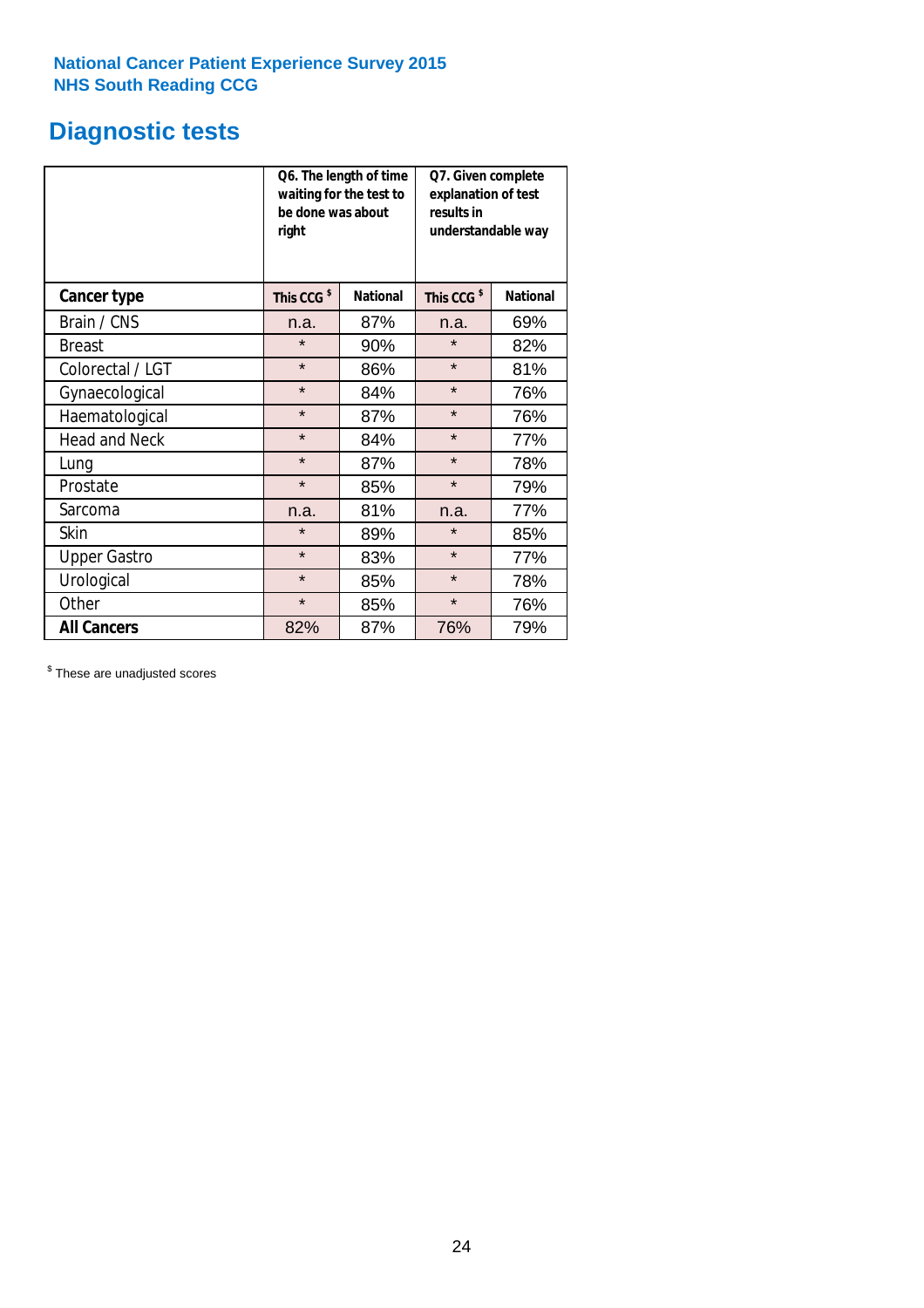### **Diagnostic tests**

|                      | be done was about<br>right | Q6. The length of time<br>waiting for the test to | Q7. Given complete<br>explanation of test<br>results in<br>understandable way |                 |  |
|----------------------|----------------------------|---------------------------------------------------|-------------------------------------------------------------------------------|-----------------|--|
| <b>Cancer type</b>   | This CCG <sup>\$</sup>     | <b>National</b>                                   | This CCG <sup>\$</sup>                                                        | <b>National</b> |  |
| Brain / CNS          | n.a.                       | 87%                                               | n.a.                                                                          | 69%             |  |
| <b>Breast</b>        | $\star$                    | 90%                                               | $\star$                                                                       | 82%             |  |
| Colorectal / LGT     | $\star$                    | 86%                                               | $\star$                                                                       | 81%             |  |
| Gynaecological       | $\star$                    | 84%                                               | $\star$                                                                       | 76%             |  |
| Haematological       | $\star$                    | 87%                                               | $\star$                                                                       | 76%             |  |
| <b>Head and Neck</b> | $\star$                    | 84%                                               | $\star$                                                                       | 77%             |  |
| Lung                 | $\star$                    | 87%                                               | $\star$                                                                       | 78%             |  |
| Prostate             | $\star$                    | 85%                                               | $\star$                                                                       | 79%             |  |
| Sarcoma              | n.a.                       | 81%                                               | n.a.                                                                          | 77%             |  |
| Skin                 | $\star$                    | 89%                                               | $\star$                                                                       | 85%             |  |
| <b>Upper Gastro</b>  | $\star$                    | 83%                                               | $\star$                                                                       | 77%             |  |
| Urological           | $\star$                    | 85%                                               | $\star$                                                                       | 78%             |  |
| Other                | $\star$                    | 85%                                               | $\star$                                                                       | 76%             |  |
| <b>All Cancers</b>   | 82%                        | 87%                                               | 76%                                                                           | 79%             |  |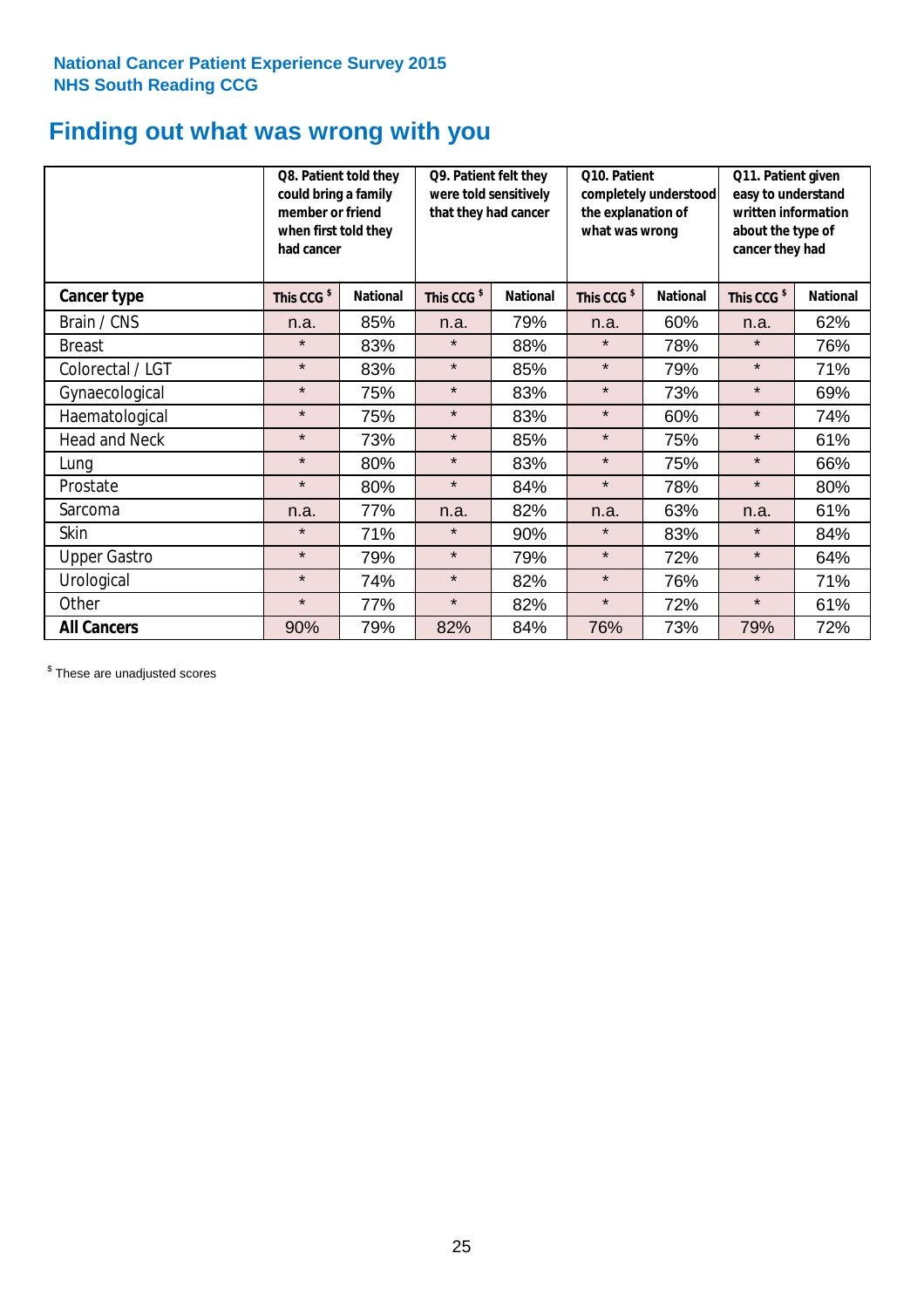### **Finding out what was wrong with you**

|                      | Q8. Patient told they<br>could bring a family<br>member or friend<br>when first told they<br>had cancer |                 | Q9. Patient felt they<br>were told sensitively<br>that they had cancer |                 | Q10. Patient<br>completely understood<br>the explanation of<br>what was wrong |                 | Q11. Patient given<br>easy to understand<br>written information<br>about the type of<br>cancer they had |                 |
|----------------------|---------------------------------------------------------------------------------------------------------|-----------------|------------------------------------------------------------------------|-----------------|-------------------------------------------------------------------------------|-----------------|---------------------------------------------------------------------------------------------------------|-----------------|
| Cancer type          | This CCG <sup>\$</sup>                                                                                  | <b>National</b> | This CCG <sup>\$</sup>                                                 | <b>National</b> | This CCG <sup>\$</sup>                                                        | <b>National</b> | This CCG <sup>\$</sup>                                                                                  | <b>National</b> |
| Brain / CNS          | n.a.                                                                                                    | 85%             | n.a.                                                                   | 79%             | n.a.                                                                          | 60%             | n.a.                                                                                                    | 62%             |
| <b>Breast</b>        | $\star$                                                                                                 | 83%             | $\star$                                                                | 88%             | $\star$                                                                       | 78%             | $\star$                                                                                                 | 76%             |
| Colorectal / LGT     | $\star$                                                                                                 | 83%             | $\star$                                                                | 85%             | $\star$                                                                       | 79%             | $\star$                                                                                                 | 71%             |
| Gynaecological       | $\star$                                                                                                 | 75%             | $\star$                                                                | 83%             | $\star$                                                                       | 73%             | $\star$                                                                                                 | 69%             |
| Haematological       | $\star$                                                                                                 | 75%             | $\star$                                                                | 83%             | $\star$                                                                       | 60%             | $\star$                                                                                                 | 74%             |
| <b>Head and Neck</b> | $\star$                                                                                                 | 73%             | $\star$                                                                | 85%             | $\star$                                                                       | 75%             | $\star$                                                                                                 | 61%             |
| Lung                 | $\star$                                                                                                 | 80%             | $\star$                                                                | 83%             | $\star$                                                                       | 75%             | $\star$                                                                                                 | 66%             |
| Prostate             | $\star$                                                                                                 | 80%             | $\star$                                                                | 84%             | $\star$                                                                       | 78%             | $\star$                                                                                                 | 80%             |
| Sarcoma              | n.a.                                                                                                    | 77%             | n.a.                                                                   | 82%             | n.a.                                                                          | 63%             | n.a.                                                                                                    | 61%             |
| Skin                 | $\star$                                                                                                 | 71%             | $\star$                                                                | 90%             | $\star$                                                                       | 83%             | $\star$                                                                                                 | 84%             |
| <b>Upper Gastro</b>  | $\star$                                                                                                 | 79%             | $\star$                                                                | 79%             | $\star$                                                                       | 72%             | $\star$                                                                                                 | 64%             |
| Urological           | $\star$                                                                                                 | 74%             | $\star$                                                                | 82%             | $\star$                                                                       | 76%             | $\star$                                                                                                 | 71%             |
| Other                | $\star$                                                                                                 | 77%             | $\star$                                                                | 82%             | $\star$                                                                       | 72%             | $\star$                                                                                                 | 61%             |
| <b>All Cancers</b>   | 90%                                                                                                     | 79%             | 82%                                                                    | 84%             | 76%                                                                           | 73%             | 79%                                                                                                     | 72%             |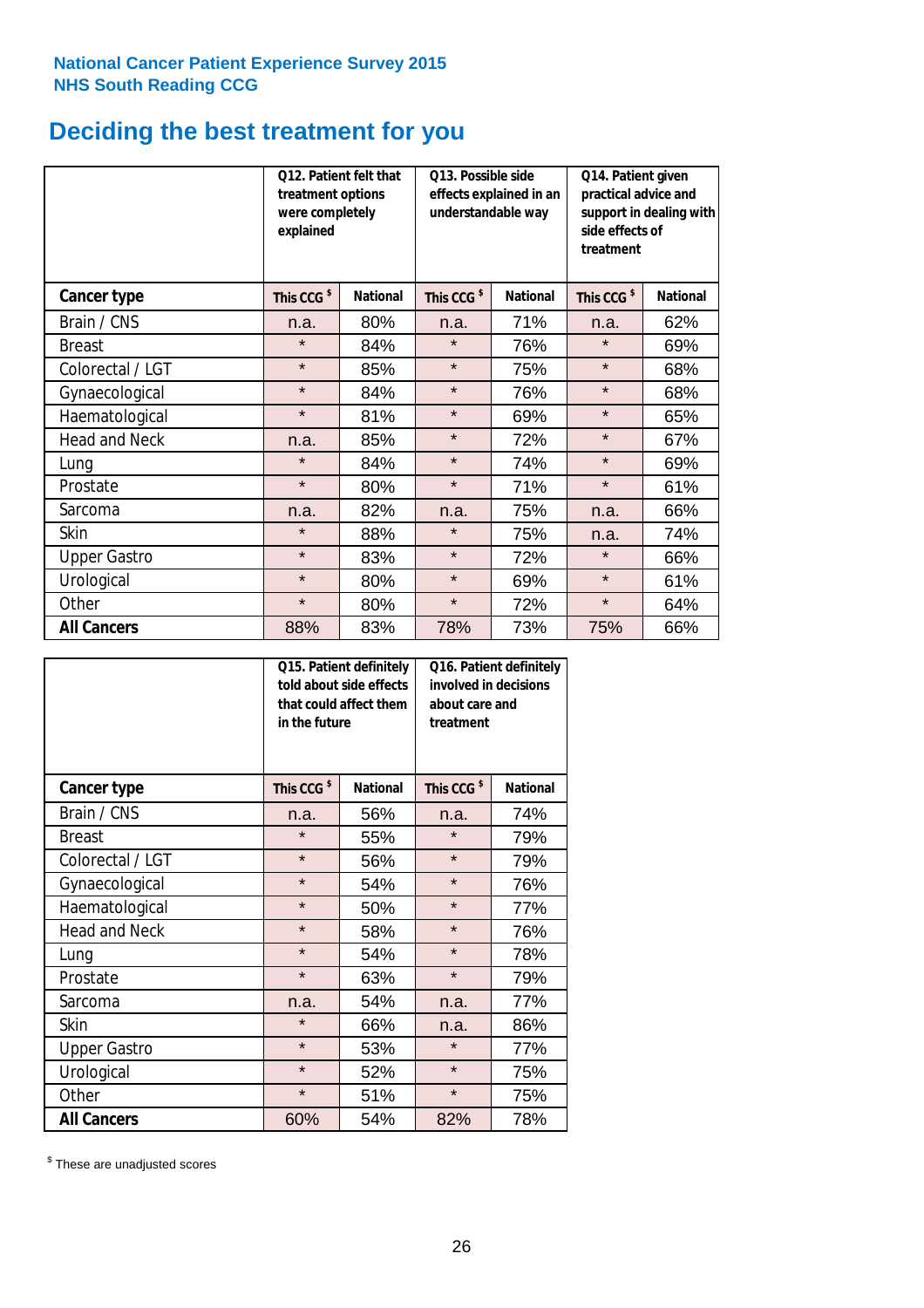### **Deciding the best treatment for you**

|                      | treatment options<br>were completely<br>explained | <b>Q12. Patient felt that</b> | Q13. Possible side<br>understandable way | effects explained in an | Q14. Patient given<br>practical advice and<br>support in dealing with<br>side effects of<br>treatment |                 |  |
|----------------------|---------------------------------------------------|-------------------------------|------------------------------------------|-------------------------|-------------------------------------------------------------------------------------------------------|-----------------|--|
| <b>Cancer type</b>   | This CCG <sup>\$</sup>                            | <b>National</b>               | This CCG <sup>\$</sup>                   | <b>National</b>         | This CCG <sup>\$</sup>                                                                                | <b>National</b> |  |
| Brain / CNS          | n.a.                                              | 80%                           | n.a.                                     | 71%                     | n.a.                                                                                                  | 62%             |  |
| <b>Breast</b>        | $\star$                                           | 84%                           | $\star$                                  | 76%                     | $\star$                                                                                               | 69%             |  |
| Colorectal / LGT     | $\star$                                           | 85%                           | $\star$                                  | 75%                     | $\star$                                                                                               | 68%             |  |
| Gynaecological       | $\star$                                           | 84%                           | $\star$                                  | 76%                     | $\star$                                                                                               | 68%             |  |
| Haematological       | $\star$                                           | 81%                           | $\star$                                  | 69%                     | $\star$                                                                                               | 65%             |  |
| <b>Head and Neck</b> | n.a.                                              | 85%                           | $\star$                                  | 72%                     | $\star$                                                                                               | 67%             |  |
| Lung                 | $\star$                                           | 84%                           | $\star$                                  | 74%                     | $\star$                                                                                               | 69%             |  |
| Prostate             | $\star$                                           | 80%                           | $\star$                                  | 71%                     | $\star$                                                                                               | 61%             |  |
| Sarcoma              | n.a.                                              | 82%                           | n.a.                                     | 75%                     | n.a.                                                                                                  | 66%             |  |
| Skin                 | $\star$                                           | 88%                           | $\star$                                  | 75%                     | n.a.                                                                                                  | 74%             |  |
| <b>Upper Gastro</b>  | $\star$                                           | 83%                           | $\star$                                  | 72%                     | $\star$                                                                                               | 66%             |  |
| Urological           | $\star$                                           | 80%                           | $\star$                                  | 69%                     | $\star$                                                                                               | 61%             |  |
| Other                | $\star$                                           | 80%                           | $\star$                                  | 72%                     | $\star$                                                                                               | 64%             |  |
| <b>All Cancers</b>   | 88%                                               | 83%                           | 78%                                      | 73%                     | 75%                                                                                                   | 66%             |  |

|                      | in the future          | Q15. Patient definitely<br>told about side effects<br>that could affect them | Q16. Patient definitely<br>involved in decisions<br>about care and<br>treatment |                 |  |
|----------------------|------------------------|------------------------------------------------------------------------------|---------------------------------------------------------------------------------|-----------------|--|
| <b>Cancer type</b>   | This CCG <sup>\$</sup> | <b>National</b>                                                              | This CCG <sup>\$</sup>                                                          | <b>National</b> |  |
| Brain / CNS          | n.a.                   | 56%                                                                          | n.a.                                                                            | 74%             |  |
| <b>Breast</b>        | $\star$                | 55%                                                                          | $\star$                                                                         | 79%             |  |
| Colorectal / LGT     | $\star$                | 56%                                                                          | $\star$                                                                         | 79%             |  |
| Gynaecological       | $\star$<br>54%         |                                                                              | $\star$                                                                         | 76%             |  |
| Haematological       | $\star$<br>50%         |                                                                              | $\star$                                                                         | 77%             |  |
| <b>Head and Neck</b> | $\star$                | 58%                                                                          | $\star$                                                                         | 76%             |  |
| Lung                 | $\star$                | 54%                                                                          | $\star$                                                                         | 78%             |  |
| Prostate             | $\star$                | 63%                                                                          | $\star$                                                                         | 79%             |  |
| Sarcoma              | n.a.                   | 54%                                                                          | n.a.                                                                            | 77%             |  |
| Skin                 | $\star$                | 66%                                                                          | n.a.                                                                            | 86%             |  |
| <b>Upper Gastro</b>  | $\star$                | 53%                                                                          | $\star$                                                                         | 77%             |  |
| Urological           | $\star$                | 52%                                                                          | $\star$                                                                         | 75%             |  |
| Other                | $\star$                | 51%                                                                          | $\star$                                                                         | 75%             |  |
| <b>All Cancers</b>   | 60%                    | 54%                                                                          | 82%                                                                             | 78%             |  |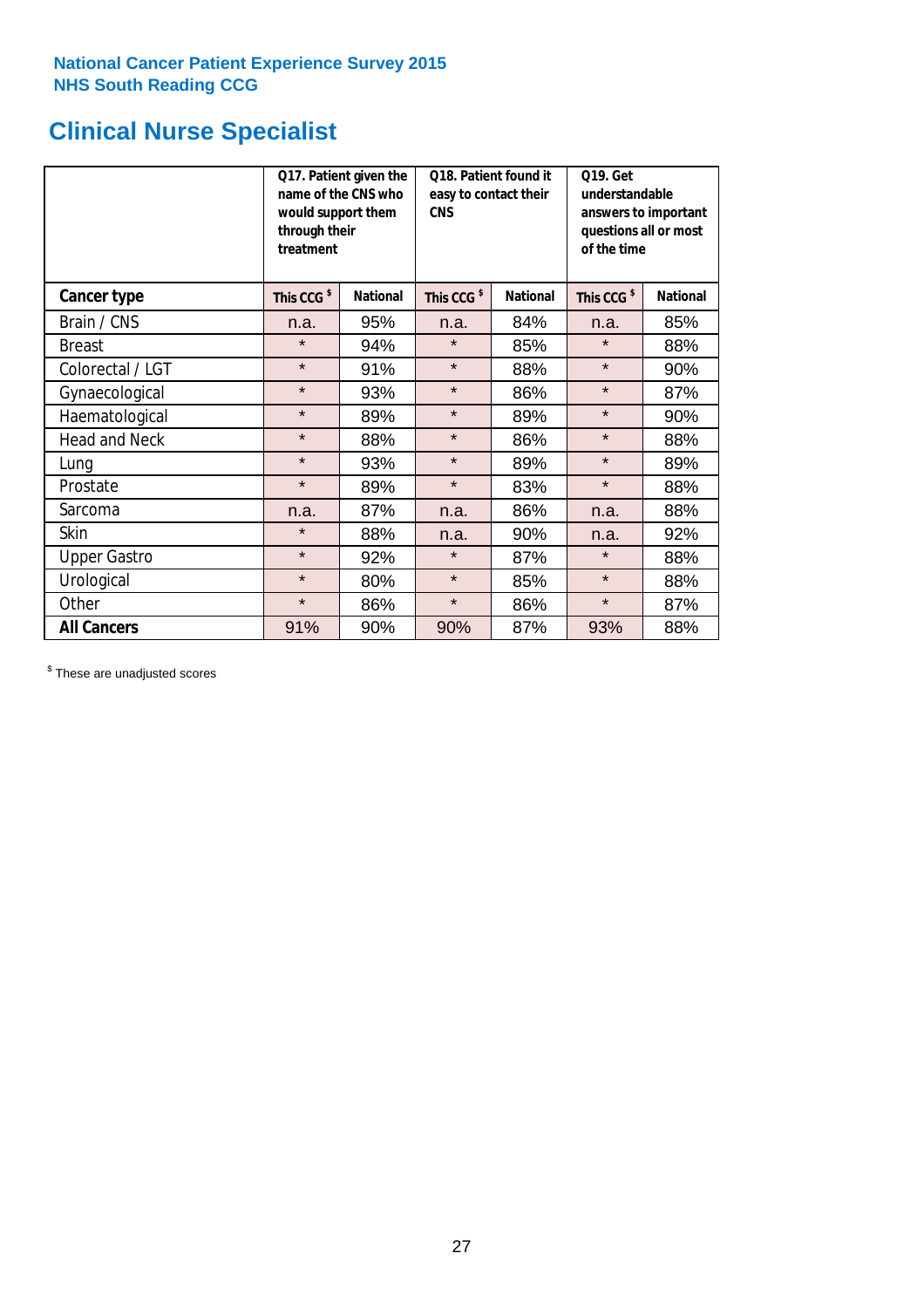## **Clinical Nurse Specialist**

|                      | would support them<br>through their<br>treatment | Q17. Patient given the<br>name of the CNS who | Q18. Patient found it<br>easy to contact their<br><b>CNS</b> |                 | <b>Q19. Get</b><br>understandable<br>answers to important<br>questions all or most<br>of the time |                 |
|----------------------|--------------------------------------------------|-----------------------------------------------|--------------------------------------------------------------|-----------------|---------------------------------------------------------------------------------------------------|-----------------|
| <b>Cancer type</b>   | This CCG <sup>\$</sup>                           | <b>National</b>                               | This CCG <sup>\$</sup>                                       | <b>National</b> | This CCG <sup>\$</sup>                                                                            | <b>National</b> |
| Brain / CNS          | n.a.                                             | 95%                                           | n.a.                                                         | 84%             | n.a.                                                                                              | 85%             |
| <b>Breast</b>        | $\star$                                          | 94%                                           | $\star$                                                      | 85%             | $\star$                                                                                           | 88%             |
| Colorectal / LGT     | $\star$                                          | 91%                                           | $\star$                                                      | 88%             | $\star$                                                                                           | 90%             |
| Gynaecological       | $\star$                                          | 93%                                           | $\star$                                                      | 86%             | $\star$                                                                                           | 87%             |
| Haematological       | $\star$                                          | 89%                                           | $\star$                                                      | 89%             | $\star$                                                                                           | 90%             |
| <b>Head and Neck</b> | $\star$                                          | 88%                                           | $\star$                                                      | 86%             | $\star$                                                                                           | 88%             |
| Lung                 | $\star$                                          | 93%                                           | $\star$                                                      | 89%             | $\star$                                                                                           | 89%             |
| Prostate             | $\star$                                          | 89%                                           | $\star$                                                      | 83%             | $\star$                                                                                           | 88%             |
| Sarcoma              | n.a.                                             | 87%                                           | n.a.                                                         | 86%             | n.a.                                                                                              | 88%             |
| Skin                 | $\star$                                          | 88%                                           | n.a.                                                         | 90%             | n.a.                                                                                              | 92%             |
| <b>Upper Gastro</b>  | $\star$                                          | 92%                                           | $\star$                                                      | 87%             | $\star$                                                                                           | 88%             |
| Urological           | $\star$                                          | 80%                                           | $\star$                                                      | 85%             | $\star$                                                                                           | 88%             |
| Other                | $\star$                                          | 86%                                           | $\star$                                                      | 86%             | $\star$                                                                                           | 87%             |
| <b>All Cancers</b>   | 91%                                              | 90%                                           | 90%                                                          | 87%             | 93%                                                                                               | 88%             |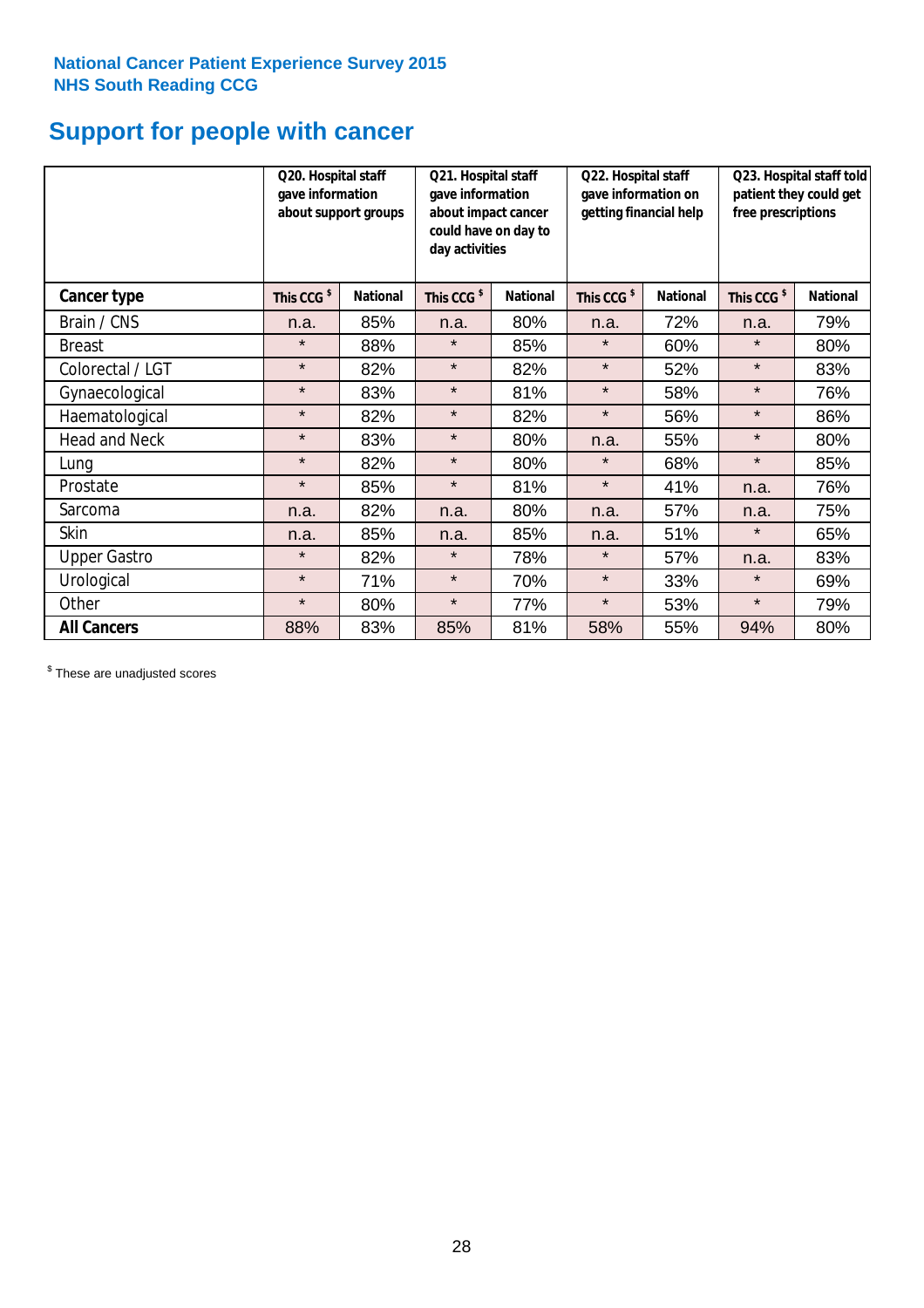## **Support for people with cancer**

|                      |                        | Q20. Hospital staff<br>gave information<br>gave information<br>about support groups<br>day activities |                        | Q21. Hospital staff<br>about impact cancer<br>could have on day to | Q22. Hospital staff<br>gave information on<br>getting financial help |                 | Q23. Hospital staff told<br>patient they could get<br>free prescriptions |                 |
|----------------------|------------------------|-------------------------------------------------------------------------------------------------------|------------------------|--------------------------------------------------------------------|----------------------------------------------------------------------|-----------------|--------------------------------------------------------------------------|-----------------|
| Cancer type          | This CCG <sup>\$</sup> | <b>National</b>                                                                                       | This CCG <sup>\$</sup> | <b>National</b>                                                    | This CCG <sup>\$</sup>                                               | <b>National</b> | This CCG <sup>\$</sup>                                                   | <b>National</b> |
| Brain / CNS          | n.a.                   | 85%                                                                                                   | n.a.                   | 80%                                                                | n.a.                                                                 | 72%             | n.a.                                                                     | 79%             |
| <b>Breast</b>        | $\star$                | 88%                                                                                                   | $\star$                | 85%                                                                | $\star$                                                              | 60%             | $\star$                                                                  | 80%             |
| Colorectal / LGT     | $\star$                | 82%                                                                                                   | $\star$                | 82%                                                                | $\star$                                                              | 52%             | $\star$                                                                  | 83%             |
| Gynaecological       | $\star$                | 83%                                                                                                   | $\star$                | 81%                                                                | $\star$                                                              | 58%             | $\star$                                                                  | 76%             |
| Haematological       | $\star$                | 82%                                                                                                   | $\star$                | 82%                                                                | $\star$                                                              | 56%             | $\star$                                                                  | 86%             |
| <b>Head and Neck</b> | $\star$                | 83%                                                                                                   | $\star$                | 80%                                                                | n.a.                                                                 | 55%             | $\star$                                                                  | 80%             |
| Lung                 | $\star$                | 82%                                                                                                   | $\star$                | 80%                                                                | $\star$                                                              | 68%             | $\star$                                                                  | 85%             |
| Prostate             | $\star$                | 85%                                                                                                   | $\star$                | 81%                                                                | $\star$                                                              | 41%             | n.a.                                                                     | 76%             |
| Sarcoma              | n.a.                   | 82%                                                                                                   | n.a.                   | 80%                                                                | n.a.                                                                 | 57%             | n.a.                                                                     | 75%             |
| Skin                 | n.a.                   | 85%                                                                                                   | n.a.                   | 85%                                                                | n.a.                                                                 | 51%             | $\star$                                                                  | 65%             |
| <b>Upper Gastro</b>  | $\star$                | 82%                                                                                                   | $\star$                | 78%                                                                | $\star$                                                              | 57%             | n.a.                                                                     | 83%             |
| Urological           | $\star$                | 71%                                                                                                   | $\star$                | 70%                                                                | $\star$                                                              | 33%             | $\star$                                                                  | 69%             |
| Other                | $\star$                | 80%                                                                                                   | $\star$                | 77%                                                                | $\star$                                                              | 53%             | $\star$                                                                  | 79%             |
| <b>All Cancers</b>   | 88%                    | 83%                                                                                                   | 85%                    | 81%                                                                | 58%                                                                  | 55%             | 94%                                                                      | 80%             |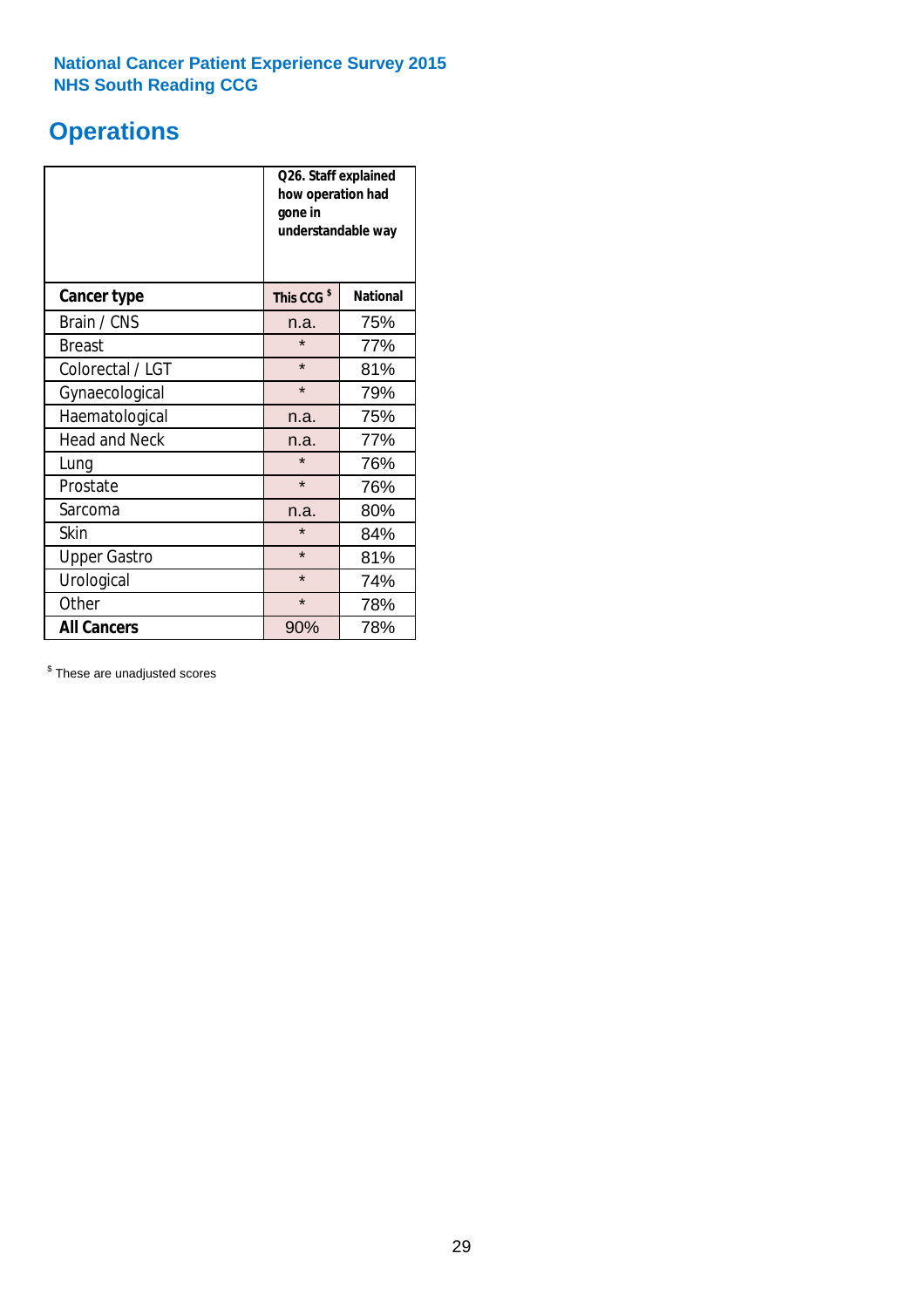### **Operations**

|                      | Q26. Staff explained<br>how operation had<br>gone in<br>understandable way |                 |  |  |
|----------------------|----------------------------------------------------------------------------|-----------------|--|--|
| <b>Cancer type</b>   | This CCG <sup>\$</sup>                                                     | <b>National</b> |  |  |
| Brain / CNS          | n.a.                                                                       | 75%             |  |  |
| <b>Breast</b>        | $\star$                                                                    | 77%             |  |  |
| Colorectal / LGT     | $\star$                                                                    | 81%             |  |  |
| Gynaecological       | $\star$                                                                    | 79%             |  |  |
| Haematological       | 75%<br>n.a.                                                                |                 |  |  |
| <b>Head and Neck</b> | n.a.                                                                       | 77%             |  |  |
| Lung                 | $\star$                                                                    | 76%             |  |  |
| Prostate             | $\star$                                                                    | 76%             |  |  |
| Sarcoma              | n.a.                                                                       | 80%             |  |  |
| Skin                 | $\star$                                                                    | 84%             |  |  |
| <b>Upper Gastro</b>  | $\star$                                                                    | 81%             |  |  |
| Urological           | $\star$                                                                    | 74%             |  |  |
| Other                | $\star$<br>78%                                                             |                 |  |  |
| <b>All Cancers</b>   | 90%                                                                        | 78%             |  |  |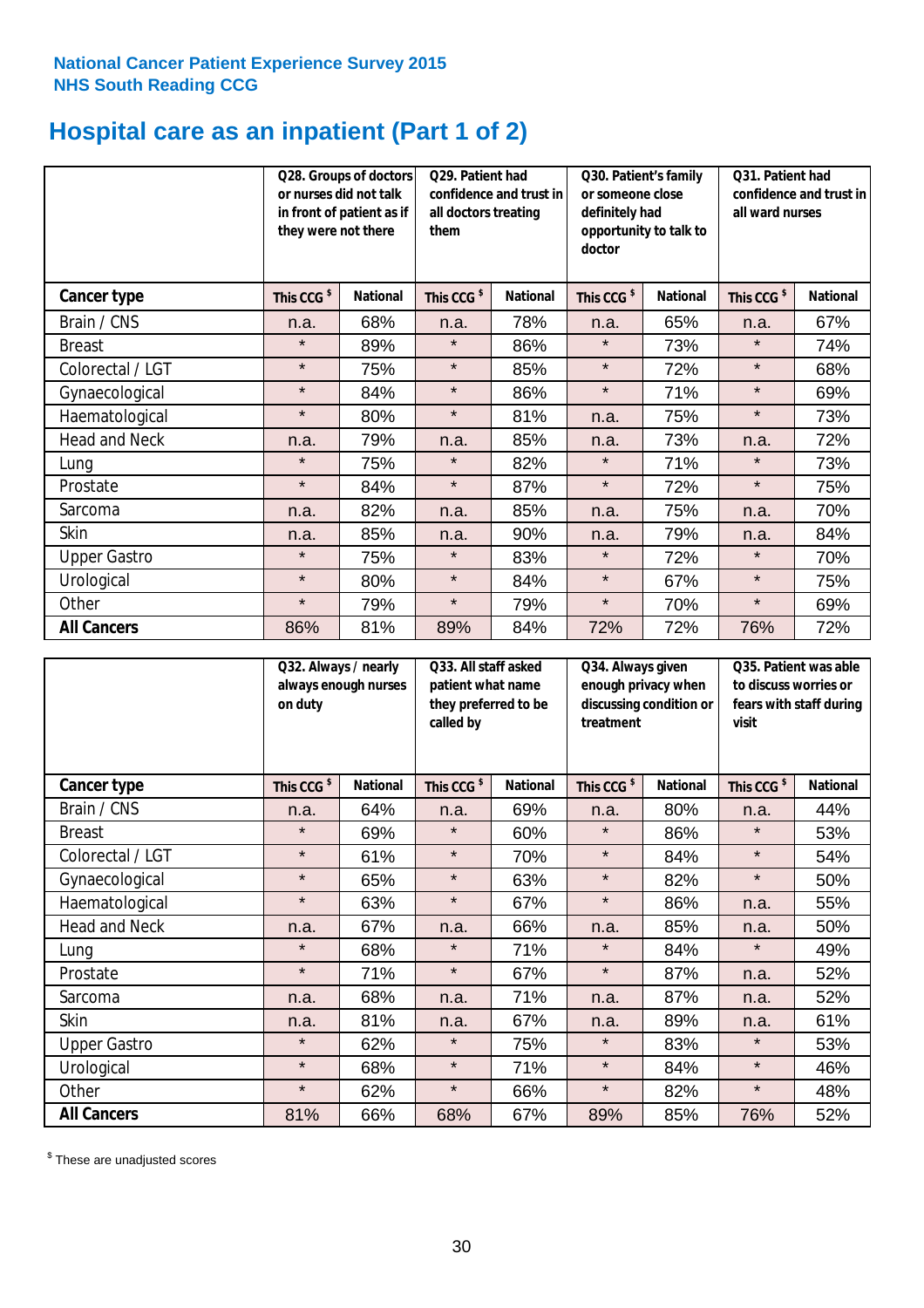### **Hospital care as an inpatient (Part 1 of 2)**

|                      |                        | Q29. Patient had<br>Q28. Groups of doctors<br>or nurses did not talk<br>confidence and trust in<br>in front of patient as if<br>all doctors treating<br>they were not there<br>them |                        | Q30. Patient's family<br>or someone close<br>definitely had<br>opportunity to talk to<br>doctor |                        | Q31. Patient had<br>confidence and trust in I<br>all ward nurses |                        |                 |
|----------------------|------------------------|-------------------------------------------------------------------------------------------------------------------------------------------------------------------------------------|------------------------|-------------------------------------------------------------------------------------------------|------------------------|------------------------------------------------------------------|------------------------|-----------------|
| Cancer type          | This CCG <sup>\$</sup> | <b>National</b>                                                                                                                                                                     | This CCG <sup>\$</sup> | <b>National</b>                                                                                 | This CCG <sup>\$</sup> | <b>National</b>                                                  | This CCG <sup>\$</sup> | <b>National</b> |
| Brain / CNS          | n.a.                   | 68%                                                                                                                                                                                 | n.a.                   | 78%                                                                                             | n.a.                   | 65%                                                              | n.a.                   | 67%             |
| <b>Breast</b>        | $\star$                | 89%                                                                                                                                                                                 | $\star$                | 86%                                                                                             | $\star$                | 73%                                                              | $\star$                | 74%             |
| Colorectal / LGT     | $\star$                | 75%                                                                                                                                                                                 | $\star$                | 85%                                                                                             | $\star$                | 72%                                                              | $\star$                | 68%             |
| Gynaecological       | $\star$                | 84%                                                                                                                                                                                 | $\star$                | 86%                                                                                             | $\star$                | 71%                                                              | $\star$                | 69%             |
| Haematological       | $\star$                | 80%                                                                                                                                                                                 | $\star$                | 81%                                                                                             | n.a.                   | 75%                                                              | $\star$                | 73%             |
| <b>Head and Neck</b> | n.a.                   | 79%                                                                                                                                                                                 | n.a.                   | 85%                                                                                             | n.a.                   | 73%                                                              | n.a.                   | 72%             |
| Lung                 | $\star$                | 75%                                                                                                                                                                                 | $\star$                | 82%                                                                                             | $\star$                | 71%                                                              | $\star$                | 73%             |
| Prostate             | $\star$                | 84%                                                                                                                                                                                 | $\star$                | 87%                                                                                             | $\star$                | 72%                                                              | $\star$                | 75%             |
| Sarcoma              | n.a.                   | 82%                                                                                                                                                                                 | n.a.                   | 85%                                                                                             | n.a.                   | 75%                                                              | n.a.                   | 70%             |
| Skin                 | n.a.                   | 85%                                                                                                                                                                                 | n.a.                   | 90%                                                                                             | n.a.                   | 79%                                                              | n.a.                   | 84%             |
| <b>Upper Gastro</b>  | $\star$                | 75%                                                                                                                                                                                 | $\star$                | 83%                                                                                             | $\star$                | 72%                                                              | $\star$                | 70%             |
| Urological           | $\star$                | 80%                                                                                                                                                                                 | $\star$                | 84%                                                                                             | $\star$                | 67%                                                              | $\star$                | 75%             |
| Other                | $\star$                | 79%                                                                                                                                                                                 | $\star$                | 79%                                                                                             | $\star$                | 70%                                                              | $\star$                | 69%             |
| <b>All Cancers</b>   | 86%                    | 81%                                                                                                                                                                                 | 89%                    | 84%                                                                                             | 72%                    | 72%                                                              | 76%                    | 72%             |

|                      | Q32. Always / nearly<br>always enough nurses<br>on duty |                 | Q33. All staff asked<br>patient what name<br>they preferred to be<br>called by |                 | Q34. Always given<br>enough privacy when<br>discussing condition or<br>treatment |                 | Q35. Patient was able<br>to discuss worries or<br>fears with staff during<br>visit |                 |
|----------------------|---------------------------------------------------------|-----------------|--------------------------------------------------------------------------------|-----------------|----------------------------------------------------------------------------------|-----------------|------------------------------------------------------------------------------------|-----------------|
| <b>Cancer type</b>   | This CCG <sup>\$</sup>                                  | <b>National</b> | This CCG <sup>\$</sup>                                                         | <b>National</b> | This CCG <sup>\$</sup>                                                           | <b>National</b> | This CCG <sup>\$</sup>                                                             | <b>National</b> |
| Brain / CNS          | n.a.                                                    | 64%             | n.a.                                                                           | 69%             | n.a.                                                                             | 80%             | n.a.                                                                               | 44%             |
| <b>Breast</b>        | $\star$                                                 | 69%             | $\star$                                                                        | 60%             | $\star$                                                                          | 86%             | $\star$                                                                            | 53%             |
| Colorectal / LGT     | $\star$                                                 | 61%             | $\star$                                                                        | 70%             | $\star$                                                                          | 84%             | $\star$                                                                            | 54%             |
| Gynaecological       | $\star$                                                 | 65%             | $\star$                                                                        | 63%             | $\star$                                                                          | 82%             | $\star$                                                                            | 50%             |
| Haematological       | $\star$                                                 | 63%             | $\star$                                                                        | 67%             | $\star$                                                                          | 86%             | n.a.                                                                               | 55%             |
| <b>Head and Neck</b> | n.a.                                                    | 67%             | n.a.                                                                           | 66%             | n.a.                                                                             | 85%             | n.a.                                                                               | 50%             |
| Lung                 | $\star$                                                 | 68%             | $\star$                                                                        | 71%             | $\star$                                                                          | 84%             | $\star$                                                                            | 49%             |
| Prostate             | $\star$                                                 | 71%             | $\star$                                                                        | 67%             | $\star$                                                                          | 87%             | n.a.                                                                               | 52%             |
| Sarcoma              | n.a.                                                    | 68%             | n.a.                                                                           | 71%             | n.a.                                                                             | 87%             | n.a.                                                                               | 52%             |
| Skin                 | n.a.                                                    | 81%             | n.a.                                                                           | 67%             | n.a.                                                                             | 89%             | n.a.                                                                               | 61%             |
| <b>Upper Gastro</b>  | $\star$                                                 | 62%             | $\star$                                                                        | 75%             | $\star$                                                                          | 83%             | $\star$                                                                            | 53%             |
| Urological           | $\star$                                                 | 68%             | $\star$                                                                        | 71%             | $\star$                                                                          | 84%             | $\star$                                                                            | 46%             |
| Other                | $\star$                                                 | 62%             | $\star$                                                                        | 66%             | $\star$                                                                          | 82%             | $\star$                                                                            | 48%             |
| <b>All Cancers</b>   | 81%                                                     | 66%             | 68%                                                                            | 67%             | 89%                                                                              | 85%             | 76%                                                                                | 52%             |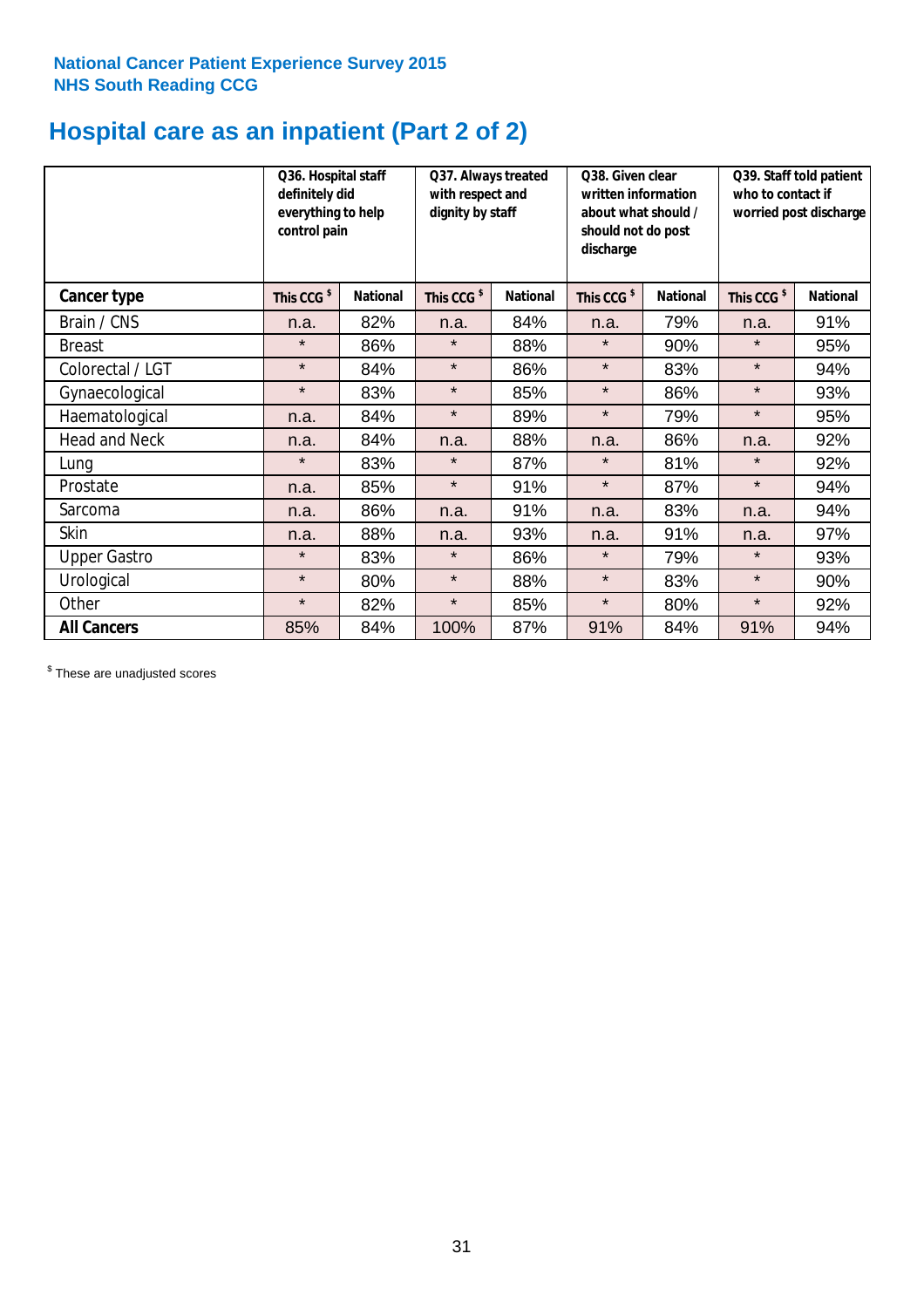### **Hospital care as an inpatient (Part 2 of 2)**

|                      | Q36. Hospital staff<br>definitely did<br>everything to help<br>control pain |                 | Q37. Always treated<br>with respect and<br>dignity by staff |                 | Q38. Given clear<br>written information<br>about what should /<br>should not do post<br>discharge |                 | Q39. Staff told patient<br>who to contact if<br>worried post discharge |                 |
|----------------------|-----------------------------------------------------------------------------|-----------------|-------------------------------------------------------------|-----------------|---------------------------------------------------------------------------------------------------|-----------------|------------------------------------------------------------------------|-----------------|
| Cancer type          | This CCG <sup>\$</sup>                                                      | <b>National</b> | This CCG <sup>\$</sup>                                      | <b>National</b> | This CCG <sup>\$</sup>                                                                            | <b>National</b> | This CCG <sup>\$</sup>                                                 | <b>National</b> |
| Brain / CNS          | n.a.                                                                        | 82%             | n.a.                                                        | 84%             | n.a.                                                                                              | 79%             | n.a.                                                                   | 91%             |
| <b>Breast</b>        | $\star$                                                                     | 86%             | $\star$                                                     | 88%             | $\star$                                                                                           | 90%             | $\star$                                                                | 95%             |
| Colorectal / LGT     | $\star$                                                                     | 84%             | $\star$                                                     | 86%             | $\star$                                                                                           | 83%             | $\star$                                                                | 94%             |
| Gynaecological       | $\star$                                                                     | 83%             | $\star$                                                     | 85%             | $\star$                                                                                           | 86%             | $\star$                                                                | 93%             |
| Haematological       | n.a.                                                                        | 84%             | $\star$                                                     | 89%             | $\star$                                                                                           | 79%             | $\star$                                                                | 95%             |
| <b>Head and Neck</b> | n.a.                                                                        | 84%             | n.a.                                                        | 88%             | n.a.                                                                                              | 86%             | n.a.                                                                   | 92%             |
| Lung                 | $\star$                                                                     | 83%             | $\star$                                                     | 87%             | $\star$                                                                                           | 81%             | $\star$                                                                | 92%             |
| Prostate             | n.a.                                                                        | 85%             | $\star$                                                     | 91%             | $\star$                                                                                           | 87%             | $\star$                                                                | 94%             |
| Sarcoma              | n.a.                                                                        | 86%             | n.a.                                                        | 91%             | n.a.                                                                                              | 83%             | n.a.                                                                   | 94%             |
| Skin                 | n.a.                                                                        | 88%             | n.a.                                                        | 93%             | n.a.                                                                                              | 91%             | n.a.                                                                   | 97%             |
| <b>Upper Gastro</b>  | $\star$                                                                     | 83%             | $\star$                                                     | 86%             | $\star$                                                                                           | 79%             | $\star$                                                                | 93%             |
| Urological           | $\star$                                                                     | 80%             | $\star$                                                     | 88%             | $\star$                                                                                           | 83%             | $\star$                                                                | 90%             |
| Other                | $\star$                                                                     | 82%             | $\star$                                                     | 85%             | $\star$                                                                                           | 80%             | $\star$                                                                | 92%             |
| <b>All Cancers</b>   | 85%                                                                         | 84%             | 100%                                                        | 87%             | 91%                                                                                               | 84%             | 91%                                                                    | 94%             |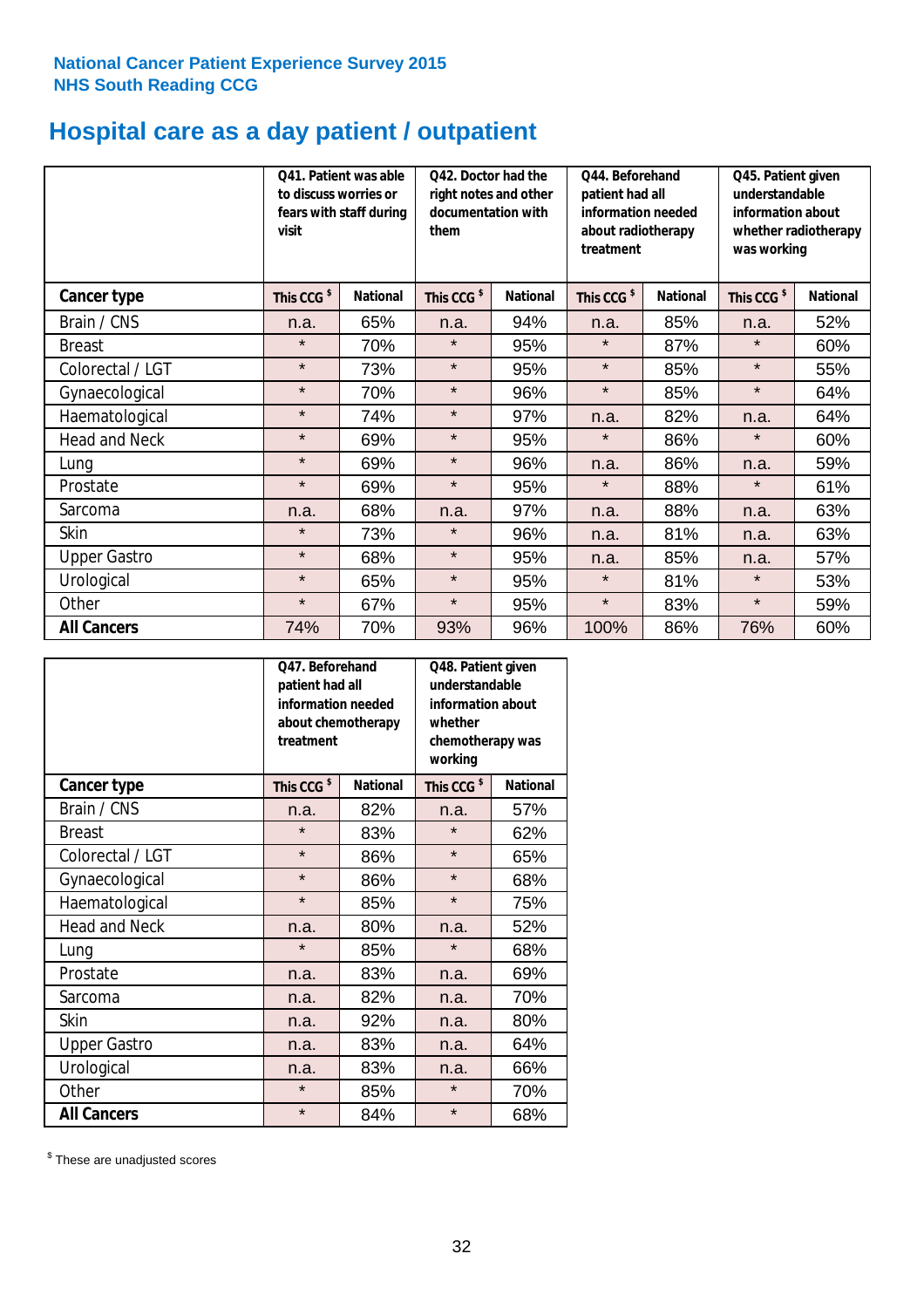## **Hospital care as a day patient / outpatient**

|                      | to discuss worries or<br>visit | Q41. Patient was able<br>fears with staff during | Q42. Doctor had the<br>right notes and other<br>documentation with<br>them |                 | Q44. Beforehand<br>patient had all<br>information needed<br>about radiotherapy<br>treatment |                 | Q45. Patient given<br>understandable<br>information about<br>whether radiotherapy<br>was working |                 |
|----------------------|--------------------------------|--------------------------------------------------|----------------------------------------------------------------------------|-----------------|---------------------------------------------------------------------------------------------|-----------------|--------------------------------------------------------------------------------------------------|-----------------|
| <b>Cancer type</b>   | This CCG <sup>\$</sup>         | <b>National</b>                                  | This CCG <sup>\$</sup>                                                     | <b>National</b> | This CCG <sup>\$</sup>                                                                      | <b>National</b> | This CCG <sup>\$</sup>                                                                           | <b>National</b> |
| Brain / CNS          | n.a.                           | 65%                                              | n.a.                                                                       | 94%             | n.a.                                                                                        | 85%             | n.a.                                                                                             | 52%             |
| <b>Breast</b>        | $\star$                        | 70%                                              | $\star$                                                                    | 95%             | $\star$                                                                                     | 87%             | $\star$                                                                                          | 60%             |
| Colorectal / LGT     | $\star$                        | 73%                                              | $\star$                                                                    | 95%             | $\star$                                                                                     | 85%             | $\star$                                                                                          | 55%             |
| Gynaecological       | $\star$                        | 70%                                              | $\star$                                                                    | 96%             | $\star$                                                                                     | 85%             | $\star$                                                                                          | 64%             |
| Haematological       | $\star$                        | 74%                                              | $\star$                                                                    | 97%             | n.a.                                                                                        | 82%             | n.a.                                                                                             | 64%             |
| <b>Head and Neck</b> | $\star$                        | 69%                                              | $\star$                                                                    | 95%             | $\star$                                                                                     | 86%             | $\star$                                                                                          | 60%             |
| Lung                 | $\star$                        | 69%                                              | $\star$                                                                    | 96%             | n.a.                                                                                        | 86%             | n.a.                                                                                             | 59%             |
| Prostate             | $\star$                        | 69%                                              | $\star$                                                                    | 95%             | $\star$                                                                                     | 88%             | $\star$                                                                                          | 61%             |
| Sarcoma              | n.a.                           | 68%                                              | n.a.                                                                       | 97%             | n.a.                                                                                        | 88%             | n.a.                                                                                             | 63%             |
| Skin                 | $\star$                        | 73%                                              | $\star$                                                                    | 96%             | n.a.                                                                                        | 81%             | n.a.                                                                                             | 63%             |
| <b>Upper Gastro</b>  | $\star$                        | 68%                                              | $\star$                                                                    | 95%             | n.a.                                                                                        | 85%             | n.a.                                                                                             | 57%             |
| Urological           | $\star$                        | 65%                                              | $\star$                                                                    | 95%             | $\star$                                                                                     | 81%             | $\star$                                                                                          | 53%             |
| Other                | $\star$                        | 67%                                              | $\star$                                                                    | 95%             | $\star$                                                                                     | 83%             | $\star$                                                                                          | 59%             |
| <b>All Cancers</b>   | 74%                            | 70%                                              | 93%                                                                        | 96%             | 100%                                                                                        | 86%             | 76%                                                                                              | 60%             |

|                      | O47. Beforehand<br>patient had all<br>information needed<br>about chemotherapy<br>treatment |                 | Q48. Patient given<br>understandable<br>information about<br>whether<br>chemotherapy was<br>working |                 |  |
|----------------------|---------------------------------------------------------------------------------------------|-----------------|-----------------------------------------------------------------------------------------------------|-----------------|--|
| <b>Cancer type</b>   | This CCG <sup>\$</sup>                                                                      | <b>National</b> | This CCG <sup>\$</sup>                                                                              | <b>National</b> |  |
| Brain / CNS          | n.a.                                                                                        | 82%             | n.a.                                                                                                | 57%             |  |
| <b>Breast</b>        | $\star$                                                                                     | 83%             | $\star$                                                                                             | 62%             |  |
| Colorectal / LGT     | $\star$                                                                                     | 86%             | $\star$                                                                                             | 65%             |  |
| Gynaecological       | $\star$<br>86%                                                                              |                 | $\star$                                                                                             | 68%             |  |
| Haematological       | $\star$<br>85%                                                                              |                 | $\star$                                                                                             | 75%             |  |
| <b>Head and Neck</b> | n.a.                                                                                        | 80%             | n.a.                                                                                                | 52%             |  |
| Lung                 | $\star$                                                                                     | 85%             | $\star$                                                                                             | 68%             |  |
| Prostate             | n.a.                                                                                        | 83%             | n.a.                                                                                                | 69%             |  |
| Sarcoma              | n.a.                                                                                        | 82%             | n.a.                                                                                                | 70%             |  |
| Skin                 | n.a.                                                                                        | 92%             | n.a.                                                                                                | 80%             |  |
| <b>Upper Gastro</b>  | n.a.                                                                                        | 83%             | n.a.                                                                                                | 64%             |  |
| Urological           | n.a.                                                                                        | 83%             | n.a.                                                                                                | 66%             |  |
| Other                | $\star$                                                                                     | 85%             | $\star$                                                                                             | 70%             |  |
| <b>All Cancers</b>   | $\star$                                                                                     | 84%             | $\star$                                                                                             | 68%             |  |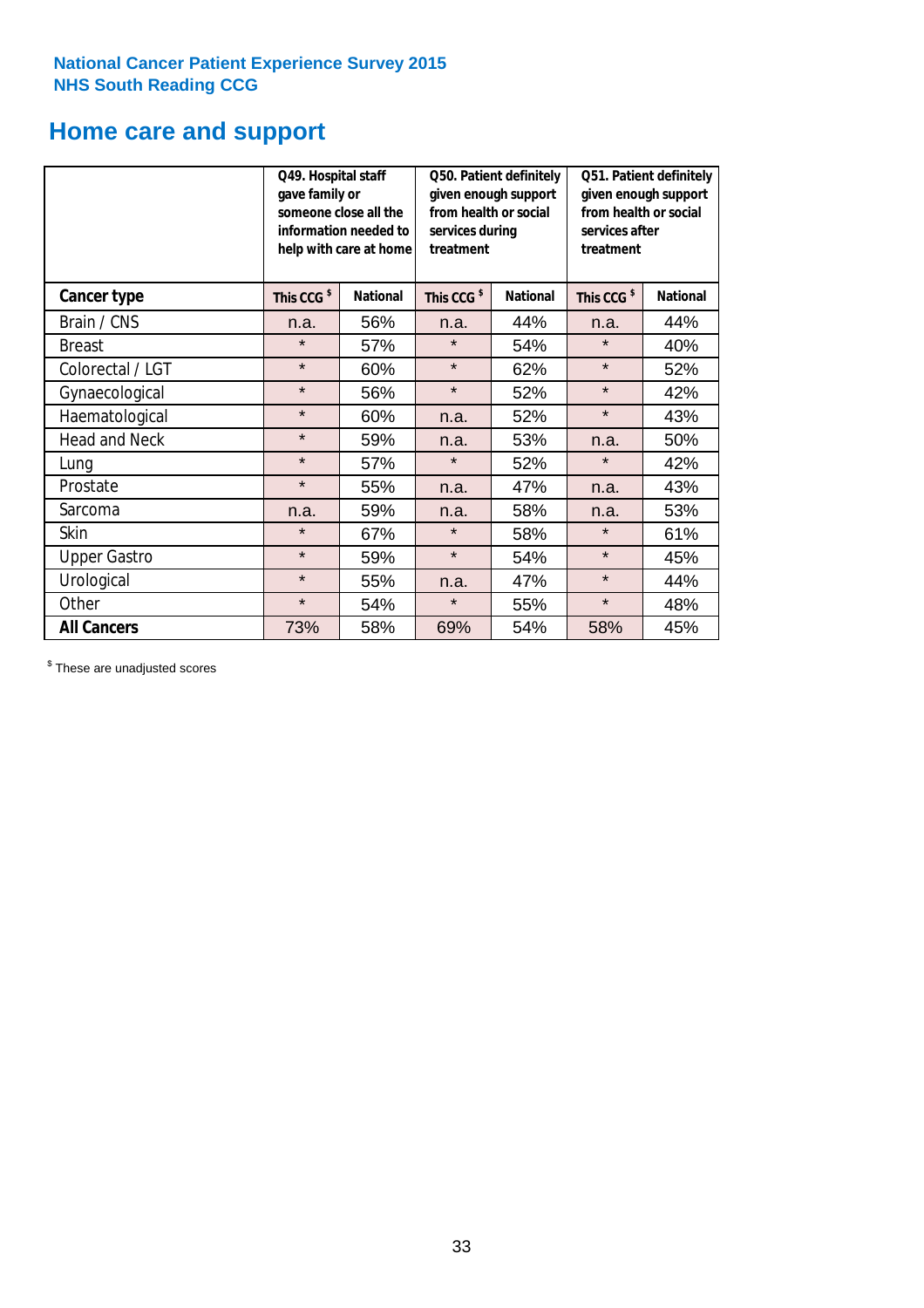### **Home care and support**

|                      | Q49. Hospital staff<br>gave family or | someone close all the<br>information needed to<br>help with care at home | Q50. Patient definitely<br>given enough support<br>from health or social<br>services during<br>treatment |                 | Q51. Patient definitely<br>given enough support<br>from health or social<br>services after<br>treatment |                 |
|----------------------|---------------------------------------|--------------------------------------------------------------------------|----------------------------------------------------------------------------------------------------------|-----------------|---------------------------------------------------------------------------------------------------------|-----------------|
| <b>Cancer type</b>   | This CCG <sup>\$</sup>                | <b>National</b>                                                          | This CCG <sup>\$</sup>                                                                                   | <b>National</b> | This CCG <sup>\$</sup>                                                                                  | <b>National</b> |
| Brain / CNS          | n.a.                                  | 56%                                                                      | n.a.                                                                                                     | 44%             | n.a.                                                                                                    | 44%             |
| <b>Breast</b>        | $\star$                               | 57%                                                                      | $\star$                                                                                                  | 54%             | $\star$                                                                                                 | 40%             |
| Colorectal / LGT     | $\star$                               | 60%                                                                      | $\star$                                                                                                  | 62%             | $\star$                                                                                                 | 52%             |
| Gynaecological       | $\star$                               | 56%                                                                      | $\star$                                                                                                  | 52%             | $\star$                                                                                                 | 42%             |
| Haematological       | $\star$                               | 60%                                                                      | n.a.                                                                                                     | 52%             | $\star$                                                                                                 | 43%             |
| <b>Head and Neck</b> | $\star$                               | 59%                                                                      | n.a.                                                                                                     | 53%             | n.a.                                                                                                    | 50%             |
| Lung                 | $\star$                               | 57%                                                                      | $\star$                                                                                                  | 52%             | $\star$                                                                                                 | 42%             |
| Prostate             | $\star$                               | 55%                                                                      | n.a.                                                                                                     | 47%             | n.a.                                                                                                    | 43%             |
| Sarcoma              | n.a.                                  | 59%                                                                      | n.a.                                                                                                     | 58%             | n.a.                                                                                                    | 53%             |
| Skin                 | $\star$                               | 67%                                                                      | $\star$                                                                                                  | 58%             | $\star$                                                                                                 | 61%             |
| <b>Upper Gastro</b>  | $\star$                               | 59%                                                                      | $\star$                                                                                                  | 54%             | $\star$                                                                                                 | 45%             |
| Urological           | $\star$                               | 55%                                                                      | n.a.                                                                                                     | 47%             | $\star$                                                                                                 | 44%             |
| Other                | $\star$                               | 54%                                                                      | $\star$                                                                                                  | 55%             | $\star$                                                                                                 | 48%             |
| <b>All Cancers</b>   | 73%                                   | 58%                                                                      | 69%                                                                                                      | 54%             | 58%                                                                                                     | 45%             |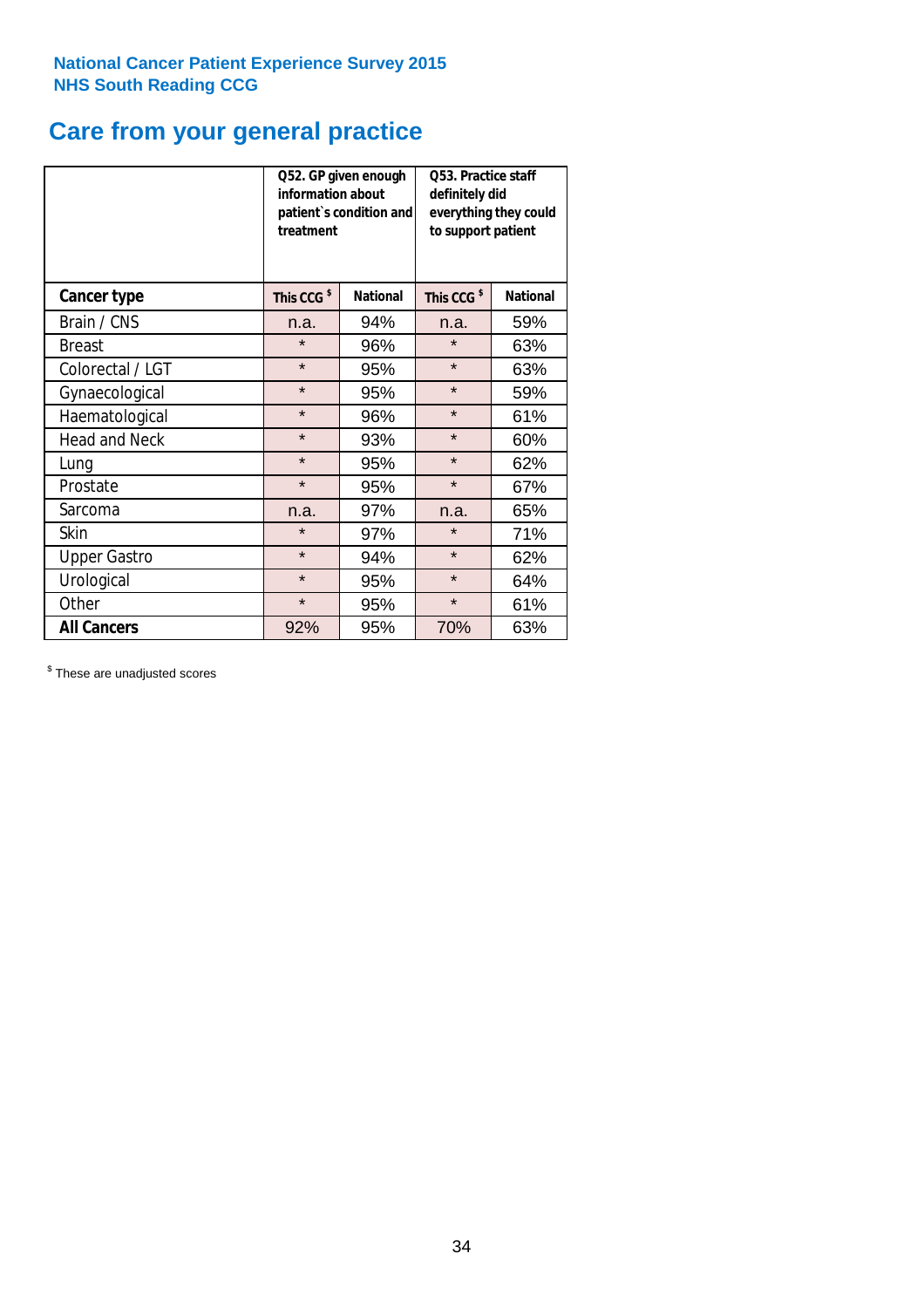## **Care from your general practice**

|                      | information about<br>treatment | Q52. GP given enough<br>patient's condition and | O53. Practice staff<br>definitely did<br>everything they could<br>to support patient |                 |  |
|----------------------|--------------------------------|-------------------------------------------------|--------------------------------------------------------------------------------------|-----------------|--|
| <b>Cancer type</b>   | This CCG <sup>\$</sup>         | <b>National</b>                                 | This CCG <sup>\$</sup>                                                               | <b>National</b> |  |
| Brain / CNS          | n.a.                           | 94%                                             | n.a.                                                                                 | 59%             |  |
| <b>Breast</b>        | $\star$                        | 96%                                             | $\star$                                                                              | 63%             |  |
| Colorectal / LGT     | $\star$                        | 95%                                             | $\star$                                                                              | 63%             |  |
| Gynaecological       | $\star$<br>95%                 |                                                 | $\star$                                                                              | 59%             |  |
| Haematological       | $\star$                        | 96%                                             | $\star$                                                                              | 61%             |  |
| <b>Head and Neck</b> | $\star$                        | 93%                                             | $\star$                                                                              | 60%             |  |
| Lung                 | $\star$                        | 95%                                             | $\star$                                                                              | 62%             |  |
| Prostate             | $\star$                        | 95%                                             | $\star$                                                                              | 67%             |  |
| Sarcoma              | n.a.                           | 97%                                             | n.a.                                                                                 | 65%             |  |
| Skin                 | $\star$                        | 97%                                             | $\star$                                                                              | 71%             |  |
| <b>Upper Gastro</b>  | $\star$                        | 94%                                             | $\star$                                                                              | 62%             |  |
| Urological           | $\star$                        | 95%                                             | $\star$                                                                              | 64%             |  |
| Other                | $\star$                        | 95%                                             | $\star$                                                                              | 61%             |  |
| <b>All Cancers</b>   | 92%                            | 95%                                             | 70%                                                                                  | 63%             |  |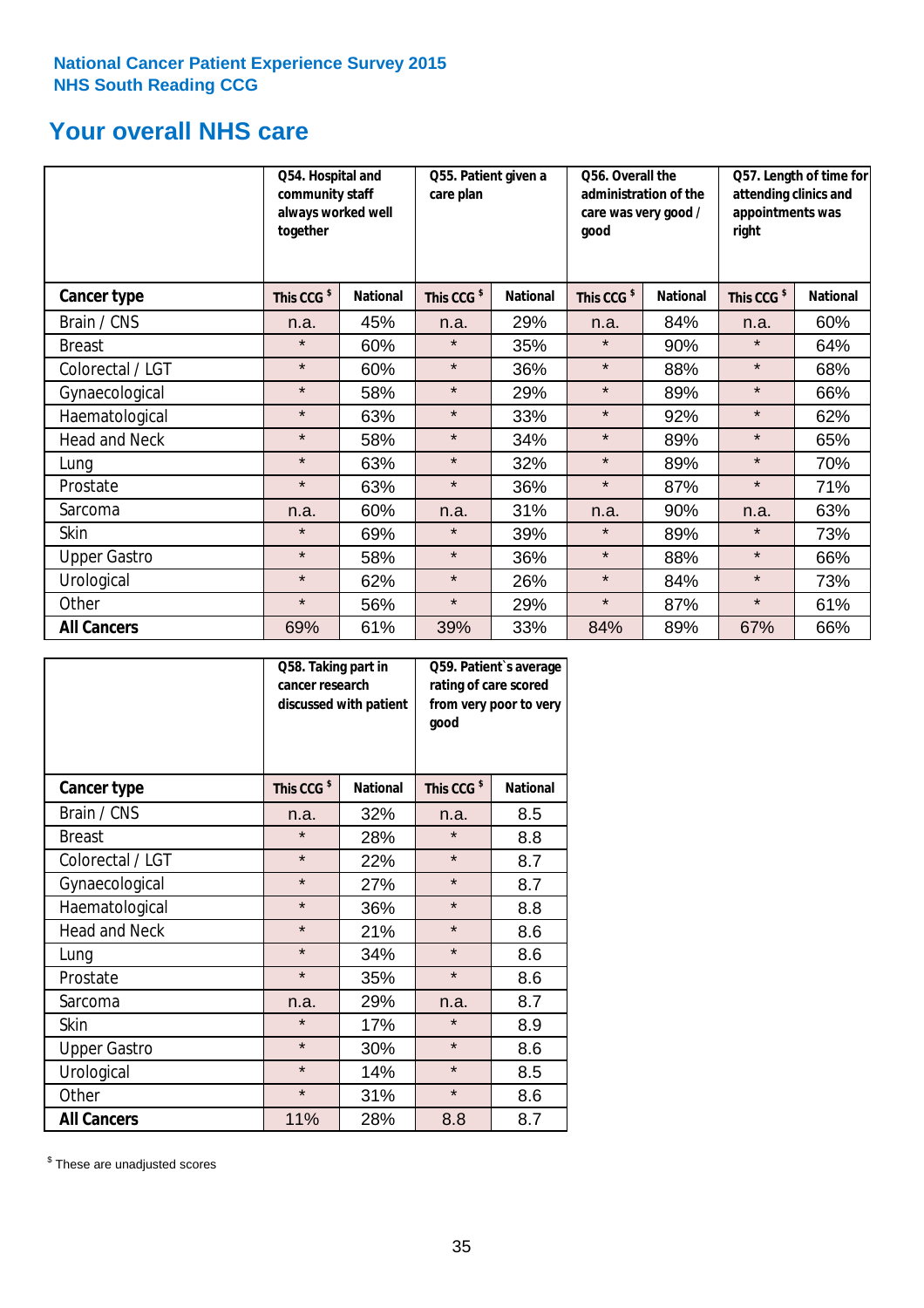### **Your overall NHS care**

|                      | Q54. Hospital and<br>community staff<br>always worked well<br>together |                 | care plan              | Q55. Patient given a |                        | Q56. Overall the<br>administration of the<br>care was very good /<br>qood |                        | Q57. Length of time for<br>attending clinics and<br>appointments was<br>right |  |
|----------------------|------------------------------------------------------------------------|-----------------|------------------------|----------------------|------------------------|---------------------------------------------------------------------------|------------------------|-------------------------------------------------------------------------------|--|
| <b>Cancer type</b>   | This CCG <sup>\$</sup>                                                 | <b>National</b> | This CCG <sup>\$</sup> | <b>National</b>      | This CCG <sup>\$</sup> | <b>National</b>                                                           | This CCG <sup>\$</sup> | <b>National</b>                                                               |  |
| Brain / CNS          | n.a.                                                                   | 45%             | n.a.                   | 29%                  | n.a.                   | 84%                                                                       | n.a.                   | 60%                                                                           |  |
| <b>Breast</b>        | $\star$                                                                | 60%             | $\star$                | 35%                  | $\star$                | 90%                                                                       | $\star$                | 64%                                                                           |  |
| Colorectal / LGT     | $\star$                                                                | 60%             | $\star$                | 36%                  | $\star$                | 88%                                                                       | $\star$                | 68%                                                                           |  |
| Gynaecological       | $\star$                                                                | 58%             | $\star$                | 29%                  | $\star$                | 89%                                                                       | $\star$                | 66%                                                                           |  |
| Haematological       | $\star$                                                                | 63%             | $\star$                | 33%                  | $\star$                | 92%                                                                       | $\star$                | 62%                                                                           |  |
| <b>Head and Neck</b> | $\star$                                                                | 58%             | $\star$                | 34%                  | $\star$                | 89%                                                                       | $\star$                | 65%                                                                           |  |
| Lung                 | $\star$                                                                | 63%             | $\star$                | 32%                  | $\star$                | 89%                                                                       | $\star$                | 70%                                                                           |  |
| Prostate             | $\star$                                                                | 63%             | $\star$                | 36%                  | $\star$                | 87%                                                                       | $\star$                | 71%                                                                           |  |
| Sarcoma              | n.a.                                                                   | 60%             | n.a.                   | 31%                  | n.a.                   | 90%                                                                       | n.a.                   | 63%                                                                           |  |
| Skin                 | $\star$                                                                | 69%             | $\star$                | 39%                  | $\star$                | 89%                                                                       | $\star$                | 73%                                                                           |  |
| <b>Upper Gastro</b>  | $\star$                                                                | 58%             | $\star$                | 36%                  | $\star$                | 88%                                                                       | $\star$                | 66%                                                                           |  |
| Urological           | $\star$                                                                | 62%             | $\star$                | 26%                  | $\star$                | 84%                                                                       | $\star$                | 73%                                                                           |  |
| Other                | $\star$                                                                | 56%             | $\star$                | 29%                  | $\star$                | 87%                                                                       | $\star$                | 61%                                                                           |  |
| <b>All Cancers</b>   | 69%                                                                    | 61%             | 39%                    | 33%                  | 84%                    | 89%                                                                       | 67%                    | 66%                                                                           |  |

|                      | Q58. Taking part in<br>cancer research | discussed with patient | Q59. Patient's average<br>rating of care scored<br>from very poor to very<br>good |                 |  |
|----------------------|----------------------------------------|------------------------|-----------------------------------------------------------------------------------|-----------------|--|
| <b>Cancer type</b>   | This CCG <sup>\$</sup>                 | <b>National</b>        | This CCG <sup>\$</sup>                                                            | <b>National</b> |  |
| Brain / CNS          | n.a.                                   | 32%                    | n.a.                                                                              | 8.5             |  |
| <b>Breast</b>        | $\star$                                | 28%                    | $\star$                                                                           | 8.8             |  |
| Colorectal / LGT     | $\star$                                | 22%                    | $\star$                                                                           | 8.7             |  |
| Gynaecological       | $\star$<br>27%                         |                        | $\star$                                                                           | 8.7             |  |
| Haematological       | $\star$                                | 36%                    |                                                                                   | 8.8             |  |
| <b>Head and Neck</b> | $\star$                                | 21%                    | $\star$                                                                           | 8.6             |  |
| Lung                 | $\star$                                | 34%                    | $\star$                                                                           | 8.6             |  |
| Prostate             | $\star$                                | 35%                    | $\star$                                                                           | 8.6             |  |
| Sarcoma              | n.a.                                   | 29%                    | n.a.                                                                              | 8.7             |  |
| Skin                 | $\star$                                | 17%                    | $\star$                                                                           | 8.9             |  |
| <b>Upper Gastro</b>  | $\star$                                | 30%                    | $\star$                                                                           | 8.6             |  |
| Urological           | $\star$                                | 14%                    | $\star$                                                                           | 8.5             |  |
| Other                | $\star$                                | 31%                    | $\star$                                                                           | 8.6             |  |
| <b>All Cancers</b>   | 11%                                    | 28%                    | 8.8                                                                               | 8.7             |  |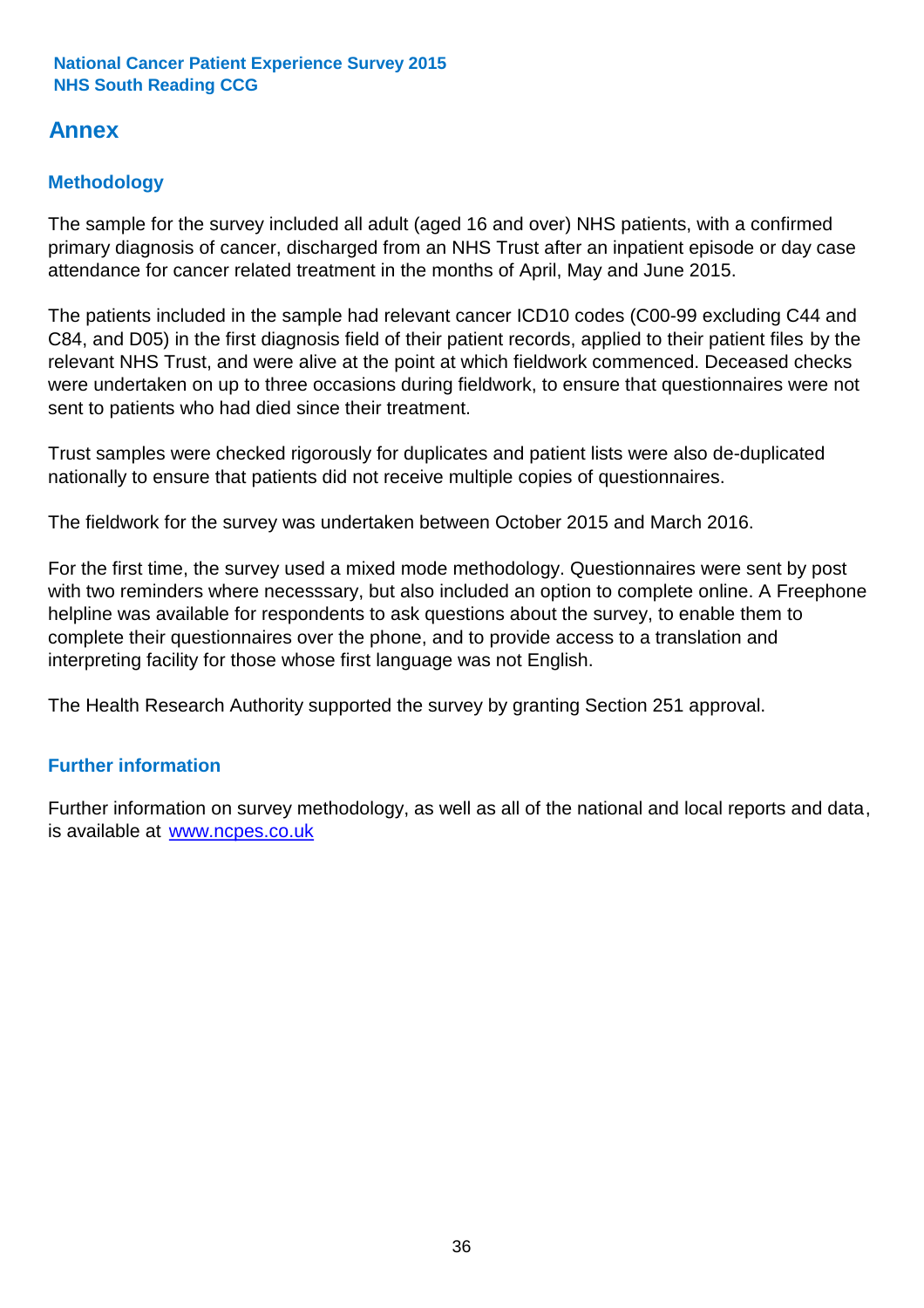### **Annex**

### **Methodology**

The sample for the survey included all adult (aged 16 and over) NHS patients, with a confirmed primary diagnosis of cancer, discharged from an NHS Trust after an inpatient episode or day case attendance for cancer related treatment in the months of April, May and June 2015.

The patients included in the sample had relevant cancer ICD10 codes (C00-99 excluding C44 and C84, and D05) in the first diagnosis field of their patient records, applied to their patient files by the relevant NHS Trust, and were alive at the point at which fieldwork commenced. Deceased checks were undertaken on up to three occasions during fieldwork, to ensure that questionnaires were not sent to patients who had died since their treatment.

Trust samples were checked rigorously for duplicates and patient lists were also de-duplicated nationally to ensure that patients did not receive multiple copies of questionnaires.

The fieldwork for the survey was undertaken between October 2015 and March 2016.

For the first time, the survey used a mixed mode methodology. Questionnaires were sent by post with two reminders where necesssary, but also included an option to complete online. A Freephone helpline was available for respondents to ask questions about the survey, to enable them to complete their questionnaires over the phone, and to provide access to a translation and interpreting facility for those whose first language was not English.

The Health Research Authority supported the survey by granting Section 251 approval.

#### **Further information**

Further information on survey methodology, as well as all of the national and local reports and data, is available at www.ncpes.co.uk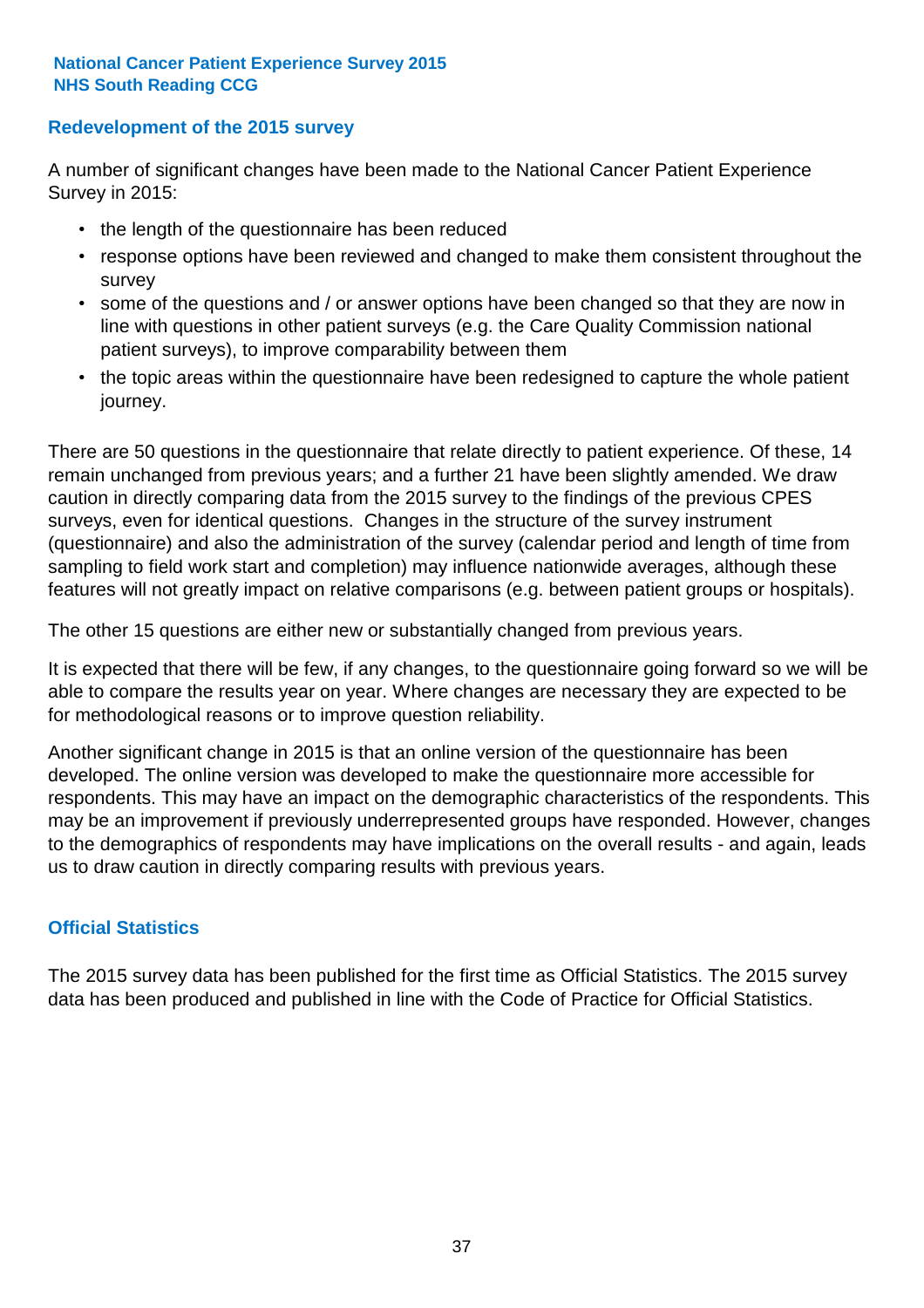#### **Redevelopment of the 2015 survey**

A number of significant changes have been made to the National Cancer Patient Experience Survey in 2015:

- the length of the questionnaire has been reduced
- response options have been reviewed and changed to make them consistent throughout the survey
- some of the questions and / or answer options have been changed so that they are now in line with questions in other patient surveys (e.g. the Care Quality Commission national patient surveys), to improve comparability between them
- the topic areas within the questionnaire have been redesigned to capture the whole patient journey.

There are 50 questions in the questionnaire that relate directly to patient experience. Of these, 14 remain unchanged from previous years; and a further 21 have been slightly amended. We draw caution in directly comparing data from the 2015 survey to the findings of the previous CPES surveys, even for identical questions. Changes in the structure of the survey instrument (questionnaire) and also the administration of the survey (calendar period and length of time from sampling to field work start and completion) may influence nationwide averages, although these features will not greatly impact on relative comparisons (e.g. between patient groups or hospitals).

The other 15 questions are either new or substantially changed from previous years.

It is expected that there will be few, if any changes, to the questionnaire going forward so we will be able to compare the results year on year. Where changes are necessary they are expected to be for methodological reasons or to improve question reliability.

Another significant change in 2015 is that an online version of the questionnaire has been developed. The online version was developed to make the questionnaire more accessible for respondents. This may have an impact on the demographic characteristics of the respondents. This may be an improvement if previously underrepresented groups have responded. However, changes to the demographics of respondents may have implications on the overall results - and again, leads us to draw caution in directly comparing results with previous years.

#### **Official Statistics**

The 2015 survey data has been published for the first time as Official Statistics. The 2015 survey data has been produced and published in line with the Code of Practice for Official Statistics.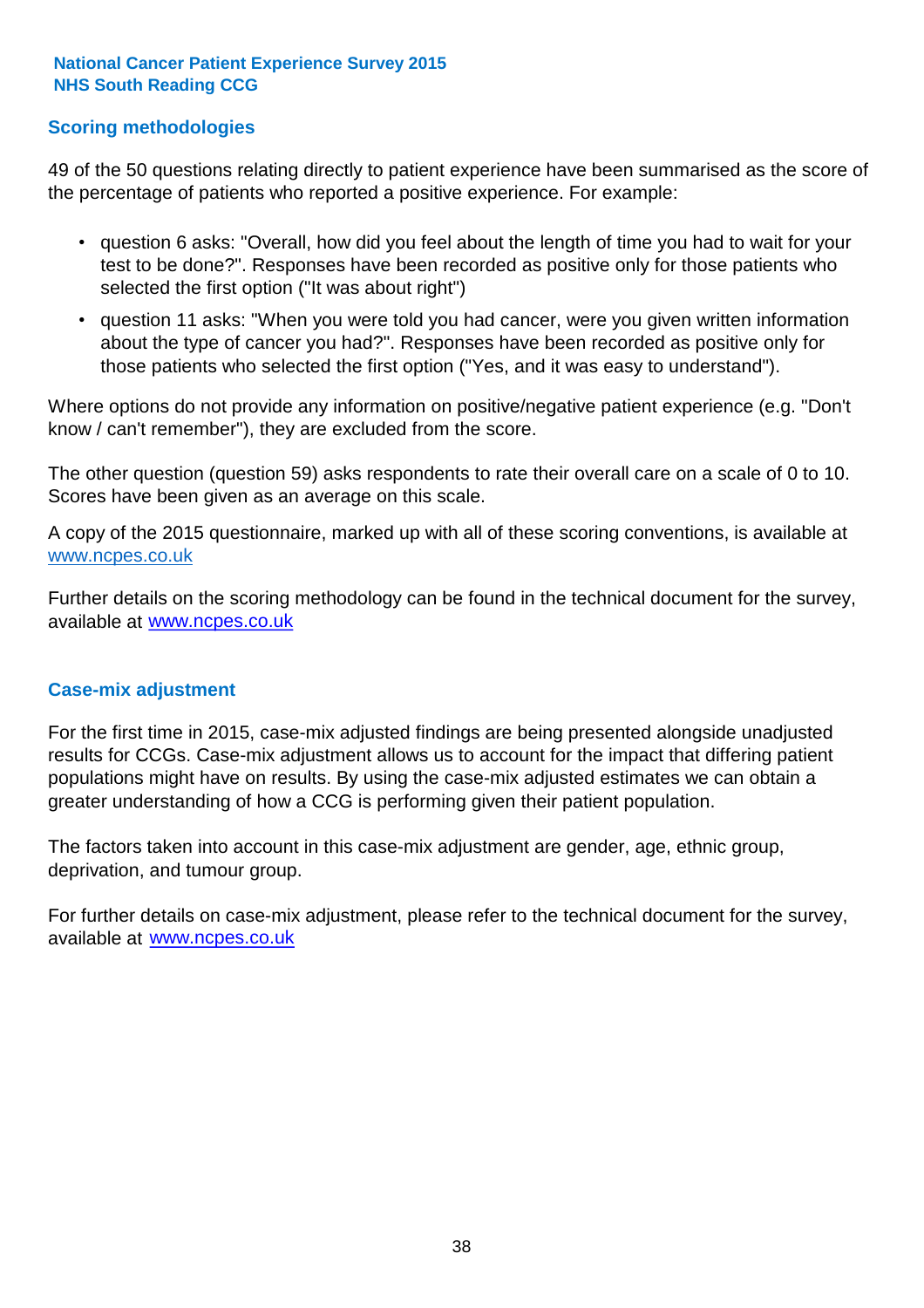#### **Scoring methodologies**

49 of the 50 questions relating directly to patient experience have been summarised as the score of the percentage of patients who reported a positive experience. For example:

- question 6 asks: "Overall, how did you feel about the length of time you had to wait for your test to be done?". Responses have been recorded as positive only for those patients who selected the first option ("It was about right")
- question 11 asks: "When you were told you had cancer, were you given written information about the type of cancer you had?". Responses have been recorded as positive only for those patients who selected the first option ("Yes, and it was easy to understand").

Where options do not provide any information on positive/negative patient experience (e.g. "Don't know / can't remember"), they are excluded from the score.

The other question (question 59) asks respondents to rate their overall care on a scale of 0 to 10. Scores have been given as an average on this scale.

A copy of the 2015 questionnaire, marked up with all of these scoring conventions, is available at www.ncpes.co.uk

Further details on the scoring methodology can be found in the technical document for the survey, available at <u>www.ncpes.co.uk</u>

#### **Case-mix adjustment**

For the first time in 2015, case-mix adjusted findings are being presented alongside unadjusted results for CCGs. Case-mix adjustment allows us to account for the impact that differing patient populations might have on results. By using the case-mix adjusted estimates we can obtain a greater understanding of how a CCG is performing given their patient population.

The factors taken into account in this case-mix adjustment are gender, age, ethnic group, deprivation, and tumour group.

For further details on case-mix adjustment, please refer to the technical document for the survey, available at www.ncpes.co.uk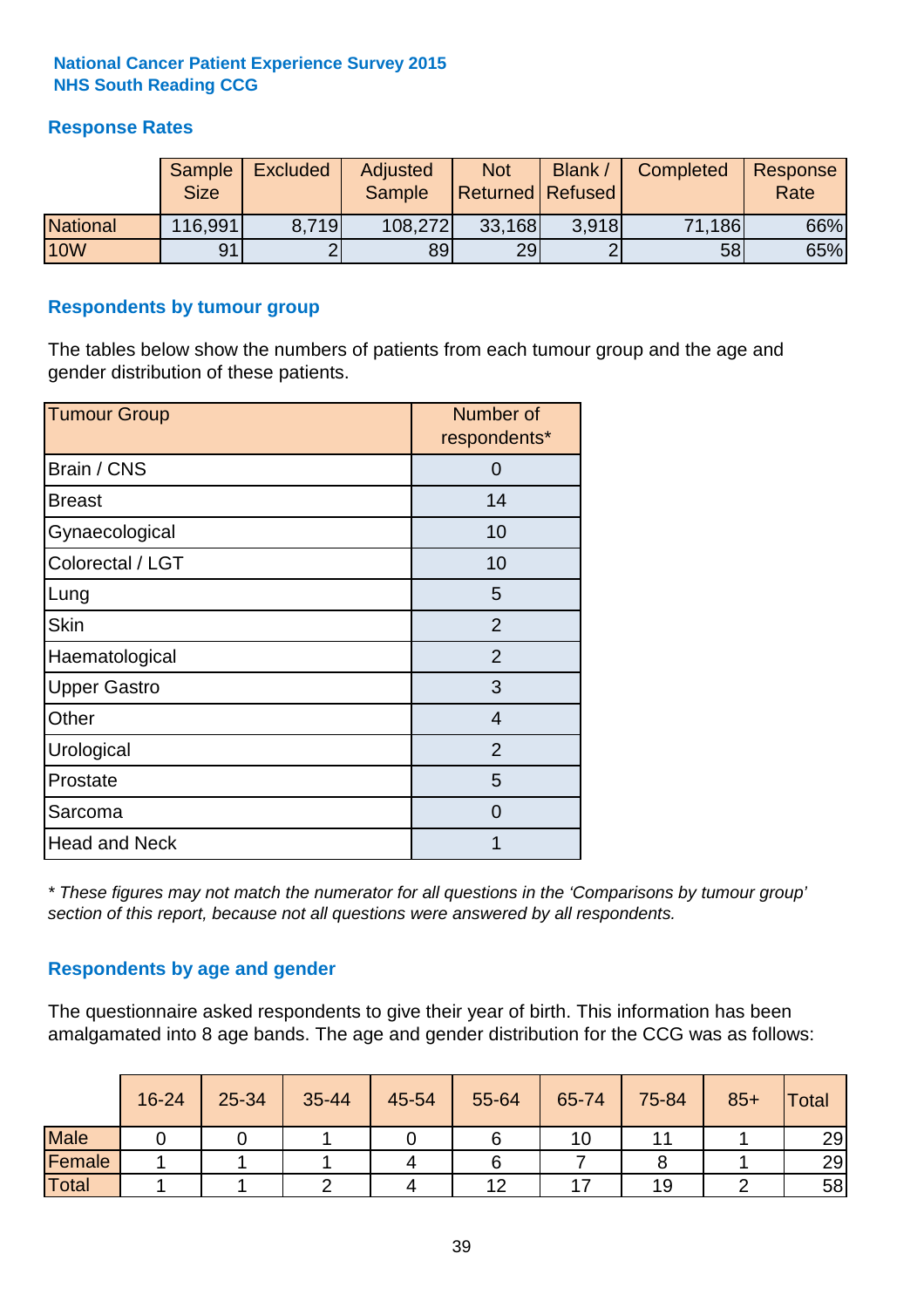#### **Response Rates**

|                 | <b>Sample</b><br><b>Size</b> | <b>Excluded</b> | Adjusted<br><b>Sample</b> | <b>Not</b><br><b>Returned Refused</b> | <b>Blank</b> | <b>Completed</b> | Response<br>Rate |
|-----------------|------------------------------|-----------------|---------------------------|---------------------------------------|--------------|------------------|------------------|
| <b>National</b> | 116,991                      | 8.719           | 108,272                   | 33,168                                | 3.918        | 71,186           | 66%              |
| <b>10W</b>      | 91                           |                 | 89l                       | 29                                    |              | 58               | 65%              |

#### **Respondents by tumour group**

The tables below show the numbers of patients from each tumour group and the age and gender distribution of these patients.

| <b>Tumour Group</b>  | Number of<br>respondents* |
|----------------------|---------------------------|
| Brain / CNS          | O                         |
| <b>Breast</b>        | 14                        |
| Gynaecological       | 10                        |
| Colorectal / LGT     | 10                        |
| Lung                 | 5                         |
| <b>Skin</b>          | 2                         |
| Haematological       | $\overline{2}$            |
| <b>Upper Gastro</b>  | 3                         |
| Other                | $\overline{4}$            |
| Urological           | $\overline{2}$            |
| Prostate             | 5                         |
| Sarcoma              | 0                         |
| <b>Head and Neck</b> |                           |

*\* These figures may not match the numerator for all questions in the 'Comparisons by tumour group' section of this report, because not all questions were answered by all respondents.*

#### **Respondents by age and gender**

The questionnaire asked respondents to give their year of birth. This information has been amalgamated into 8 age bands. The age and gender distribution for the CCG was as follows:

|             | 16-24 | 25-34 | 35-44 | 45-54 | 55-64 | 65-74 | 75-84 | $85+$ | <b>Total</b> |
|-------------|-------|-------|-------|-------|-------|-------|-------|-------|--------------|
| <b>Male</b> |       |       |       |       |       | 10    |       |       | 29           |
| Female      |       |       |       |       |       |       |       |       | 29           |
| Total       |       |       |       |       | 12    |       | 19    |       | 58           |